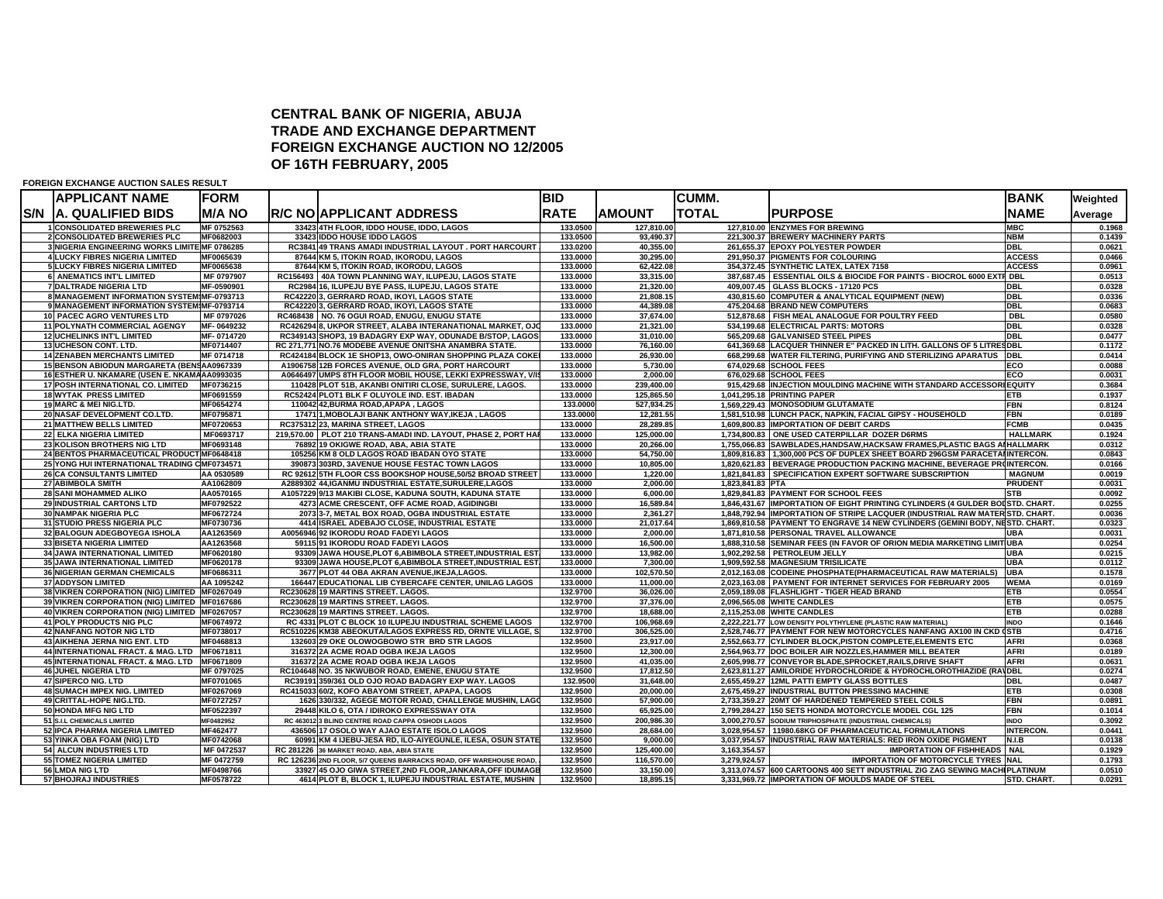## **CENTRAL BANK OF NIGERIA, ABUJA TRADE AND EXCHANGE DEPARTMENTFOREIGN EXCHANGE AUCTION NO 12/2005 OF 16TH FEBRUARY, 2005**

**FOREIGN EXCHANGE AUCTION SALES RESULT**

|            | <b>APPLICANT NAME</b>                                                 | <b>FORM</b>              |                                                                                                                        | <b>BID</b>           |                        | <b>CUMM.</b>     |                                                                                                               | <b>BANK</b>      | Weighted         |
|------------|-----------------------------------------------------------------------|--------------------------|------------------------------------------------------------------------------------------------------------------------|----------------------|------------------------|------------------|---------------------------------------------------------------------------------------------------------------|------------------|------------------|
| <b>S/N</b> | <b>A. QUALIFIED BIDS</b>                                              | <b>M/A NO</b>            | <b>R/C NOIAPPLICANT ADDRESS</b>                                                                                        | <b>RATE</b>          | <b>AMOUNT</b>          | TOTAL            | <b>PURPOSE</b>                                                                                                | <b>NAME</b>      | Average          |
|            | 1 CONSOLIDATED BREWERIES PLC                                          | MF 0752563               | 33423 4TH FLOOR, IDDO HOUSE, IDDO, LAGOS                                                                               | 133.0500             | 127,810.00             |                  | 127,810.00 ENZYMES FOR BREWING                                                                                | <b>MBC</b>       | 0.1968           |
|            | 2 CONSOLIDATED BREWERIES PLC                                          | MF0682003                | 33423 IDDO HOUSE IDDO LAGOS                                                                                            | 133.0500             | 93,490.37              |                  | 221,300.37 BREWERY MACHINERY PARTS                                                                            | <b>NBM</b>       | 0.1439           |
|            | 3 NIGERIA ENGINEERING WORKS LIMITE MF 0786285                         |                          | RC3841 49 TRANS AMADI INDUSTRIAL LAYOUT . PORT HARCOURT                                                                | 133.0200             | 40,355.00              |                  | 261,655.37 EPOXY POLYESTER POWDER                                                                             | <b>DBL</b>       | 0.0621           |
|            | 4 LUCKY FIBRES NIGERIA LIMITED                                        | MF0065639                | 87644 KM 5, ITOKIN ROAD, IKORODU, LAGOS                                                                                | 133.0000             | 30,295.00              |                  | 291,950.37 PIGMENTS FOR COLOURING                                                                             | <b>ACCESS</b>    | 0.0466           |
|            | 5 LUCKY FIBRES NIGERIA LIMITED                                        | MF0065638                | 87644 KM 5, ITOKIN ROAD, IKORODU, LAGOS                                                                                | 133.0000             | 62,422.08              |                  | 354,372.45 SYNTHETIC LATEX, LATEX 7158                                                                        | <b>ACCESS</b>    | 0.0961           |
|            | <b>6 ANEMATICS INT'L LIMITED</b><br>7 DALTRADE NIGERIA LTD            | MF 0797907<br>MF-0590901 | RC156493 40A TOWN PLANNING WAY, ILUPEJU, LAGOS STATE<br>RC2984 16, ILUPEJU BYE PASS, ILUPEJU, LAGOS STATE              | 133.0000<br>133.0000 | 33,315.00<br>21,320.00 |                  | 387,687.45 ESSENTIAL OILS & BIOCIDE FOR PAINTS - BIOCROL 6000 EXTR DBL<br>409,007.45 GLASS BLOCKS - 17120 PCS | <b>DBL</b>       | 0.0513<br>0.0328 |
|            | 8 MANAGEMENT INFORMATION SYSTEM MF-0793713                            |                          | RC42220 3, GERRARD ROAD, IKOYI, LAGOS STATE                                                                            | 133.0000             | 21,808.15              |                  | 430,815.60 COMPUTER & ANALYTICAL EQUIPMENT (NEW)                                                              | <b>DBL</b>       | 0.0336           |
|            | 9 MANAGEMENT INFORMATION SYSTEM MF-0793714                            |                          | RC42220 3, GERRARD ROAD, IKOYI, LAGOS STATE                                                                            | 133.0000             | 44,389.08              |                  | 475.204.68 BRAND NEW COMPUTERS                                                                                | <b>DBL</b>       | 0.0683           |
|            | 10 PACEC AGRO VENTURES LTD                                            | MF 0797026               | RC468438 NO. 76 OGUI ROAD, ENUGU, ENUGU STATE                                                                          | 133.0000             | 37,674.00              |                  | 512,878.68 FISH MEAL ANALOGUE FOR POULTRY FEED                                                                | <b>DBL</b>       | 0.0580           |
|            | <b>11 POLYNATH COMMERCIAL AGENGY</b>                                  | MF-0649232               | RC426294 8, UKPOR STREET, ALABA INTERANATIONAL MARKET, OJC                                                             | 133.0000             | 21,321.00              |                  | 534,199.68 ELECTRICAL PARTS: MOTORS                                                                           | <b>DBL</b>       | 0.0328           |
|            | <b>12 UCHELINKS INT'L LIMITED</b>                                     | MF-0714720               | RC349143 SHOP3, 19 BADAGRY EXP WAY, ODUNADE B/STOP, LAGOS                                                              | 133.0000             | 31,010.00              |                  | 565,209.68 GALVANISED STEEL PIPES                                                                             | <b>DBL</b>       | 0.0477           |
|            | 13 UCHESON CONT. LTD.                                                 | MF0714407                | RC 271,771 NO.76 MODEBE AVENUE ONITSHA ANAMBRA STATE.                                                                  | 133.0000             | 76,160.00              |                  | 641,369.68 LACQUER THINNER E" PACKED IN LITH. GALLONS OF 5 LITRESDBL                                          |                  | 0.1172           |
|            | <b>14 ZENABEN MERCHANTS LIMITED</b>                                   | MF 0714718               | RC424184 BLOCK 1E SHOP13, OWO-ONIRAN SHOPPING PLAZA COKEI                                                              | 133.0000             | 26,930.00              |                  | 668,299.68 WATER FILTERING, PURIFYING AND STERILIZING APARATUS                                                | <b>DBL</b>       | 0.0414           |
|            | 15 BENSON ABIODUN MARGARETA (BENSAA0967339                            |                          | A1906758 12B FORCES AVENUE, OLD GRA, PORT HARCOURT                                                                     | 133.0000             | 5,730.00               |                  | 674,029.68 SCHOOL FEES                                                                                        | ECO              | 0.0088           |
|            | 16 ESTHER U. NKAMARE (USEN E. NKAMAAA0993035                          |                          | A0646497 UMPS 8TH FLOOR MOBIL HOUSE, LEKKI EXPRESSWAY, V/IS                                                            | 133.0000             | 2,000.00               |                  | 676,029.68 SCHOOL FEES                                                                                        | ECO              | 0.0031           |
|            | 17 POSH INTERNATIONAL CO. LIMITED                                     | MF0736215                | 110428 PLOT 51B, AKANBI ONITIRI CLOSE, SURULERE, LAGOS.                                                                | 133.0000             | 239,400.00             |                  | 915,429.68 INJECTION MOULDING MACHINE WITH STANDARD ACCESSORIEQUITY                                           |                  | 0.3684           |
|            | <b>18 WYTAK PRESS LIMITED</b>                                         | MF0691559                | RC52424 PLOT1 BLK F OLUYOLE IND. EST. IBADAN                                                                           | 133.0000             | 125,865.50             |                  | 1,041,295.18 PRINTING PAPER                                                                                   | ETB              | 0.1937           |
|            | 19 MARC & MEI NIG.LTD.                                                | MF0654274                | 110042 42, BURMA ROAD, APAPA, LAGOS                                                                                    | 133.0000             | 527,934.25             |                  | 1,569,229.43 MONOSODIUM GLUTAMATE                                                                             | <b>FBN</b>       | 0.8124           |
|            | 20 NASAF DEVELOPMENT CO.LTD.                                          | MF0795871                | 17471 1, MOBOLAJI BANK ANTHONY WAY, IKEJA, LAGOS                                                                       | 133.0000             | 12,281.55              |                  | 1.581.510.98 LUNCH PACK, NAPKIN, FACIAL GIPSY - HOUSEHOLD                                                     | <b>FBN</b>       | 0.0189           |
|            | 21 MATTHEW BELLS LIMITED                                              | MF0720653                | RC375312 23. MARINA STREET. LAGOS                                                                                      | 133.0000             | 28,289.85              |                  | 1,609,800.83 IMPORTATION OF DEBIT CARDS                                                                       | <b>FCMB</b>      | 0.0435           |
|            | <b>22 ELKA NIGERIA LIMITED</b>                                        | MF0693717                | 219,570.00   PLOT 210 TRANS-AMADI IND. LAYOUT, PHASE 2, PORT HAR                                                       | 133.0000             | 125,000.00             |                  | 1.734.800.83 ONE USED CATERPILLAR DOZER D6RMS                                                                 | <b>HALLMARK</b>  | 0.1924           |
|            | 23 KOLISON BROTHERS NIG LTD                                           | MF0693148                | 76892 19 OKIGWE ROAD, ABA, ABIA STATE                                                                                  | 133.0000             | 20.266.00              |                  | 1,755,066.83 SAWBLADES, HANDSAW, HACKSAW FRAMES, PLASTIC BAGS AN HALLMARK                                     |                  | 0.0312           |
|            | 24 BENTOS PHARMACEUTICAL PRODUCT MF0648418                            |                          | 105256 KM 8 OLD LAGOS ROAD IBADAN OYO STATE                                                                            | 133.0000             | 54.750.00              |                  | 1.809.816.83 1.300.000 PCS OF DUPLEX SHEET BOARD 296GSM PARACETAIINTERCON.                                    |                  | 0.0843           |
|            | 25 YONG HUI INTERNATIONAL TRADING CMF0734571                          |                          | 390873 303RD, 3AVENUE HOUSE FESTAC TOWN LAGOS                                                                          | 133.0000             | 10,805.00              |                  | 1,820,621.83   BEVERAGE PRODUCTION PACKING MACHINE, BEVERAGE PR(INTERCON.                                     |                  | 0.0166           |
|            | <b>26 CA CONSULTANTS LIMITED</b>                                      | AA 0530589               | RC 92612 5TH FLOOR CSS BOOKSHOP HOUSE,50/52 BROAD STREET                                                               | 133.0000             | 1,220.00               |                  | 1,821,841.83 SPECIFICATION EXPERT SOFTWARE SUBSCRIPTION                                                       | <b>MAGNUM</b>    | 0.0019           |
|            | 27 ABIMBOLA SMITH                                                     | AA1062809                | A2889302 44, IGANMU INDUSTRIAL ESTATE, SURULERE, LAGOS                                                                 | 133.0000             | 2,000.00               | 1,823,841.83 PTA |                                                                                                               | <b>PRUDENT</b>   | 0.0031           |
|            | <b>28 SANI MOHAMMED ALIKO</b>                                         | AA0570165                | A1057229 9/13 MAKIBI CLOSE, KADUNA SOUTH, KADUNA STATE                                                                 | 133.0000             | 6,000.00               |                  | 1,829,841.83 PAYMENT FOR SCHOOL FEES                                                                          | <b>STB</b>       | 0.0092           |
|            | 29 INDUSTRIAL CARTONS LTD                                             | MF0792522                | 4273 ACME CRESCENT, OFF ACME ROAD, AGIDINGBI                                                                           | 133.0000             | 16,589.84              |                  | 1,846,431.67 IMPORTATION OF EIGHT PRINTING CYLINDERS (4 GULDER BOI STD. CHART.                                |                  | 0.0255           |
|            | <b>30 NAMPAK NIGERIA PLC</b>                                          | MF0672724                | 2073 3-7, METAL BOX ROAD, OGBA INDUSTRIAL ESTATE                                                                       | 133.0000             | 2,361.27               |                  | 1,848,792.94 IMPORTATION OF STRIPE LACQUER (INDUSTRIAL RAW MATER STD. CHART.                                  |                  | 0.0036           |
|            | 31 STUDIO PRESS NIGERIA PLC                                           | MF0730736                | 4414 ISRAEL ADEBAJO CLOSE, INDUSTRIAL ESTATE                                                                           | 133.0000             | 21,017.64              |                  | 1,869,810.58 PAYMENT TO ENGRAVE 14 NEW CYLINDERS (GEMINI BODY, NESTD. CHART.                                  |                  | 0.0323           |
|            | 32 BALOGUN ADEGBOYEGA ISHOLA                                          | AA1263569                | A0056946 92 IKORODU ROAD FADEYI LAGOS                                                                                  | 133.0000             | 2,000.00               |                  | 1,871,810.58 PERSONAL TRAVEL ALLOWANCE                                                                        | UBA              | 0.0031           |
|            | 33 BISETA NIGERIA LIMITED                                             | AA1263568<br>MF0620180   | 59115 91 IKORODU ROAD FADEYI LAGOS                                                                                     | 133.0000             | 16,500.00              |                  | 1,888,310.58 SEMINAR FEES (IN FAVOR OF ORION MEDIA MARKETING LIMITIUBA<br>1.902.292.58 PETROLEUM JELLY        | <b>UBA</b>       | 0.0254           |
|            | <b>34 JAWA INTERNATIONAL LIMITED</b><br>35 JAWA INTERNATIONAL LIMITED | MF0620178                | 93309 JAWA HOUSE, PLOT 6, ABIMBOLA STREET, INDUSTRIAL EST<br>93309 JAWA HOUSE, PLOT 6, ABIMBOLA STREET, INDUSTRIAL EST | 133.0000<br>133.0000 | 13,982.00<br>7,300.00  |                  | 1,909,592.58 MAGNESIUM TRISILICATE                                                                            | <b>UBA</b>       | 0.0215<br>0.0112 |
|            | <b>36 NIGERIAN GERMAN CHEMICALS</b>                                   | MF0686311                | 3677 PLOT 44 OBA AKRAN AVENUE.IKEJA.LAGOS.                                                                             | 133.0000             | 102,570.50             |                  | 2,012,163.08 CODEINE PHOSPHATE(PHARMACEUTICAL RAW MATERIALS)                                                  | <b>UBA</b>       | 0.1578           |
|            | <b>37 ADDYSON LIMITED</b>                                             | AA 1095242               | 166447 EDUCATIONAL LIB CYBERCAFE CENTER, UNILAG LAGOS                                                                  | 133.0000             | 11,000.00              |                  | 2,023,163.08 PAYMENT FOR INTERNET SERVICES FOR FEBRUARY 2005                                                  | <b>WEMA</b>      | 0.0169           |
|            | 38 VIKREN CORPORATION (NIG) LIMITED MF0267049                         |                          | RC230628 19 MARTINS STREET. LAGOS.                                                                                     | 132.9700             | 36,026.00              |                  | 2,059,189.08 FLASHLIGHT - TIGER HEAD BRAND                                                                    | ETB              | 0.0554           |
|            | 39 VIKREN CORPORATION (NIG) LIMITED MF0167686                         |                          | RC230628 19 MARTINS STREET. LAGOS.                                                                                     | 132.9700             | 37,376.00              |                  | 2,096,565.08 WHITE CANDLES                                                                                    | ETB              | 0.0575           |
|            | 40 VIKREN CORPORATION (NIG) LIMITED MF0267057                         |                          | RC230628 19 MARTINS STREET. LAGOS.                                                                                     | 132.9700             | 18,688.00              |                  | 2,115,253.08 WHITE CANDLES                                                                                    | <b>ETB</b>       | 0.0288           |
|            | 41 POLY PRODUCTS NIG PLC                                              | MF0674972                | RC 4331 PLOT C BLOCK 10 ILUPEJU INDUSTRIAL SCHEME LAGOS                                                                | 132.9700             | 106,968.69             |                  | 2,222,221.77 LOW DENSITY POLYTHYLENE (PLASTIC RAW MATERIAL)                                                   | <b>INDO</b>      | 0.1646           |
|            | 42 NANFANG NOTOR NIG LTD                                              | MF0738017                | RC510226 KM38 ABEOKUTA/LAGOS EXPRESS RD, ORNTE VILLAGE, S.                                                             | 132.9700             | 306,525.00             |                  | 2,528,746.77 PAYMENT FOR NEW MOTORCYCLES NANFANG AX100 IN CKD (STB                                            |                  | 0.4716           |
|            | 43 AIKHENA JERNA NIG ENT. LTD                                         | MF0468813                | 132603 29 OKE OLOWOGBOWO STR BRD STR LAGOS                                                                             | 132.9500             | 23,917.00              |                  | 2,552,663.77 CYLINDER BLOCK, PISTON COMPLETE, ELEMENTS ETC                                                    | <b>AFRI</b>      | 0.0368           |
|            | 44 INTERNATIONAL FRACT. & MAG. LTD MF0671811                          |                          | 316372 2A ACME ROAD OGBA IKEJA LAGOS                                                                                   | 132.9500             | 12,300.00              |                  | 2,564,963.77 DOC BOILER AIR NOZZLES, HAMMER MILL BEATER                                                       | <b>AFRI</b>      | 0.0189           |
|            | 45 INTERNATIONAL FRACT. & MAG. LTD MF0671809                          |                          | 316372 2A ACME ROAD OGBA IKEJA LAGOS                                                                                   | 132.9500             | 41,035.00              |                  | 2,605,998.77 CONVEYOR BLADE, SPROCKET, RAILS, DRIVE SHAFT                                                     | <b>AFRI</b>      | 0.0631           |
|            | <b>46 JUHEL NIGERIA LTD</b>                                           | MF 0797025               | RC104648 NO. 35 NKWUBOR ROAD, EMENE, ENUGU STATE                                                                       | 132.9500             | 17,812.50              |                  | 2,623,811.27 AMILORIDE HYDROCHLORIDE & HYDROCHLOROTHIAZIDE (RAVDBL                                            |                  | 0.0274           |
|            | 47 SIPERCO NIG. LTD                                                   | MF0701065                | RC39191 359/361 OLD OJO ROAD BADAGRY EXP WAY. LAGOS                                                                    | 132.9500             | 31,648.00              |                  | 2.655.459.27 12ML PATTI EMPTY GLASS BOTTLES                                                                   | <b>DBL</b>       | 0.0487           |
|            | <b>48 SUMACH IMPEX NIG. LIMITED</b>                                   | MF0267069                | RC415033 60/2, KOFO ABAYOMI STREET, APAPA, LAGOS                                                                       | 132.9500             | 20.000.00              |                  | 2.675.459.27 INDUSTRIAL BUTTON PRESSING MACHINE                                                               | <b>ETB</b>       | 0.0308           |
|            | 49 CRITTAL-HOPE NIG.LTD.                                              | MF0727257                | 1626 330/332, AGEGE MOTOR ROAD, CHALLENGE MUSHIN, LAGO                                                                 | 132.9500             | 57,900.00              |                  | 2,733,359.27 20MT OF HARDENED TEMPERED STEEL COILS                                                            | <b>FBN</b>       | 0.0891           |
|            | 50 HONDA MFG NIG LTD                                                  | MF0522397                | 29448 KILO 6, OTA / IDIROKO EXPRESSWAY OTA                                                                             | 132.9500             | 65,925.00              |                  | 2,799,284.27 150 SETS HONDA MOTORCYCLE MODEL CGL 125                                                          | <b>FBN</b>       | 0.1014           |
|            | 51 S.I.L CHEMICALS LIMITED                                            | MF0482952                | RC 463012 3 BLIND CENTRE ROAD CAPPA OSHODI LAGOS                                                                       | 132.9500             | 200,986.30             |                  | 3,000,270.57 SODIUM TRIPHOSPHATE (INDUSTRIAL CHEMICALS)                                                       | <b>INDO</b>      | 0.3092           |
|            | 52 IPCA PHARMA NIGERIA LIMITED                                        | MF462477                 | 436506 17 OSOLO WAY AJAO ESTATE ISOLO LAGOS                                                                            | 132.9500             | 28,684.00              |                  | 3,028,954.57   11980.68KG OF PHARMACEUTICAL FORMULATIONS                                                      | <b>INTERCON.</b> | 0.0441           |
|            | 53 YINKA OBA FOAM (NIG) LTD                                           | MF0742068                | 60991 KM 4 IJEBU-JESA RD, ILO-AIYEGUNLE, ILESA, OSUN STATE                                                             | 132.9500             | 9,000.00               |                  | 3,037,954.57 INDUSTRIAL RAW MATERIALS: RED IRON OXIDE PIGMENT                                                 | N.I.B            | 0.0138           |
|            | 54 ALCUN INDUSTRIES LTD                                               | MF 0472537               | RC 281226 36 MARKET ROAD, ABA, ABIA STATE                                                                              | 132.9500             | 125,400.00             | 3,163,354.57     | <b>IMPORTATION OF FISHHEADS   NAL</b>                                                                         |                  | 0.1929           |
|            | 55 TOMEZ NIGERIA LIMITED                                              | MF 0472759               | RC 126236 2ND FLOOR, 5/7 QUEENS BARRACKS ROAD, OFF WAREHOUSE ROAD.                                                     | 132.9500             | 116,570.00             | 3.279.924.57     | <b>IMPORTATION OF MOTORCYCLE TYRES NAL</b>                                                                    |                  | 0.1793           |
|            | 56 LMDA NIG LTD                                                       | MF0498766                | 33927 45 OJO GIWA STREET,2ND FLOOR, JANKARA, OFF IDUMAGB                                                               | 132.9500             | 33,150.00              |                  | 3,313,074.57 600 CARTOONS 400 SETT INDUSTRIAL ZIG ZAG SEWING MACHI PLATINUM                                   |                  | 0.0510           |
|            | 57 BHOJRAJ INDUSTRIES                                                 | MF0578722                | 4614 PLOT B, BLOCK 1, ILUPEJU INDUSTRIAL ESTATE, MUSHIN                                                                | 132.9500             | 18.895.15              |                  | 3,331,969.72 IMPORTATION OF MOULDS MADE OF STEEL                                                              | STD. CHART.      | 0.0291           |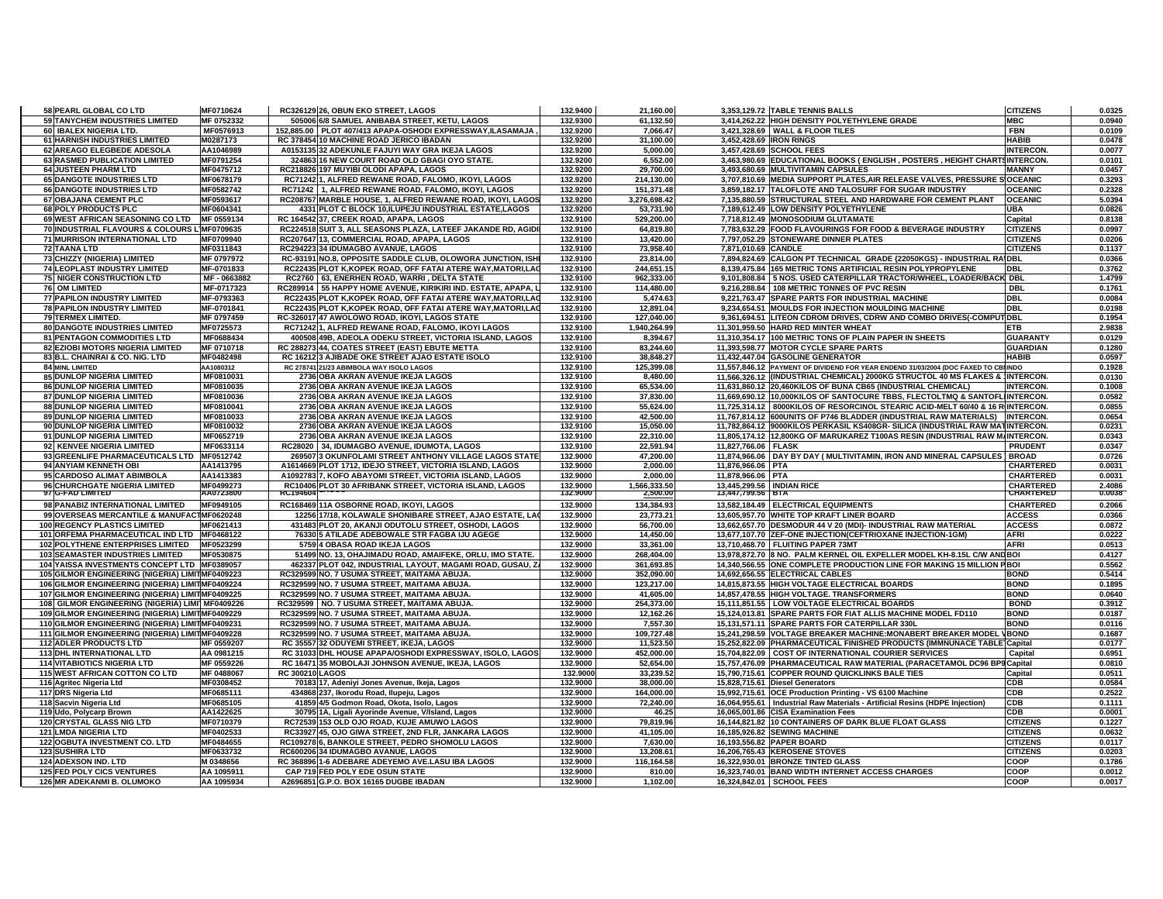| 58 PEARL GLOBAL CO LTD                            | MF0710624              | RC326129 26, OBUN EKO STREET, LAGOS                                        | 132.9400             | 21,160.00                | 3,353,129.72 TABLE TENNIS BALLS                                                    | <b>CITIZENS</b>               | 0.0325           |
|---------------------------------------------------|------------------------|----------------------------------------------------------------------------|----------------------|--------------------------|------------------------------------------------------------------------------------|-------------------------------|------------------|
| 59 TANYCHEM INDUSTRIES LIMITED                    | MF 0752332             | 505006 6/8 SAMUEL ANIBABA STREET, KETU, LAGOS                              | 132.9300             | 61,132.50                | 3,414,262.22 HIGH DENSITY POLYETHYLENE GRADE                                       | <b>MBC</b>                    | 0.0940           |
| 60 IBALEX NIGERIA LTD.                            | MF0576913              | 152.885.00 PLOT 407/413 APAPA-OSHODI EXPRESSWAY.ILASAMAJA                  | 132.9200             | 7,066.47                 | 3.421.328.69 WALL & FLOOR TILES                                                    | <b>FBN</b>                    | 0.0109           |
| 61 HARNISH INDUSTRIES LIMITED                     | M0287173               | RC 378454 10 MACHINE ROAD JERICO IBADAN                                    | 132.9200             | 31,100.00                | 3,452,428.69 IRON RINGS                                                            | <b>HABIB</b>                  | 0.0478           |
| 62 AREAGO ELEGBEDE ADESOLA                        | AA1046989              | A0153135 32 ADEKUNLE FAJUYI WAY GRA IKEJA LAGOS                            | 132.9200             | 5,000.00                 | 3,457,428.69 SCHOOL FEES                                                           | <b>INTERCON.</b>              | 0.0077           |
| 63 RASMED PUBLICATION LIMITED                     | MF0791254              | 324863 16 NEW COURT ROAD OLD GBAGI OYO STATE.                              | 132.9200             | 6,552.00                 | 3,463,980.69 EDUCATIONAL BOOKS (ENGLISH, POSTERS, HEIGHT CHARTSINTERCON.           |                               | 0.0101           |
| 64 JUSTEEN PHARM LTD                              | MF0475712              | RC218826 197 MUYIBI OLODI APAPA, LAGOS                                     | 132.9200             | 29,700.00                | 3,493,680.69 MULTIVITAMIN CAPSULES                                                 | <b>MANNY</b>                  | 0.0457           |
| 65 DANGOTE INDUSTRIES LTD                         | MF0678179              | RC71242 1, ALFRED REWANE ROAD, FALOMO, IKOYI, LAGOS                        | 132.9200             | 214,130.00               | 3,707,810.69 MEDIA SUPPORT PLATES,AIR RELEASE VALVES, PRESSURE SIOCEANIC           |                               | 0.3293           |
| 66 DANGOTE INDUSTRIES LTD                         | MF0582742              | RC71242 1, ALFRED REWANE ROAD, FALOMO, IKOYI, LAGOS                        | 132.9200             | 151,371.48               | 3,859,182.17 TALOFLOTE AND TALOSURF FOR SUGAR INDUSTRY                             | <b>OCEANIC</b>                | 0.2328           |
| 67 OBAJANA CEMENT PLC                             | MF0593617              | RC208767 MARBLE HOUSE, 1, ALFRED REWANE ROAD, IKOYI, LAGOS                 | 132.9200             | 3,276,698.42             | 7,135,880.59 STRUCTURAL STEEL AND HARDWARE FOR CEMENT PLANT                        | <b>OCEANIC</b>                | 5.0394           |
| 68 POLY PRODUCTS PLC                              | MF0604341              | 4331 PLOT C BLOCK 10, ILUPEJU INDUSTRIAL ESTATE, LAGOS                     | 132.9200             | 53,731.90                | 7,189,612.49 LOW DENSITY POLYETHYLENE                                              | <b>UBA</b>                    | 0.0826           |
| 69 WEST AFRICAN SEASONING CO LTD MF 0559134       |                        | RC 164542 37, CREEK ROAD, APAPA, LAGOS                                     | 132.9100             | 529,200.00               | 7,718,812.49 MONOSODIUM GLUTAMATE                                                  | Capital                       | 0.8138           |
| 70 INDUSTRIAL FLAVOURS & COLOURS L'MF0709635      |                        | RC224518 SUIT 3, ALL SEASONS PLAZA, LATEEF JAKANDE RD, AGIDI               | 132.9100             | 64,819.80                | 7,783,632.29 FOOD FLAVOURINGS FOR FOOD & BEVERAGE INDUSTRY                         | <b>CITIZENS</b>               | 0.0997           |
| 71 MURRISON INTERNATIONAL LTD                     | MF0709940              | RC207647 13, COMMERCIAL ROAD, APAPA, LAGOS                                 | 132.9100             | 13,420.00                | 7,797,052.29 STONEWARE DINNER PLATES                                               | <b>CITIZENS</b>               | 0.0206           |
| <b>72 TAANA LTD</b>                               | MF0311843              | RC294223 34 IDUMAGBO AVANUE. LAGOS                                         | 132.9100             | 73.958.40                | 7.871.010.69 CANDLE                                                                | <b>CITIZENS</b>               | 0.1137           |
| 73 CHIZZY {NIGERIA} LIMITED                       | MF 0797972             | RC-93191 NO.8, OPPOSITE SADDLE CLUB, OLOWORA JUNCTION, ISH                 | 132.9100             | 23,814.00                | 7,894,824.69 CALGON PT TECHNICAL GRADE {22050KGS} - INDUSTRIAL RA DBL              |                               | 0.0366           |
| 74 LEOPLAST INDUSTRY LIMITED                      | MF-0701833             | RC22435 PLOT K, KOPEK ROAD, OFF FATAI ATERE WAY, MATORI, LAC               | 132.9100             | 244,651.15               | 8,139,475.84 165 METRIC TONS ARTIFICIAL RESIN POLYPROPYLENE                        | <b>DBL</b>                    | 0.3762           |
| <b>75 NIGER CONSTRUCTION LTD</b>                  | MF-0663882             | RC2760 63. ENERHEN ROAD. WARRI . DELTA STATE                               | 132.9100             | 962.333.00               | 9.101.808.84 5 NOS. USED CATERPILLAR TRACTOR/WHEEL. LOADER/BACK DBL                |                               | 1.4799           |
| 76 OM LIMITED                                     | MF-0717323             | RC289914 55 HAPPY HOME AVENUE, KIRIKIRI IND. ESTATE, APAPA, L              | 132.9100             | 114,480.00               | 9,216,288.84 108 METRIC TONNES OF PVC RESIN                                        | <b>DBL</b>                    | 0.1761           |
| 77 PAPILON INDUSTRY LIMITED                       | MF-0793363             | RC22435 PLOT K, KOPEK ROAD, OFF FATAI ATERE WAY, MATORI, LAG               | 132.9100             | 5,474.63                 | 9.221.763.47 SPARE PARTS FOR INDUSTRIAL MACHINE                                    | <b>DBL</b>                    | 0.0084           |
| <b>78 PAPILON INDUSTRY LIMITED</b>                | MF-0701841             | RC22435 PLOT K, KOPEK ROAD, OFF FATAI ATERE WAY, MATORI, LAG               | 132.9100             | 12,891.04                | 9.234.654.51 MOULDS FOR INJECTION MOULDING MACHINE                                 | <b>DBL</b>                    | 0.0198           |
| 79 TERMEX LIMITED.                                | MF 0797459             | RC-326017 47 AWOLOWO ROAD, IKOYI, LAGOS STATE                              | 132.9100             | 127,040.00               | 9,361,694.51 LITEON CDROM DRIVES, CDRW AND COMBO DRIVES(-COMPUT DBL                |                               | 0.1954           |
| <b>80 DANGOTE INDUSTRIES LIMITED</b>              | MF0725573              | RC71242 1, ALFRED REWANE ROAD, FALOMO, IKOYI LAGOS                         | 132.9100             | 1,940,264.99             | 11,301,959.50 HARD RED MINTER WHEAT                                                | ETB                           | 2.9838           |
| <b>81 PENTAGON COMMODITIES LTD</b>                | MF0688434              | 400508 49B, ADEOLA ODEKU STREET, VICTORIA ISLAND, LAGOS                    | 132.9100             | 8.394.67                 | 11,310,354.17 100 METRIC TONS OF PLAIN PAPER IN SHEETS                             | <b>GUARANTY</b>               | 0.0129           |
| 82 EZIOBI MOTORS NIGERIA LIMITED                  | MF 0710718             | RC 288273 44, COATES STREET (EAST) EBUTE METTA                             | 132.9100             | 83.244.60                | 11,393,598.77 MOTOR CYCLE SPARE PARTS                                              | <b>GUARDIAN</b>               | 0.1280           |
| 83 B.L. CHAINRAI & CO. NIG. LTD                   | MF0482498              | RC 16212 3 AJIBADE OKE STREET AJAO ESTATE ISOLO                            | 132.9100             | 38,848.27                | 11,432,447.04 GASOLINE GENERATOR                                                   | <b>HABIB</b>                  | 0.0597           |
| <b>84 MINL LIMITED</b>                            | AA1080312              | RC 278741 21/23 ABIMBOLA WAY ISOLO LAGOS                                   | 132.9100             | 125.399.08               | 11,557,846.12 PAYMENT OF DIVIDEND FOR YEAR ENDEND 31/03/2004 (DOC FAXED TO CBIINDO |                               | 0.1928           |
| 85 DUNLOP NIGERIA LIMITED                         | MF0810031              | 2736 OBA AKRAN AVENUE IKEJA LAGOS                                          | 132.9100             | 8,480.00                 | 11,566,326.12 (INDUSTRIAL CHEMICAL) 2000KG STRUCTOL 40 MS FLAKES & 1NTERCON.       |                               | 0.0130           |
|                                                   |                        |                                                                            |                      |                          |                                                                                    |                               |                  |
| 86 DUNLOP NIGERIA LIMITED                         | MF0810035              | 2736 OBA AKRAN AVENUE IKEJA LAGOS                                          | 132.9100             | 65,534.00                | 11,631,860.12 20,460KILOS OF BUNA CB65 (INDUSTRIAL CHEMICAL)                       | <b>INTERCON.</b>              | 0.1008           |
| <b>87 DUNLOP NIGERIA LIMITED</b>                  | MF0810036              | 2736 OBA AKRAN AVENUE IKEJA LAGOS                                          | 132.9100             | 37.830.00                | 11.669.690.12 10.000KILOS OF SANTOCURE TBBS. FLECTOLTMQ & SANTOFLIINTERCON.        |                               | 0.0582           |
| <b>88 DUNLOP NIGERIA LIMITED</b>                  | MF0810041              | 2736 OBA AKRAN AVENUE IKEJA LAGOS                                          | 132.9100             | 55,624.00                | 11,725,314.12 8000KILOS OF RESORCINOL STEARIC ACID-MELT 60/40 & 16 RINTERCON       |                               | 0.0855           |
| 89 DUNLOP NIGERIA LIMITED                         | MF0810033              | 2736 OBA AKRAN AVENUE IKEJA LAGOS                                          | 132.9100             | 42,500.00                | 11,767,814.12 600UNITS OF P746 BLADDER (INDUSTRIAL RAW MATERIALS) INTERCON         |                               | 0.0654           |
| 90 DUNLOP NIGERIA LIMITED                         | MF0810032              | 2736 OBA AKRAN AVENUE IKEJA LAGOS                                          | 132.9100             | 15,050.00                | 11,782,864.12 9000KILOS PERKASIL KS408GR- SILICA (INDUSTRIAL RAW MATINTERCON.      |                               | 0.0231           |
| 91 DUNLOP NIGERIA LIMITED                         | MF0652719              | 2736 OBA AKRAN AVENUE IKEJA LAGOS                                          | 132.9100             | 22,310.00                | 11,805,174.12 12,800KG OF MARUKAREZ T100AS RESIN (INDUSTRIAL RAW M/INTERCON.       |                               | 0.0343           |
| 92 KENVEE NIGERIA LIMITED                         | MF0633114              | RC28020 34, IDUMAGBO AVENUE, IDUMOTA, LAGOS                                | 132.9100             | 22,591.94                | 11,827,766.06 FLASK                                                                | <b>PRUDENT</b>                | 0.0347           |
| 93 GREENLIFE PHARMACEUTICALS LTD MF0512742        |                        | 269507 3 OKUNFOLAMI STREET ANTHONY VILLAGE LAGOS STATE                     | 132.9000             | 47,200.00                | 11,874,966.06 DAY BY DAY ( MULTIVITAMIN, IRON AND MINERAL CAPSULES                 | <b>BROAD</b>                  | 0.0726           |
| 94 ANYIAM KENNETH OBI                             | AA1413795              | A1614669 PLOT 1712, IDEJO STREET, VICTORIA ISLAND, LAGOS                   | 132.9000             | 2,000.00                 | 11,876,966.06 PTA                                                                  | <b>CHARTERED</b>              | 0.0031           |
| 95 CARDOSO ALIMAT ABIMBOLA                        | AA1413383              | A1092783 7, KOFO ABAYOMI STREET, VICTORIA ISLAND, LAGOS                    | 132.9000             | 2,000.00                 | 11,878,966.06 PTA                                                                  | <b>CHARTERED</b>              | 0.0031           |
| 96 CHURCHGATE NIGERIA LIMITED<br>97 G-FAD LIMITED | MF0499273<br>AA0723800 | RC10406 PLOT 30 AFRIBANK STREET, VICTORIA ISLAND, LAGOS<br><b>RC194604</b> | 132.9000<br>132.9000 | 1,566,333.50<br>2,500.00 | 13,445,299.56 INDIAN RICE<br>13,447,799.56 BIA                                     | CHARTERED<br><b>CHARTERED</b> | 2.4086<br>0.0038 |
|                                                   |                        |                                                                            |                      |                          |                                                                                    |                               |                  |
| 98 PANABIZ INTERNATIONAL LIMITED                  | MF0949105              | RC168469 11A OSBORNE ROAD, IKOYI, LAGOS                                    | 132.9000             | 134,384.93               | 13,582,184.49 ELECTRICAL EQUIPMENTS                                                | <b>CHARTERED</b>              | 0.2066           |
| 99 OVERSEAS MERCANTILE & MANUFACTMF0620248        |                        | 12256 17/18. KOLAWALE SHONIBARE STREET. AJAO ESTATE. LAO                   | 132.9000             | 23.773.21                | 13.605.957.70 WHITE TOP KRAFT LINER BOARD                                          | <b>ACCESS</b>                 | 0.0366           |
| <b>100 REGENCY PLASTICS LIMITED</b>               | MF0621413              | 431483 PLOT 20, AKANJI ODUTOLU STREET, OSHODI, LAGOS                       | 132.9000             | 56,700.00                | 13,662,657.70 DESMODUR 44 V 20 (MDI)- INDUSTRIAL RAW MATERIAL                      | <b>ACCESS</b>                 | 0.0872           |
| 101 ORFEMA PHARMACEUTICAL IND LTD MF0468122       |                        | 76330 5 ATILADE ADEBOWALE STR FAGBA IJU AGEGE                              | 132.9000             | 14,450.00                | 13,677,107.70 ZEF-ONE INJECTION(CEFTRIOXANE INJECTION-1GM)                         | <b>AFRI</b>                   | 0.0222           |
| 102 POLYTHENE ENTERPRISES LIMITED                 | MF0523299              | 5759 4 OBASA ROAD IKEJA LAGOS                                              | 132.9000             | 33.361.00                | 13.710.468.70 FLUITING PAPER 73MT                                                  | <b>AFRI</b>                   | 0.0513           |
| 103 SEAMASTER INDUSTRIES LIMITED                  | MF0530875              | 51499 NO. 13, OHAJIMADU ROAD, AMAIFEKE, ORLU, IMO STATE.                   | 132.9000             | 268,404.00               | 13,978,872.70 8 NO. PALM KERNEL OIL EXPELLER MODEL KH-8.15L C/W AND BOI            |                               | 0.4127           |
| 104 YAISSA INVESTMENTS CONCEPT LTD MF0389057      |                        | 462337 PLOT 042, INDUSTRIAL LAYOUT, MAGAMI ROAD, GUSAU, Z/                 | 132.9000             | 361,693.85               | 14,340,566.55 ONE COMPLETE PRODUCTION LINE FOR MAKING 15 MILLION PBOI              |                               | 0.5562           |
| 105 GILMOR ENGINEERING (NIGERIA) LIMITMF0409223   |                        | RC329599 NO. 7 USUMA STREET, MAITAMA ABUJA.                                | 132.9000             | 352,090.00               | 14,692,656.55 ELECTRICAL CABLES                                                    | <b>BOND</b>                   | 0.5414           |
| 106 GILMOR ENGINEERING (NIGERIA) LIMITMF0409224   |                        | RC329599 NO. 7 USUMA STREET, MAITAMA ABUJA                                 | 132.9000             | 123,217.00               | 14,815,873.55 HIGH VOLTAGE ELECTRICAL BOARDS                                       | <b>BOND</b>                   | 0.1895           |
| 107 GILMOR ENGINEERING (NIGERIA) LIMITMF0409225   |                        | RC329599 NO. 7 USUMA STREET, MAITAMA ABUJA                                 | 132.9000             | 41,605.00                | 14,857,478.55 HIGH VOLTAGE. TRANSFORMERS                                           | <b>BOND</b>                   | 0.0640           |
| 108 GILMOR ENGINEERING (NIGERIA) LIMI MF0409226   |                        | RC329599 NO. 7 USUMA STREET, MAITAMA ABUJA                                 | 132.9000             | 254,373.00               | 15,111,851.55 LOW VOLTAGE ELECTRICAL BOARDS                                        | <b>BOND</b>                   | 0.3912           |
| 109 GILMOR ENGINEERING (NIGERIA) LIMITMF0409229   |                        | RC329599 NO. 7 USUMA STREET, MAITAMA ABUJA.                                | 132.9000             | 12,162.26                | 15,124,013.81 SPARE PARTS FOR FIAT ALLIS MACHINE MODEL FD110                       | <b>BOND</b>                   | 0.0187           |
| 110 GILMOR ENGINEERING (NIGERIA) LIMITMF0409231   |                        | RC329599 NO. 7 USUMA STREET, MAITAMA ABUJA.                                | 132.9000             | 7,557.30                 | 15,131,571.11 SPARE PARTS FOR CATERPILLAR 330L                                     | <b>BOND</b>                   | 0.0116           |
| 111 GILMOR ENGINEERING (NIGERIA) LIMITMF0409228   |                        | RC329599 NO. 7 USUMA STREET. MAITAMA ABUJA.                                | 132.9000             | 109.727.48               | 15.241.298.59 VOLTAGE BREAKER MACHINE: MONABERT BREAKER MODEL                      | <b>VBOND</b>                  | 0.1687           |
|                                                   |                        |                                                                            |                      |                          |                                                                                    |                               | 0.0177           |
| <b>112 ADLER PRODUCTS LTD</b>                     | MF 0559207             | RC 35557 32 ODUYEMI STREET, IKEJA, LAGOS                                   | 132.9000             | 11,523.50                | 15,252,822.09 PHARMACEUTICAL FINISHED PRODUCTS (IMMNUNACE TABLE Capital            |                               |                  |
| 113 DHL INTERNATIONAL LTD                         | AA 0981215             | RC 31033 DHL HOUSE APAPA/OSHODI EXPRESSWAY, ISOLO, LAGOS                   | 132.9000             | 452,000.00               | 15,704,822.09 COST OF INTERNATIONAL COURIER SERVICES                               | Capital                       | 0.6951           |
| <b>114 VITABIOTICS NIGERIA LTD</b>                | MF 0559226             | RC 16471 35 MOBOLAJI JOHNSON AVENUE. IKEJA, LAGOS                          | 132.9000             | 52.654.00                | 15.757.476.09 PHARMACEUTICAL RAW MATERIAL (PARACETAMOL DC96 BP9 Capital            |                               | 0.0810           |
| 115 WEST AFRICAN COTTON CO LTD                    | MF 0488067             | <b>RC 300210 LAGOS</b>                                                     | 132.9000             | 33,239.52                | 15,790,715.61 COPPER ROUND QUICKLINKS BALE TIES                                    | Capital                       | 0.0511           |
| 116 Agritec Nigeria Ltd                           | MF0308452              | 70183 17, Adeniyi Jones Avenue, Ikeja, Lagos                               | 132.9000             | 38.000.00                | 15,828,715.61 Diesel Generators                                                    | <b>CDB</b>                    | 0.0584           |
| 117 DRS Nigeria Ltd                               | MF0685111              | 434868 237, Ikorodu Road, Ilupeju, Lagos                                   | 132.9000             | 164.000.00               | 15,992,715.61 OCE Production Printing - VS 6100 Machine                            | <b>CDB</b>                    | 0.2522           |
| 118 Sacvin Nigeria Ltd                            | MF0685105              | 41859 4/5 Godmon Road, Okota, Isolo, Lagos                                 | 132.9000             | 72,240.00                | 16,064,955.61   Industrial Raw Materials - Artificial Resins (HDPE Injection)      | CDB                           | 0.1111           |
| 119 Udo, Polycarp Brown                           | AA1422625              | 30795 1A, Ligali Ayorinde Avenue, V/Island, Lagos                          | 132.9000             | 46.25                    | 16,065,001.86 CISA Examination Fees                                                | <b>CDB</b>                    | 0.0001           |
| 120 CRYSTAL GLASS NIG LTD                         | MF0710379              | RC72539 153 OLD OJO ROAD, KUJE AMUWO LAGOS                                 | 132.9000             | 79,819.96                | 16,144,821.82 10 CONTAINERS OF DARK BLUE FLOAT GLASS                               | <b>CITIZENS</b>               | 0.1227           |
| <b>121 LMDA NIGERIA LTD</b>                       | MF0402533              | RC33927 45, OJO GIWA STREET, 2ND FLR, JANKARA LAGOS                        | 132.9000             | 41,105.00                | 16,185,926.82 SEWING MACHINE                                                       | <b>CITIZENS</b>               | 0.0632           |
| 122 OGBUTA INVESTMENT CO. LTD                     | MF0484655              | RC109278 6, BANKOLE STREET, PEDRO SHOMOLU LAGOS                            | 132.9000             | 7,630.00                 | 16,193,556.82 PAPER BOARD                                                          | <b>CITIZENS</b>               | 0.0117           |
| 123 SUSHIRA LTD                                   | MF0633732              | RC600206 34 IDUMAGBO AVANUE, LAGOS                                         | 132.9000             | 13,208.61                | 16,206,765.43 KEROSENE STOVES                                                      | <b>CITIZENS</b>               | 0.0203           |
| 124 ADEXSON IND. LTD                              | M 0348656              | RC 368896 1-6 ADEBARE ADEYEMO AVE.LASU IBA LAGOS                           | 132.9000             | 116,164.58               | 16.322.930.01 BRONZE TINTED GLASS                                                  | COOP                          | 0.1786           |
| 125 FED POLY CICS VENTURES                        | AA 1095911             | CAP 719 FED POLY EDE OSUN STATE                                            | 132.9000             | 810.00                   | 16,323,740.01 BAND WIDTH INTERNET ACCESS CHARGES                                   | COOP                          | 0.0012           |
| 126 MR ADEKANMI B. OLUMOKO                        | AA 1095934             | A2696851 G.P.O. BOX 16165 DUGBE IBADAN                                     | 132.9000             | 1.102.00                 | 16.324.842.01 SCHOOL FEES                                                          | COOP                          | 0.0017           |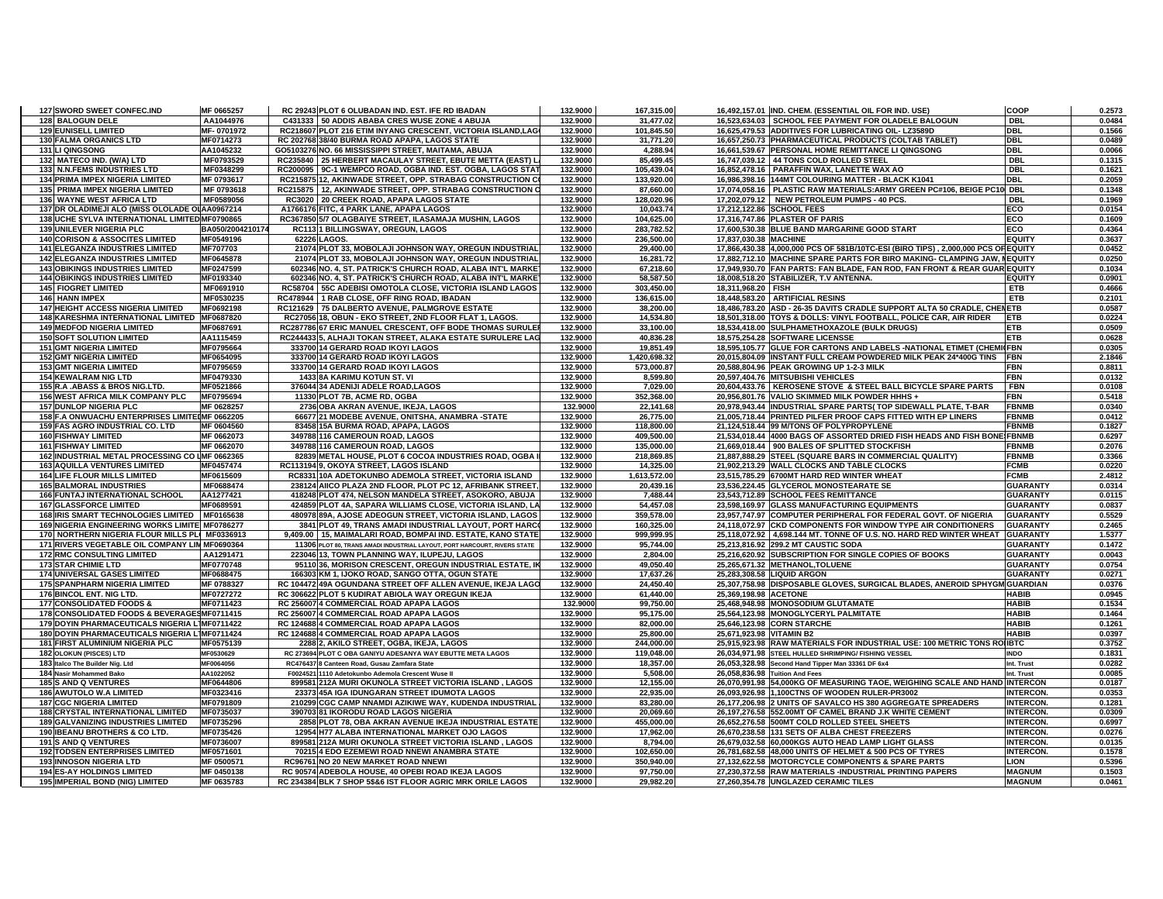| 127 SWORD SWEET CONFEC.IND                      | MF 0665257       | RC 29243 PLOT 6 OLUBADAN IND. EST. IFE RD IBADAN                          | 132.9000 | 167,315.00   |                          | 16,492,157.01 IND. CHEM. (ESSENTIAL OIL FOR IND. USE)                             | <b>COOP</b>      | 0.2573 |
|-------------------------------------------------|------------------|---------------------------------------------------------------------------|----------|--------------|--------------------------|-----------------------------------------------------------------------------------|------------------|--------|
| 128 BALOGUN DELE                                | AA1044976        | C431333 50 ADDIS ABABA CRES WUSE ZONE 4 ABUJA                             | 132.9000 | 31,477.02    |                          | 16,523,634.03 SCHOOL FEE PAYMENT FOR OLADELE BALOGUN                              | <b>DBL</b>       | 0.0484 |
| <b>129 EUNISELL LIMITED</b>                     | MF-0701972       | RC218607 PLOT 216 ETIM INYANG CRESCENT, VICTORIA ISLAND,LAG               | 132.9000 | 101,845.50   |                          | 16,625,479.53 ADDITIVES FOR LUBRICATING OIL- LZ3589D                              | <b>DBL</b>       | 0.1566 |
|                                                 | MF0714273        | RC 202768 38/40 BURMA ROAD APAPA, LAGOS STATE                             | 132.9000 |              |                          |                                                                                   | <b>DBL</b>       | 0.0489 |
| 130 FALMA ORGANICS LTD                          |                  |                                                                           |          | 31,771.20    |                          | 16,657,250.73 PHARMACEUTICAL PRODUCTS (COLTAB TABLET)                             |                  |        |
| 131 LI QINGSONG                                 | AA1045232        | GO5103276 NO. 66 MISSISSIPPI STREET, MAITAMA, ABUJA                       | 132.9000 | 4,288.94     |                          | 16,661,539.67 PERSONAL HOME REMITTANCE LI QINGSONG                                | <b>DBL</b>       | 0.0066 |
| 132 MATECO IND. (W/A) LTD                       | MF0793529        | RC235840 25 HERBERT MACAULAY STREET, EBUTE METTA (EAST) L                 | 132.9000 | 85,499.45    |                          | 16,747,039.12 44 TONS COLD ROLLED STEEL                                           | <b>DBL</b>       | 0.1315 |
| 133 N.N.FEMS INDUSTRIES LTD                     | MF0348299        | RC200095 9C-1 WEMPCO ROAD, OGBA IND. EST. OGBA, LAGOS STAT                | 132.9000 | 105,439.04   |                          | 16,852,478.16 PARAFFIN WAX, LANETTE WAX AO                                        | <b>DBL</b>       | 0.1621 |
| 134 PRIMA IMPEX NIGERIA LIMITED                 | MF 0793617       | RC215875 12, AKINWADE STREET, OPP. STRABAG CONSTRUCTION C                 | 132.9000 | 133,920.00   |                          | 16,986,398.16 144MT COLOURING MATTER - BLACK K1041                                | DBL              | 0.2059 |
| 135 PRIMA IMPEX NIGERIA LIMITED                 | MF 0793618       | RC215875   12, AKINWADE STREET, OPP. STRABAG CONSTRUCTION C               | 132.9000 | 87,660.00    |                          | 17,074,058.16 PLASTIC RAW MATERIALS: ARMY GREEN PC#106, BEIGE PC10                | ) DBL            | 0.1348 |
| 136 WAYNE WEST AFRICA LTD                       | MF0589056        | RC3020 20 CREEK ROAD, APAPA LAGOS STATE                                   | 132.9000 | 128,020.96   |                          | 17,202,079.12 NEW PETROLEUM PUMPS - 40 PCS.                                       | <b>DBL</b>       | 0.1969 |
| 137 DR OLADIMEJI ALO (MISS OLOLADE OLAA0967214  |                  | A1766176 FITC, 4 PARK LANE, APAPA LAGOS                                   | 132.9000 | 10,043.74    |                          | 17,212,122.86 SCHOOL FEES                                                         | ECO              | 0.0154 |
|                                                 |                  |                                                                           |          |              |                          |                                                                                   |                  |        |
| 138 UCHE SYLVA INTERNATIONAL LIMITED MF0790865  |                  | RC367850 5/7 OLAGBAIYE STREET, ILASAMAJA MUSHIN, LAGOS                    | 132.9000 | 104,625.00   |                          | 17,316,747.86 PLASTER OF PARIS                                                    | ECO              | 0.1609 |
| 139 UNILEVER NIGERIA PLC                        | BA050/2004210174 | RC113 1 BILLINGSWAY, OREGUN, LAGOS                                        | 132.9000 | 283,782.52   |                          | 17,600,530.38 BLUE BAND MARGARINE GOOD START                                      | ECO              | 0.4364 |
| <b>140 CORISON &amp; ASSOCITES LIMITED</b>      | MF0549196        | 62226 LAGOS.                                                              | 132.9000 | 236,500.00   | 17.837.030.38 MACHINE    |                                                                                   | <b>EQUIT</b>     | 0.3637 |
| <b>141 ELEGANZA INDUSTRIES LIMITED</b>          | MF707703         | 21074 PLOT 33, MOBOLAJI JOHNSON WAY, OREGUN INDUSTRIAL                    | 132.9000 | 29,400.00    |                          | 17,866,430.38 4,000,000 PCS OF 581B/10TC-ESI (BIRO TIPS), 2,000,000 PCS OF EQUITY |                  | 0.0452 |
| <b>142 ELEGANZA INDUSTRIES LIMITED</b>          | MF0645878        | 21074 PLOT 33, MOBOLAJI JOHNSON WAY, OREGUN INDUSTRIAL                    | 132.9000 | 16,281.72    |                          | 17,882,712.10 MACHINE SPARE PARTS FOR BIRO MAKING- CLAMPING JAW, NEQUITY          |                  | 0.0250 |
| <b>143 OBIKINGS INDUSTRIES LIMITED</b>          | MF0247599        | 602346 NO. 4, ST. PATRICK'S CHURCH ROAD, ALABA INT'L MARKE                | 132.9000 | 67,218.60    |                          | 17,949,930.70 FAN PARTS: FAN BLADE, FAN ROD, FAN FRONT & REAR GUAR EQUITY         |                  | 0.1034 |
| <b>144 OBIKINGS INDUSTRIES LIMITED</b>          | MF0193340        | 602346 NO. 4, ST. PATRICK'S CHURCH ROAD, ALABA INT'L MARKE                | 132.9000 | 58,587.50    |                          | 18,008,518.20 STABILIZER, T.V ANTENNA.                                            | <b>EQUITY</b>    | 0.0901 |
| <b>145 FIOGRET LIMITED</b>                      | MF0691910        | RC58704 55C ADEBISI OMOTOLA CLOSE, VICTORIA ISLAND LAGOS                  | 132.9000 | 303,450.00   | 18,311,968.20 FISH       |                                                                                   | ETB              | 0.4666 |
|                                                 |                  |                                                                           |          |              |                          |                                                                                   |                  |        |
| 146 HANN IMPEX                                  | MF0530235        | RC478944   1 RAB CLOSE, OFF RING ROAD, IBADAN                             | 132.9000 | 136,615.00   |                          | 18,448,583.20 ARTIFICIAL RESINS                                                   | <b>ETB</b>       | 0.2101 |
| <b>147 HEIGHT ACCESS NIGERIA LIMITED</b>        | MF0692198        | RC121629 75 DALBERTO AVENUE, PALMGROVE ESTATE                             | 132.9000 | 38,200.00    |                          | 18,486,783.20 ASD - 26-35 DAVITS CRADLE SUPPORT ALTA 50 CRADLE, CHENETB           |                  | 0.0587 |
| 148 KARESHMA INTERNATIONAL LIMITED MF0687820    |                  | RC27056 18, OBUN - EKO STREET, 2ND FLOOR FLAT 1, LAGOS.                   | 132.9000 | 14,534.80    |                          | 18,501,318.00 TOYS & DOLLS: VINYL FOOTBALL, POLICE CAR, AIR RIDER                 | <b>ETB</b>       | 0.0224 |
| <b>149 MEDFOD NIGERIA LIMITED</b>               | MF0687691        | RC287786 67 ERIC MANUEL CRESCENT, OFF BODE THOMAS SURULER                 | 132.9000 | 33.100.00    |                          | 18,534,418.00 SULPHAMETHOXAZOLE (BULK DRUGS)                                      | <b>ETB</b>       | 0.0509 |
| <b>150 SOFT SOLUTION LIMITED</b>                | AA1115459        | RC244433 5, ALHAJI TOKAN STREET, ALAKA ESTATE SURULERE LAG                | 132.9000 | 40,836.28    |                          | 18,575,254.28 SOFTWARE LICENSSE                                                   | ETB              | 0.0628 |
| <b>151 GMT NIGERIA LIMITED</b>                  | MF0795664        | 333700 14 GERARD ROAD IKOYI LAGOS                                         | 132.9000 | 19,851.49    |                          | 18,595,105.77 GLUE FOR CARTONS AND LABELS -NATIONAL ETIMET (CHEMI FBN             |                  | 0.0305 |
| <b>152 GMT NIGERIA LIMITED</b>                  | MF0654095        | 333700 14 GERARD ROAD IKOYI LAGOS                                         | 132.9000 | 1,420,698.32 |                          | 20,015,804.09 INSTANT FULL CREAM POWDERED MILK PEAK 24*400G TINS                  | <b>FBN</b>       | 2.1846 |
|                                                 |                  |                                                                           |          |              |                          |                                                                                   |                  |        |
| <b>153 GMT NIGERIA LIMITED</b>                  | MF0795659        | 333700 14 GERARD ROAD IKOYI LAGOS                                         | 132.9000 | 573,000.87   |                          | 20,588,804.96 PEAK GROWING UP 1-2-3 MILK                                          | FBN              | 0.8811 |
| <b>154 KEWALRAM NIG LTD</b>                     | MF0479330        | 1433 8A KARIMU KOTUN ST. VI                                               | 132.9000 | 8,599.80     |                          | 20,597,404.76 MITSUBISHI VEHICLES                                                 | <b>FBN</b>       | 0.0132 |
| 155 R.A. ABASS & BROS NIG.LTD.                  | MF0521866        | 376044 34 ADENIJI ADELE ROAD, LAGOS                                       | 132.9000 | 7,029.00     |                          | 20,604,433.76   KEROSENE STOVE & STEEL BALL BICYCLE SPARE PARTS                   | <b>FBN</b>       | 0.0108 |
| <b>156 WEST AFRICA MILK COMPANY PLC</b>         | MF0795694        | 11330 PLOT 7B, ACME RD, OGBA                                              | 132.9000 | 352,368.00   |                          | 20,956,801.76 VALIO SKIMMED MILK POWDER HHHS +                                    | <b>FBN</b>       | 0.5418 |
| <b>157 DUNLOP NIGERIA PLC</b>                   | MF 0628257       | 2736 OBA AKRAN AVENUE, IKEJA, LAGOS                                       | 132.9000 | 22,141.68    |                          | 20,978,943.44 INDUSTRIAL SPARE PARTS(TOP SIDEWALL PLATE, T-BAR                    | <b>FBNMB</b>     | 0.0340 |
| 158 F.A ONWUACHU ENTERPRISES LIMITEIMF 0662205  |                  | 66677 21 MODEBE AVENUE, ONITSHA, ANAMBRA -STATE                           | 132.9000 | 26,775.00    |                          | 21,005,718.44 PRINTED PILFER PROOF CAPS FITTED WITH EP LINERS                     | <b>FBNMB</b>     | 0.0412 |
| 159 FAS AGRO INDUSTRIAL CO. LTD                 | MF 0604560       | 83458 15A BURMA ROAD, APAPA, LAGOS                                        | 132.9000 | 118,800.00   |                          | 21,124,518.44 99 M/TONS OF POLYPROPYLENE                                          | <b>FBNMB</b>     | 0.1827 |
| <b>160 FISHWAY LIMITED</b>                      | MF 0662073       | 349788 116 CAMEROUN ROAD, LAGOS                                           | 132.9000 | 409,500.00   |                          | 21,534,018.44 4000 BAGS OF ASSORTED DRIED FISH HEADS AND FISH BONE! FBNMB         |                  | 0.6297 |
|                                                 |                  |                                                                           |          |              |                          |                                                                                   |                  |        |
| <b>161 FISHWAY LIMITED</b>                      | MF 0662070       | 349788 116 CAMEROUN ROAD, LAGOS                                           | 132.9000 | 135,000.00   |                          | 21,669,018.44 900 BALES OF SPLITTED STOCKFISH                                     | <b>FBNMB</b>     | 0.2076 |
| 162 INDUSTRIAL METAL PROCESSING CO LMF 0662365  |                  | 82839 METAL HOUSE, PLOT 6 COCOA INDUSTRIES ROAD, OGBA                     | 132.9000 | 218,869.85   |                          | 21,887,888.29 STEEL (SQUARE BARS IN COMMERCIAL QUALITY)                           | <b>FBNMB</b>     | 0.3366 |
| <b>163 AQUILLA VENTURES LIMITED</b>             | MF0457474        | RC113194 9, OKOYA STREET, LAGOS ISLAND                                    | 132.9000 | 14,325.00    |                          | 21,902,213.29 WALL CLOCKS AND TABLE CLOCKS                                        | <b>FCMB</b>      | 0.0220 |
| <b>164 LIFE FLOUR MILLS LIMITED</b>             | MF0615609        | RC8331 10A ADETOKUNBO ADEMOLA STREET, VICTORIA ISLAND                     | 132.9000 | 1,613,572.00 |                          | 23,515,785.29 6700MT HARD RED WINTER WHEAT                                        | <b>FCMB</b>      | 2.4812 |
| <b>165 BALMORAL INDUSTRIES</b>                  | MF0688474        | 238124 AIICO PLAZA 2ND FLOOR, PLOT PC 12, AFRIBANK STREET                 | 132.9000 | 20,439.16    |                          | 23,536,224.45 GLYCEROL MONOSTEARATE SE                                            | <b>GUARANTY</b>  | 0.0314 |
| 166 FUNTAJ INTERNATIONAL SCHOOL                 | AA1277421        | 418248 PLOT 474, NELSON MANDELA STREET, ASOKORO, ABUJA                    | 132.9000 | 7,488.44     |                          | 23,543,712.89 SCHOOL FEES REMITTANCE                                              | <b>GUARANTY</b>  | 0.0115 |
| <b>167 GLASSFORCE LIMITED</b>                   | MF0689591        | 424859 PLOT 4A, SAPARA WILLIAMS CLOSE, VICTORIA ISLAND, LA                | 132.9000 | 54,457.08    |                          | 23,598,169.97 GLASS MANUFACTURING EQUIPMENTS                                      | <b>GUARANTY</b>  | 0.0837 |
|                                                 |                  | 480978 89A, AJOSE ADEOGUN STREET, VICTORIA ISLAND, LAGOS                  | 132.9000 | 359,578.00   |                          | 23,957,747.97 COMPUTER PERIPHERAL FOR FEDERAL GOVT. OF NIGERIA                    | <b>GUARANTY</b>  | 0.5529 |
| 168 IRIS SMART TECHNOLOGIES LIMITED   MF0165638 |                  |                                                                           |          |              |                          |                                                                                   |                  |        |
| 169 NIGERIA ENGINEERING WORKS LIMITE MF0786277  |                  | 3841 PLOT 49, TRANS AMADI INDUSTRIAL LAYOUT, PORT HARC                    | 132.9000 | 160,325.00   |                          | 24,118,072.97 CKD COMPONENTS FOR WINDOW TYPE AIR CONDITIONERS                     | <b>GUARANTY</b>  | 0.2465 |
| 170 NORTHERN NIGERIA FLOUR MILLS PLI MF0336913  |                  | 9,409.00 15, MAIMALARI ROAD, BOMPAI IND. ESTATE, KANO STATE               | 132.9000 | 999,999.95   |                          | 25,118,072.92 4,698.144 MT. TONNE OF U.S. NO. HARD RED WINTER WHEAT               | <b>GUARANTY</b>  | 1.5377 |
| 171 RIVERS VEGETABLE OIL COMPANY LIN MF0690364  |                  | 11306 PLOT 80, TRANS AMADI INDUSTRIAL LAYOUT, PORT HARCOURT, RIVERS STATE | 132.9000 | 95,744.00    |                          | 25,213,816.92 299.2 MT CAUSTIC SODA                                               | <b>GUARANTY</b>  | 0.1472 |
| <b>172 RMC CONSULTING LIMITED</b>               | AA1291471        | 223046 13, TOWN PLANNING WAY, ILUPEJU, LAGOS                              | 132.9000 | 2,804.00     |                          | 25,216,620.92 SUBSCRIPTION FOR SINGLE COPIES OF BOOKS                             | <b>GUARANTY</b>  | 0.0043 |
| <b>173 STAR CHIMIE LTD</b>                      | MF0770748        | 95110 36, MORISON CRESCENT, OREGUN INDUSTRIAL ESTATE, IM                  | 132.9000 | 49,050.40    |                          | 25,265,671.32 METHANOL, TOLUENE                                                   | <b>GUARANTY</b>  | 0.0754 |
| 174 UNIVERSAL GASES LIMITED                     | MF0688475        | 166303 KM 1, IJOKO ROAD, SANGO OTTA, OGUN STATE                           | 132.9000 | 17,637.26    |                          | 25,283,308.58 LIQUID ARGON                                                        | <b>GUARANTY</b>  | 0.0271 |
|                                                 |                  |                                                                           |          |              |                          |                                                                                   |                  |        |
| <b>175 SPANPHARM NIGERIA LIMITED</b>            | MF 0788327       | RC 104472 49A OGUNDANA STREET OFF ALLEN AVENUE, IKEJA LAGO                | 132.9000 | 24,450.40    |                          | 25,307,758.98 DISPOSABLE GLOVES, SURGICAL BLADES, ANEROID SPHYGM GUARDIAN         |                  | 0.0376 |
| 176 BINCOL ENT. NIG LTD.                        | MF0727272        | RC 306622 PLOT 5 KUDIRAT ABIOLA WAY OREGUN IKEJA                          | 132.9000 | 61,440.00    | 25,369,198.98 ACETONE    |                                                                                   | <b>HABIB</b>     | 0.0945 |
| 177 CONSOLIDATED FOODS &                        | MF0711423        | RC 256007 4 COMMERCIAL ROAD APAPA LAGOS                                   | 132.9000 | 99,750.00    |                          | 25,468,948.98 MONOSODIUM GLUTAMATE                                                | <b>HABIB</b>     | 0.1534 |
| 178 CONSOLIDATED FOODS & BEVERAGESMF0711415     |                  | RC 256007 4 COMMERCIAL ROAD APAPA LAGOS                                   | 132.9000 | 95,175.00    |                          | 25,564,123.98 MONOGLYCERYL PALMITATE                                              | <b>HABIB</b>     | 0.1464 |
| 179 DOYIN PHARMACEUTICALS NIGERIA LIMF0711422   |                  | RC 124688 4 COMMERCIAL ROAD APAPA LAGOS                                   | 132.9000 | 82.000.00    |                          | 25.646.123.98 CORN STARCHE                                                        | <b>HABIB</b>     | 0.1261 |
| 180 DOYIN PHARMACEUTICALS NIGERIA L1MF0711424   |                  | RC 124688 4 COMMERCIAL ROAD APAPA LAGOS                                   | 132.9000 | 25,800.00    | 25,671,923.98 VITAMIN B2 |                                                                                   | HABIB            | 0.0397 |
| 181 FIRST ALUMINIUM NIGERIA PLC                 | MF0575139        | 2288 2, AKILO STREET, OGBA, IKEJA, LAGOS                                  | 132.9000 | 244,000.00   |                          | 25,915,923.98 RAW MATERIALS FOR INDUSTRIAL USE: 100 METRIC TONS ROIIBTC           |                  | 0.3752 |
|                                                 |                  |                                                                           |          |              |                          |                                                                                   |                  |        |
| 182 OLOKUN (PISCES) LTD                         | MF0530629        | RC 273694 PLOT C OBA GANIYU ADESANYA WAY EBUTTE META LAGOS                | 132.9000 | 119,048.00   |                          | 26,034,971.98 STEEL HULLED SHRIMPING/ FISHING VESSEL                              | <b>INDO</b>      | 0.1831 |
| 183 Italco The Builder Nig. Ltd                 | MF0064056        | RC476437 8 Canteen Road, Gusau Zamfara State                              | 132.9000 | 18,357.00    |                          | 26,053,328.98 Second Hand Tipper Man 33361 DF 6x4                                 | Int. Trust       | 0.0282 |
| 184 Nasir Mohammed Bako                         | AA1022052        | F0024521 1110 Adetokunbo Ademola Crescent Wuse II                         | 132.9000 | 5,508.00     |                          | 26,058,836.98 Tuition And Fees                                                    | Int. Trust       | 0.0085 |
| 185 S AND Q VENTURES                            | MF0644806        | 899581 212A MURI OKUNOLA STREET VICTORIA ISLAND, LAGOS                    | 132.9000 | 12,155.00    |                          | 26,070,991.98 54,000KG OF MEASURING TAOE, WEIGHING SCALE AND HAND INTERCON        |                  | 0.0187 |
| <b>186 AWUTOLO W.A LIMITED</b>                  | MF0323416        | 23373 45A IGA IDUNGARAN STREET IDUMOTA LAGOS                              | 132.9000 | 22,935.00    |                          | 26,093,926.98 1,100CTNS OF WOODEN RULER-PR3002                                    | <b>INTERCON.</b> | 0.0353 |
| <b>187 CGC NIGERIA LIMITED</b>                  | MF0791809        | 210299 CGC CAMP NNAMDI AZIKIWE WAY, KUDENDA INDUSTRIAL                    | 132.9000 | 83,280.00    |                          | 26,177,206.98 2 UNITS OF SAVALCO HS 380 AGGREGATE SPREADERS                       | <b>INTERCON.</b> | 0.1281 |
| <b>188 CRYSTAL INTERNATIONAL LIMITED</b>        | MF0735037        | 390703 81 IKORODU ROAD LAGOS NIGERIA                                      | 132.9000 | 20,069.60    |                          | 26,197,276.58 552.00MT OF CAMEL BRAND J.K WHITE CEMENT                            | <b>INTERCON.</b> | 0.0309 |
| <b>189 GALVANIZING INDUSTRIES LIMITED</b>       | MF0735296        | 2858 PLOT 78, OBA AKRAN AVENUE IKEJA INDUSTRIAL ESTATE                    | 132.9000 | 455,000.00   |                          | 26,652,276.58 500MT COLD ROLLED STEEL SHEETS                                      | <b>INTERCON.</b> | 0.6997 |
|                                                 |                  |                                                                           |          |              |                          |                                                                                   |                  |        |
| 190 IBEANU BROTHERS & CO LTD.                   | MF0735426        | 12954 H77 ALABA INTERNATIONAL MARKET OJO LAGOS                            | 132.9000 | 17,962.00    |                          | 26,670,238.58 131 SETS OF ALBA CHEST FREEZERS                                     | <b>INTERCON.</b> | 0.0276 |
| 191 S AND Q VENTURES                            | MF0736007        | 899581 212A MURI OKUNOLA STREET VICTORIA ISLAND , LAGOS                   | 132.9000 | 8.794.00     |                          | 26.679.032.58 60.000KGS AUTO HEAD LAMP LIGHT GLASS                                | <b>INTERCON.</b> | 0.0135 |
| <b>192 TODSEN ENTERPRISES LIMITED</b>           | MF0571601        | 70215 4 EDO EZEMEWI ROAD NNEWI ANAMBRA STATE                              | 132.9000 | 102,650.00   |                          | 26,781,682.58 48,000 UNITS OF HELMET & 500 PCS OF TYRES                           | <b>INTERCON.</b> | 0.1578 |
| <b>193 INNOSON NIGERIA LTD</b>                  | MF 0500571       | RC96761 NO 20 NEW MARKET ROAD NNEWI                                       | 132.9000 | 350,940.00   |                          | 27,132,622.58 MOTORCYCLE COMPONENTS & SPARE PARTS                                 | <b>LION</b>      | 0.5396 |
| 194 ES-AY HOLDINGS LIMITED                      | MF 0450138       | RC 90574 ADEBOLA HOUSE, 40 OPEBI ROAD IKEJA LAGOS                         | 132.9000 | 97,750.00    |                          | 27,230,372.58 RAW MATERIALS -INDUSTRIAL PRINTING PAPERS                           | <b>MAGNUM</b>    | 0.1503 |
| 195 IMPERIAL BOND (NIG) LIMITED                 | MF 0635783       | RC 234384 BLK 7 SHOP 5\$&6 IST FLOOR AGRIC MRK ORILE LAGOS                | 132.9000 | 29,982.20    |                          | 27,260,354.78 UNGLAZED CERAMIC TILES                                              | <b>MAGNUM</b>    | 0.0461 |
|                                                 |                  |                                                                           |          |              |                          |                                                                                   |                  |        |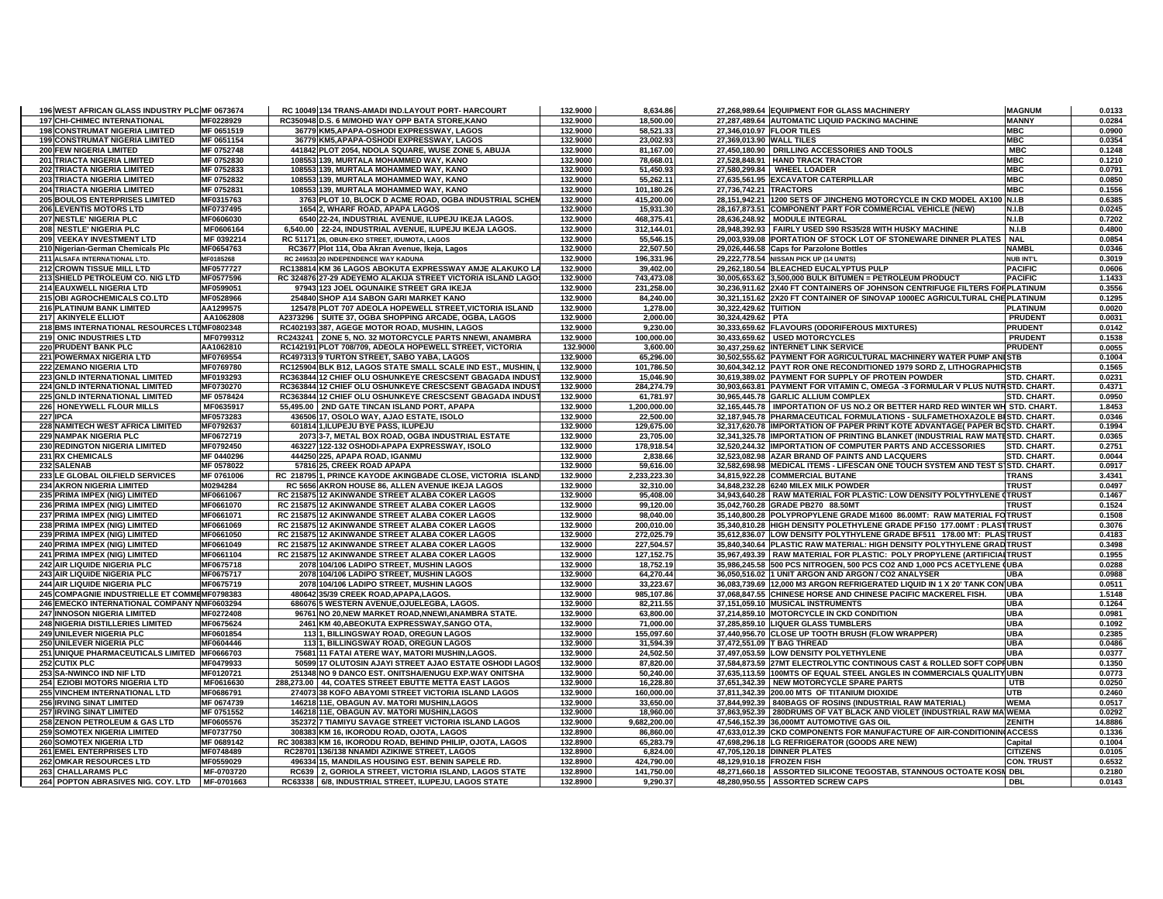| 196 WEST AFRICAN GLASS INDUSTRY PLC MF 0673674 |                         | RC 10049 134 TRANS-AMADI IND.LAYOUT PORT- HARCOURT                                                         | 132.9000 | 8.634.86                  |                           | 27,268,989.64 EQUIPMENT FOR GLASS MACHINERY                                     | <b>MAGNUM</b>      | 0.0133            |
|------------------------------------------------|-------------------------|------------------------------------------------------------------------------------------------------------|----------|---------------------------|---------------------------|---------------------------------------------------------------------------------|--------------------|-------------------|
| <b>197 CHI-CHIMEC INTERNATIONAL</b>            | MF0228929               | RC350948 D.S. 6 M/MOHD WAY OPP BATA STORE, KANO                                                            | 132.9000 | 18,500.00                 |                           | 27,287,489.64 AUTOMATIC LIQUID PACKING MACHINE                                  | <b>MANNY</b>       | 0.0284            |
| <b>198 CONSTRUMAT NIGERIA LIMITED</b>          | MF 0651519              | 36779 KM5, APAPA-OSHODI EXPRESSWAY, LAGOS                                                                  | 132.9000 | 58,521.33                 | 27,346,010.97 FLOOR TILES |                                                                                 | <b>MBC</b>         | 0.0900            |
| <b>199 CONSTRUMAT NIGERIA LIMITED</b>          | MF 0651154              | 36779 KM5, APAPA-OSHODI EXPRESSWAY, LAGOS                                                                  | 132.9000 | 23,002.93                 | 27,369,013.90 WALL TILES  |                                                                                 | <b>MBC</b>         | 0.0354            |
| 200 FEW NIGERIA LIMITED                        | MF 0752748              | 441842 PLOT 2054, NDOLA SQUARE, WUSE ZONE 5, ABUJA                                                         | 132.9000 | 81,167.00                 |                           | 27,450,180.90 DRILLING ACCESSORIES AND TOOLS                                    | <b>MBC</b>         | 0.1248            |
| 201 TRIACTA NIGERIA LIMITED                    | MF 0752830              | 108553 139, MURTALA MOHAMMED WAY, KANO                                                                     | 132.9000 | 78,668.01                 |                           | 27,528,848.91   HAND TRACK TRACTOR                                              | <b>MBC</b>         | 0.1210            |
| 202 TRIACTA NIGERIA LIMITED                    | MF 0752833              | 108553 139, MURTALA MOHAMMED WAY, KANO                                                                     | 132.9000 | 51,450.93                 |                           | 27,580,299.84 WHEEL LOADER                                                      | <b>MBC</b>         | 0.0791            |
| 203 TRIACTA NIGERIA LIMITED                    | MF 0752832              | 108553 139, MURTALA MOHAMMED WAY, KANO                                                                     | 132.9000 | 55,262.11                 |                           | 27,635,561.95 EXCAVATOR CATERPILLAR                                             | <b>MBC</b>         | 0.0850            |
| <b>204 TRIACTA NIGERIA LIMITED</b>             | MF 0752831              | 108553 139. MURTALA MOHAMMED WAY, KANO                                                                     | 132.9000 | 101,180.26                | 27.736.742.21 TRACTORS    |                                                                                 | <b>MBC</b>         | 0.1556            |
| 205 BOULOS ENTERPRISES LIMITED                 | MF0315763               | 3763 PLOT 10, BLOCK D ACME ROAD, OGBA INDUSTRIAL SCHEM                                                     | 132.9000 | 415,200.00                |                           | 28,151,942.21 1200 SETS OF JINCHENG MOTORCYCLE IN CKD MODEL AX100 N.I.B         |                    | 0.6385            |
| 206 LEVENTIS MOTORS LTD                        | MF0737495               | 1654 2, WHARF ROAD, APAPA LAGOS                                                                            | 132.9000 | 15,931.30                 |                           | 28,167,873.51 COMPONENT PART FOR COMMERCIAL VEHICLE (NEW)                       | N.I.B              | 0.0245            |
| 207 NESTLE' NIGERIA PLC                        | MF0606030               | 6540 22-24, INDUSTRIAL AVENUE, ILUPEJU IKEJA LAGOS.                                                        | 132.9000 | 468.375.41                |                           | 28.636.248.92 MODULE INTEGRAL                                                   | N.I.B              | 0.7202            |
| 208 NESTLE' NIGERIA PLC                        | MF0606164               | 6,540.00 22-24, INDUSTRIAL AVENUE, ILUPEJU IKEJA LAGOS.                                                    | 132.9000 | 312,144.01                |                           | 28,948,392.93 FAIRLY USED S90 RS35/28 WITH HUSKY MACHINE                        | N.I.B              | 0.4800            |
| 209 VEEKAY INVESTMENT LTD                      | MF 0392214              | RC 51171 26, OBUN-EKO STREET, IDUMOTA, LAGOS                                                               | 132.9000 | 55,546.15                 |                           | 29,003,939.08 IPORTATION OF STOCK LOT OF STONEWARE DINNER PLATES                | <b>NAL</b>         | 0.0854            |
| 210 Nigerian-German Chemicals Plc              | MF0654763               | RC3677 Plot 114, Oba Akran Avenue, Ikeja, Lagos                                                            | 132.9000 | 22,507.50                 |                           | 29,026,446.58 Caps for Parzolone Bottles                                        | <b>NAMBL</b>       | 0.0346            |
| 211 ALSAFA INTERNATIONAL LTD.                  | MF0185268               | RC 249533 20 INDEPENDENCE WAY KADUNA                                                                       | 132.9000 | 196,331.96                |                           | 29,222,778.54 NISSAN PICK UP (14 UNITS)                                         | <b>NUB INT'L</b>   | 0.3019            |
| 212 CROWN TISSUE MILL LTD                      | MF0577727               | RC138814 KM 36 LAGOS ABOKUTA EXPRESSWAY AMJE ALAKUKO LA                                                    | 132.9000 | 39,402.00                 |                           | 29,262,180.54 BLEACHED EUCALYPTUS PULP                                          | <b>PACIFIC</b>     | 0.0606            |
| 213 SHIELD PETROLEUM CO. NIG LTD               | MF0577596               | RC 324876 27-29 ADEYEMO ALAKIJA STREET VICTORIA ISLAND LAGO                                                | 132.9000 | 743.473.08                |                           | 30.005.653.62 3.500.000 BULK BITUMEN = PETROLEUM PRODUCT                        | <b>PACIFIC</b>     | 1.1433            |
| 214 EAUXWELL NIGERIA LTD                       | MF0599051               | 97943 123 JOEL OGUNAIKE STREET GRA IKEJA                                                                   | 132.9000 | 231,258.00                |                           | 30,236,911.62 2X40 FT CONTAINERS OF JOHNSON CENTRIFUGE FILTERS FORPLATINUM      |                    | 0.3556            |
| 215 OBI AGROCHEMICALS CO.LTD                   | MF0528966               | 254840 SHOP A14 SABON GARI MARKET KANO                                                                     | 132.9000 | 84,240.00                 |                           | 30,321,151.62 2X20 FT CONTAINER OF SINOVAP 1000EC AGRICULTURAL CHEPLATINUM      |                    | 0.1295            |
| 216 PLATINUM BANK LIMITED                      | AA1299575               | 125478 PLOT 707 ADEOLA HOPEWELL STREET, VICTORIA ISLAND                                                    | 132.9000 | 1,278.00                  | 30,322,429.62 TUITION     |                                                                                 | <b>PLATINUM</b>    | 0.0020            |
| 217 AKINYELE ELLIOT                            | AA1062808               | A2373296 SUITE 37, OGBA SHOPPING ARCADE, OGBA, LAGOS                                                       | 132.9000 | 2,000.00                  | 30,324,429.62 PTA         |                                                                                 | <b>PRUDENT</b>     | 0.0031            |
| 218 BMS INTERNATIONAL RESOURCES LTIMF0802348   |                         | RC402193 387, AGEGE MOTOR ROAD, MUSHIN, LAGOS                                                              | 132.9000 | 9,230.00                  |                           | 30,333,659.62 FLAVOURS (ODORIFEROUS MIXTURES)                                   | <b>PRUDENT</b>     | 0.0142            |
| 219 ONIC INDUSTRIES LTD                        | MF0799312               | RC243241 ZONE 5, NO. 32 MOTORCYCLE PARTS NNEWI, ANAMBRA                                                    | 132.9000 | 100,000.00                |                           | 30,433,659.62 USED MOTORCYCLES                                                  | <b>PRUDENT</b>     | 0.1538            |
| 220 PRUDENT BANK PLC                           | AA1062810               | RC142191 PLOT 708/709, ADEOLA HOPEWELL STREET, VICTORIA                                                    | 132.9000 | 3,600.00                  |                           | 30,437,259.62 INTERNET LINK SERVICE                                             | <b>PRUDENT</b>     | 0.0055            |
| 221 POWERMAX NIGERIA LTD                       | MF0769554               | RC497313 9 TURTON STREET, SABO YABA, LAGOS                                                                 | 132.9000 | 65,296.00                 |                           | 30,502,555.62 PAYMENT FOR AGRICULTURAL MACHINERY WATER PUMP ANISTB              |                    | 0.1004            |
| <b>222 ZEMANO NIGERIA LTD</b>                  | MF0769780               | RC125904 BLK B12. LAGOS STATE SMALL SCALE IND EST MUSHIN.                                                  | 132.9000 | 101,786.50                |                           | 30.604.342.12 PAYT ROR ONE RECONDITIONED 1979 SORD Z. LITHOGRAPHICSTB           |                    | 0.1565            |
| 223 GNLD INTERNATIONAL LIMITED                 | MF0193293               | RC363844 12 CHIEF OLU OSHUNKEYE CRESCSENT GBAGADA INDUST                                                   | 132.9000 | 15,046.90                 |                           | 30,619,389.02 PAYMENT FOR SUPPLY OF PROTEIN POWDER                              | STD. CHART.        | 0.0231            |
| <b>224 GNLD INTERNATIONAL LIMITED</b>          | MF0730270               | RC363844 12 CHIEF OLU OSHUNKEYE CRESCSENT GBAGADA INDUST                                                   | 132.9000 | 284,274.79                |                           | 30,903,663.81   PAYMENT FOR VITAMIN C, OMEGA -3 FORMULAR V PLUS NUTRSTD. CHART. |                    | 0.4371            |
| 225 GNLD INTERNATIONAL LIMITED                 | MF 0578424              | RC363844 12 CHIEF OLU OSHUNKEYE CRESCSENT GBAGADA INDUST                                                   | 132.9000 | 61,781.97                 |                           | 30.965.445.78 GARLIC ALLIUM COMPLEX                                             | STD. CHART.        | 0.0950            |
| 226 HONEYWELL FLOUR MILLS                      | MF0635917               | 55,495.00 2ND GATE TINCAN ISLAND PORT, APAPA                                                               | 132.9000 | 1,200,000.00              |                           | 32,165,445.78   IMPORTATION OF US NO.2 OR BETTER HARD RED WINTER WH STD. CHART. |                    | 1.8453            |
| <b>227 IPCA</b>                                | MF0573283               | 436506 17, OSOLO WAY, AJAO ESTATE, ISOLO                                                                   | 132.9000 | 22,500.00                 |                           | 32,187,945.78 PHARMACEUTICAL FORMULATIONS - SULFAMETHOXAZOLE BISTD. CHART.      |                    | 0.0346            |
| 228 NAMITECH WEST AFRICA LIMITED               | MF0792637               | 601814 1, ILUPEJU BYE PASS, ILUPEJU                                                                        | 132.9000 | 129,675.00                |                           | 32,317,620.78 IMPORTATION OF PAPER PRINT KOTE ADVANTAGE( PAPER BOSTD. CHART.    |                    | 0.1994            |
| 229 NAMPAK NIGERIA PLC                         | MF0672719               | 2073 3-7, METAL BOX ROAD, OGBA INDUSTRIAL ESTATE                                                           | 132.9000 | 23,705.00                 |                           | 32,341,325.78 IMPORTATION OF PRINTING BLANKET (INDUSTRIAL RAW MATESTD. CHART.   |                    | 0.0365            |
| 230 REDINGTON NIGERIA LIMITED                  | MF0792450               | 463227 122-132 OSHODI-APAPA EXPRESSWAY, ISOLO                                                              | 132.9000 | 178,918.54                |                           | 32,520,244.32 IMPORTATION OF COMPUTER PARTS AND ACCESSORIES                     | <b>STD. CHART.</b> | 0.2751            |
| 231 RX CHEMICALS                               | MF 0440296              | 444250 225, APAPA ROAD, IGANMU                                                                             | 132.9000 | 2,838.66                  |                           | 32,523,082.98 AZAR BRAND OF PAINTS AND LACQUERS                                 | STD. CHART.        | 0.0044            |
| 232 SALENAB                                    | MF 0578022              | 57816 25, CREEK ROAD APAPA                                                                                 | 132.9000 | 59,616.00                 |                           | 32,582,698.98 MEDICAL ITEMS - LIFESCAN ONE TOUCH SYSTEM AND TEST S1STD. CHART.  |                    | 0.0917            |
| 233 LE GLOBAL OILFIELD SERVICES                | MF 0761006              | RC 218795 1, PRINCE KAYODE AKINGBADE CLOSE, VICTORIA ISLAND                                                | 132.9000 | 2,233,223.30              |                           | 34.815.922.28 COMMERCIAL BUTANE                                                 | <b>TRANS</b>       | 3.4341            |
| 234 AKRON NIGERIA LIMITED                      | M0294284                | RC 5656 AKRON HOUSE 86, ALLEN AVENUE IKEJA LAGOS                                                           | 132.9000 | 32,310.00                 |                           | 34,848,232.28 6240 MILEX MILK POWDER                                            | <b>TRUST</b>       | 0.0497            |
| 235 PRIMA IMPEX (NIG) LIMITED                  | MF0661067               | RC 215875 12 AKINWANDE STREET ALABA COKER LAGOS                                                            | 132.9000 | 95,408.00                 |                           | 34,943,640.28 RAW MATERIAL FOR PLASTIC: LOW DENSITY POLYTHYLENE (TRUST          |                    | 0.1467            |
| 236 PRIMA IMPEX (NIG) LIMITED                  | MF0661070               | RC 215875 12 AKINWANDE STREET ALABA COKER LAGOS                                                            | 132.9000 | 99,120.00                 |                           | 35,042,760.28 GRADE PB270 88.50MT                                               | TRUST              | 0.1524            |
| 237 PRIMA IMPEX (NIG) LIMITED                  | MF0661071               | RC 215875 12 AKINWANDE STREET ALABA COKER LAGOS                                                            | 132.9000 | 98,040.00                 |                           | 35,140,800.28 POLYPROPYLENE GRADE M1600 86.00MT: RAW MATERIAL FO TRUST          |                    | 0.1508            |
| 238 PRIMA IMPEX (NIG) LIMITED                  | MF0661069               | RC 215875 12 AKINWANDE STREET ALABA COKER LAGOS                                                            | 132.9000 | 200,010.00                |                           | 35,340,810.28 HIGH DENSITY POLETHYLENE GRADE PF150 177.00MT : PLASTIRUST        |                    | 0.3076            |
| 239 PRIMA IMPEX (NIG) LIMITED                  | MF0661050               | RC 215875 12 AKINWANDE STREET ALABA COKER LAGOS                                                            | 132.9000 | 272,025.79                |                           | 35,612,836.07 LOW DENSITY POLYTHYLENE GRADE BF511 178.00 MT: PLAS TRUST         |                    | 0.4183            |
| 240 PRIMA IMPEX (NIG) LIMITED                  | MF0661049               | RC 215875 12 AKINWANDE STREET ALABA COKER LAGOS                                                            | 132.9000 | 227,504.57                |                           | 35,840,340.64 PLASTIC RAW MATERIAL: HIGH DENSITY POLYTHYLENE GRAD TRUST         |                    | 0.3498            |
| 241 PRIMA IMPEX (NIG) LIMITED                  | MF0661104               | RC 215875 12 AKINWANDE STREET ALABA COKER LAGOS                                                            | 132.9000 | 127, 152. 75              |                           | 35,967,493.39 RAW MATERIAL FOR PLASTIC: POLY PROPYLENE (ARTIFICIAL TRUST        |                    | 0.1955            |
| <b>242 AIR LIQUIDE NIGERIA PLC</b>             | MF0675718               | 2078 104/106 LADIPO STREET, MUSHIN LAGOS                                                                   | 132.9000 | 18,752.19                 |                           | 35,986,245.58 500 PCS NITROGEN, 500 PCS CO2 AND 1,000 PCS ACETYLENE (UBA        |                    | 0.0288            |
| 243 AIR LIQUIDE NIGERIA PLC                    | MF0675717               | 2078 104/106 LADIPO STREET, MUSHIN LAGOS                                                                   | 132.9000 | 64,270.44                 |                           | 36,050,516.02 1 UNIT ARGON AND ARGON / CO2 ANALYSER                             | UBA                | 0.0988            |
| 244 AIR LIQUIDE NIGERIA PLC                    | MF0675719               | 2078 104/106 LADIPO STREET, MUSHIN LAGOS                                                                   | 132.9000 | 33,223.67                 |                           | 36,083,739.69 12,000 M3 ARGON REFRIGERATED LIQUID IN 1 X 20' TANK CON UBA       |                    | 0.0511            |
| 245 COMPAGNIE INDUSTRIELLE ET COMMEMF0798383   |                         | 480642 35/39 CREEK ROAD, APAPA, LAGOS.                                                                     | 132.9000 | 985,107.86                |                           | 37,068,847.55 CHINESE HORSE AND CHINESE PACIFIC MACKEREL FISH.                  | UBA                | 1.5148            |
| 246 EMECKO INTERNATIONAL COMPANY NMF0603294    |                         | 686076 5 WESTERN AVENUE, OJUELEGBA, LAGOS.                                                                 | 132.9000 | 82,211.55                 |                           | 37,151,059.10 MUSICAL INSTRUMENTS                                               | <b>UBA</b>         | 0.1264            |
| <b>247 INNOSON NIGERIA LIMITED</b>             | MF0272408               | 96761 NO 20, NEW MARKET ROAD, NNEWI, ANAMBRA STATE.                                                        | 132.9000 | 63,800.00                 |                           | 37,214,859.10 MOTORCYCLE IN CKD CONDITION                                       | <b>UBA</b>         | 0.0981            |
| 248 NIGERIA DISTILLERIES LIMITED               | MF0675624               | 2461 KM 40, ABEOKUTA EXPRESSWAY, SANGO OTA,                                                                | 132.9000 | 71,000.00                 |                           | 37,285,859.10 LIQUER GLASS TUMBLERS                                             | <b>UBA</b>         | 0.1092            |
| 249 UNILEVER NIGERIA PLC                       | MF0601854               | 1131, BILLINGSWAY ROAD, OREGUN LAGOS                                                                       | 132.9000 | 155,097.60                |                           | 37,440,956.70 CLOSE UP TOOTH BRUSH (FLOW WRAPPER)                               | <b>UBA</b>         | 0.2385            |
| 250 UNILEVER NIGERIA PLC                       | MF0604446               | 1131, BILLINGSWAY ROAD, OREGUN LAGOS                                                                       | 132.9000 | 31,594.39                 |                           | 37,472,551.09 T BAG THREAD                                                      | UBA                | 0.0486            |
| 251 UNIQUE PHARMACEUTICALS LIMITED MF0666703   |                         | 75681 11 FATAI ATERE WAY. MATORI MUSHIN.LAGOS.                                                             | 132.9000 | 24,502.50                 |                           | 37,497,053.59 LOW DENSITY POLYETHYLENE                                          | <b>UBA</b>         | 0.0377            |
| 252 CUTIX PLC                                  | MF0479933               | 50599 17 OLUTOSIN AJAYI STREET AJAO ESTATE OSHODI LAGOS                                                    | 132.9000 | 87,820.00                 |                           | 37,584,873.59 27MT ELECTROLYTIC CONTINOUS CAST & ROLLED SOFT COPFUBN            |                    | 0.1350            |
| 253 SA-NWINCO IND NIF LTD                      | MF0120721               | 251348 NO 9 DANCO EST. ONITSHA/ENUGU EXP.WAY ONITSHA                                                       | 132.9000 | 50,240.00                 |                           | 37,635,113.59 100MTS OF EQUAL STEEL ANGLES IN COMMERCIALS QUALITY UBN           |                    | 0.0773            |
| 254 EZIOBI MOTORS NIGERIA LTD                  | MF0616630               | 288,273.00   44, COATES STREET EBUTTE METTA EAST LAGOS                                                     | 132.9000 | 16,228.80                 |                           | 37,651,342.39 NEW MOTORCYCLE SPARE PARTS                                        | <b>UTB</b>         | 0.0250            |
| 255 VINCHEM INTERNATIONAL LTD                  | MF0686791               | 274073 38 KOFO ABAYOMI STREET VICTORIA ISLAND LAGOS                                                        | 132.9000 | 160,000.00                |                           | 37,811,342.39 200.00 MTS OF TITANIUM DIOXIDE                                    | <b>UTB</b>         | 0.2460            |
| <b>256 IRVING SINAT LIMITED</b>                | MF 0674739              | 146218 11E, OBAGUN AV. MATORI MUSHIN, LAGOS                                                                | 132.9000 | 33,650.00                 |                           | 37,844,992.39 840BAGS OF ROSINS (INDUSTRIAL RAW MATERIAL)                       | <b>WEMA</b>        | 0.0517            |
| 257 IRVING SINAT LIMITED                       |                         | 146218 11E, OBAGUN AV. MATORI MUSHIN, LAGOS                                                                | 132.9000 |                           |                           | 37,863,952.39 280DRUMS OF VAT BLACK AND VIOLET (INDUSTRIAL RAW MA WEMA          |                    |                   |
| 258 ZENON PETROLEUM & GAS LTD                  | MF 0751552<br>MF0605576 | 352372 7 TIAMIYU SAVAGE STREET VICTORIA ISLAND LAGOS                                                       | 132.9000 | 18,960.00<br>9,682,200.00 |                           | 47,546,152.39 36,000MT AUTOMOTIVE GAS OIL                                       | ZENITH             | 0.0292<br>14.8886 |
| <b>259 SOMOTEX NIGERIA LIMITED</b>             | MF0737750               | 308383 KM 16, IKORODU ROAD, OJOTA, LAGOS                                                                   | 132.8900 | 86,860.00                 |                           | 47,633,012.39 CKD COMPONENTS FOR MANUFACTURE OF AIR-CONDITIONIN(ACCESS          |                    | 0.1336            |
| <b>260 SOMOTEX NIGERIA LTD</b>                 | MF 0689142              | RC 308383 KM 16, IKORODU ROAD, BEHIND PHILIP, OJOTA, LAGOS                                                 | 132.8900 | 65,283.79                 |                           | 47,698,296.18 LG REFRIGERATOR (GOODS ARE NEW)                                   | Capital            | 0.1004            |
| 261 EMEL ENTERPRISES LTD                       | MF0748489               | RC28701 136/138 NNAMDI AZIKIWE STREET, LAGOS                                                               | 132.8900 |                           |                           | 47,705,120.18 DINNER PLATES                                                     | <b>CITIZENS</b>    | 0.0105            |
|                                                | MF0559029               |                                                                                                            | 132.8900 | 6,824.00                  |                           |                                                                                 | <b>CON. TRUST</b>  |                   |
| 262 OMKAR RESOURCES LTD<br>263 CHALLARAMS PLC  | MF-0703720              | 496334 15, MANDILAS HOUSING EST. BENIN SAPELE RD.<br>RC639 2, GORIOLA STREET, VICTORIA ISLAND, LAGOS STATE | 132.8900 | 424,790.00<br>141,750.00  | 48,129,910.18 FROZEN FISH | 48,271,660.18 ASSORTED SILICONE TEGOSTAB, STANNOUS OCTOATE KOSN DBL             |                    | 0.6532<br>0.2180  |
|                                                |                         |                                                                                                            |          |                           |                           |                                                                                 |                    |                   |
| 264 POPTON ABRASIVES NIG. COY. LTD MF-0701663  |                         | RC63338 6/8, INDUSTRIAL STREET, ILUPEJU, LAGOS STATE                                                       | 132.8900 | 9,290.37                  |                           | 48,280,950.55 ASSORTED SCREW CAPS                                               | <b>DBL</b>         | 0.0143            |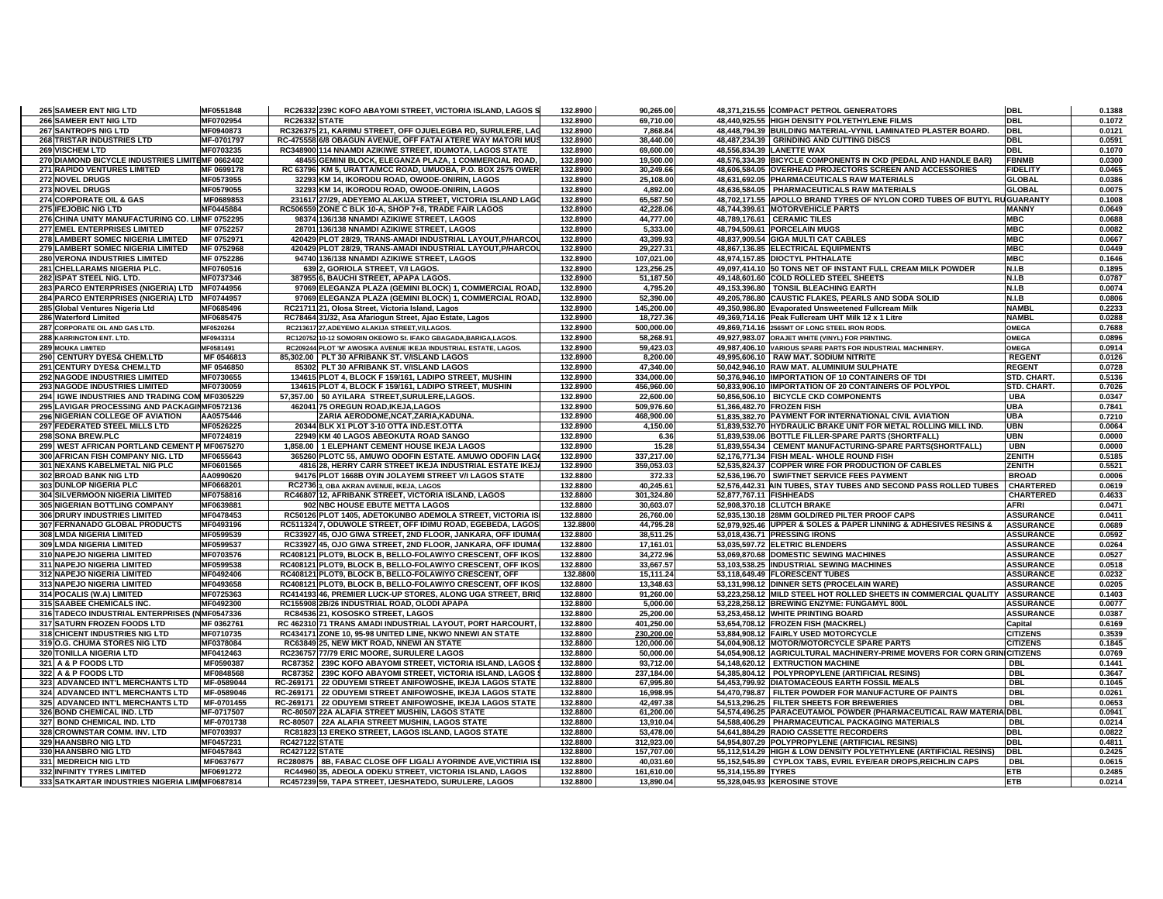| 265 SAMEER ENT NIG LTD                          | MF0551848  | RC26332 239C KOFO ABAYOMI STREET, VICTORIA ISLAND, LAGOS S       | 132.8900 | 90,265.00  |                           | 48,371,215.55 COMPACT PETROL GENERATORS                                  | <b>DBL</b>       | 0.1388 |
|-------------------------------------------------|------------|------------------------------------------------------------------|----------|------------|---------------------------|--------------------------------------------------------------------------|------------------|--------|
| 266 SAMEER ENT NIG LTD                          | MF0702954  | <b>RC26332 STATE</b>                                             | 132.8900 | 69,710.00  |                           | 48,440,925.55 HIGH DENSITY POLYETHYLENE FILMS                            | <b>DBL</b>       | 0.1072 |
| 267 SANTROPS NIG LTD                            | MF0940873  | RC326375 21, KARIMU STREET, OFF OJUELEGBA RD, SURULERE, LAC      | 132.8900 | 7,868.84   |                           | 48,448,794.39 BUILDING MATERIAL-VYNIL LAMINATED PLASTER BOARD.           | <b>DBL</b>       | 0.0121 |
|                                                 |            |                                                                  |          |            |                           |                                                                          |                  |        |
| 268 TRISTAR INDUSTRIES LTD                      | MF-0701797 | RC-475558 6/8 OBAGUN AVENUE, OFF FATAI ATERE WAY MATORI MUS      | 132.8900 | 38,440.00  |                           | 48,487,234.39 GRINDING AND CUTTING DISCS                                 | <b>DBL</b>       | 0.0591 |
| <b>269 VISCHEM LTD</b>                          | MF0703235  | RC348900 114 NNAMDI AZIKIWE STREET. IDUMOTA, LAGOS STATE         | 132.8900 | 69.600.00  |                           | 48.556.834.39 LANETTE WAX                                                | <b>DBL</b>       | 0.1070 |
| 270 DIAMOND BICYCLE INDUSTRIES LIMITEMF 0662402 |            | 48455 GEMINI BLOCK, ELEGANZA PLAZA, 1 COMMERCIAL ROAD,           | 132.8900 | 19,500.00  |                           | 48,576,334.39 BICYCLE COMPONENTS IN CKD (PEDAL AND HANDLE BAR)           | <b>FBNMB</b>     | 0.0300 |
| 271 RAPIDO VENTURES LIMITED                     | MF 0699178 | RC 63796 KM 5, URATTA/MCC ROAD, UMUOBA, P.O. BOX 2575 OWER       | 132.8900 | 30,249.66  |                           | 48,606,584.05 OVERHEAD PROJECTORS SCREEN AND ACCESSORIES                 | <b>FIDELITY</b>  | 0.0465 |
| <b>272 NOVEL DRUGS</b>                          | MF0573955  | 32293 KM 14. IKORODU ROAD, OWODE-ONIRIN, LAGOS                   | 132.8900 | 25,108.00  |                           | 48.631.692.05 PHARMACEUTICALS RAW MATERIALS                              | <b>GLOBAL</b>    | 0.0386 |
| 273 NOVEL DRUGS                                 | MF0579055  | 32293 KM 14, IKORODU ROAD, OWODE-ONIRIN, LAGOS                   | 132.8900 | 4,892.00   |                           | 48,636,584.05 PHARMACEUTICALS RAW MATERIALS                              | <b>GLOBAL</b>    | 0.0075 |
| 274 CORPORATE OIL & GAS                         | MF0689853  | 231617 27/29, ADEYEMO ALAKIJA STREET, VICTORIA ISLAND LAGO       | 132.8900 | 65,587.50  |                           | 48,702,171.55 APOLLO BRAND TYRES OF NYLON CORD TUBES OF BUTYL RUGUARANTY |                  | 0.1008 |
| 275 IFEJOBIC NIG LTD                            | MF0445884  | RC506559 ZONE C BLK 10-A, SHOP 7+8, TRADE FAIR LAGOS             | 132.8900 | 42,228.06  |                           | 48,744,399.61 MOTORVEHICLE PARTS                                         | <b>MANNY</b>     | 0.0649 |
| 276 CHINA UNITY MANUFACTURING CO. LIMIF 0752295 |            | 98374 136/138 NNAMDI AZIKIWE STREET, LAGOS                       | 132.8900 | 44,777.00  |                           | 48,789,176.61 CERAMIC TILES                                              | <b>MBC</b>       | 0.0688 |
|                                                 |            |                                                                  |          |            |                           |                                                                          |                  |        |
| <b>277 EMEL ENTERPRISES LIMITED</b>             | MF 0752257 | 28701 136/138 NNAMDI AZIKIWE STREET, LAGOS                       | 132.8900 | 5,333.00   |                           | 48,794,509.61 PORCELAIN MUGS                                             | <b>MBC</b>       | 0.0082 |
| 278 LAMBERT SOMEC NIGERIA LIMITED               | MF 0752971 | 420429 PLOT 28/29, TRANS-AMADI INDUSTRIAL LAYOUT, P/HARCOL       | 132.8900 | 43,399.93  |                           | 48,837,909.54 GIGA MULTI CAT CABLES                                      | <b>MBC</b>       | 0.0667 |
| 279 LAMBERT SOMEC NIGERIA LIMITED               | MF 0752968 | 420429 PLOT 28/29, TRANS-AMADI INDUSTRIAL LAYOUT, P/HARCOL       | 132.8900 | 29,227.31  |                           | 48,867,136.85 ELECTRICAL EQUIPMENTS                                      | <b>MBC</b>       | 0.0449 |
| 280 VERONA INDUSTRIES LIMITED                   | MF 0752286 | 94740 136/138 NNAMDI AZIKIWE STREET, LAGOS                       | 132.8900 | 107,021.00 |                           | 48,974,157.85 DIOCTYL PHTHALATE                                          | <b>MBC</b>       | 0.1646 |
| 281 CHELLARAMS NIGERIA PLC.                     | MF0760516  | 639 2, GORIOLA STREET, V/I LAGOS.                                | 132.8900 | 123,256.25 |                           | 49,097,414.10 50 TONS NET OF INSTANT FULL CREAM MILK POWDER              | N.I.B            | 0.1895 |
| 282 ISPAT STEEL NIG. LTD.                       | MF0737346  | 387955 6, BAUCHI STREET, APAPA LAGOS.                            | 132.8900 | 51,187.50  |                           | 49,148,601.60 COLD ROLLED STEEL SHEETS                                   | N.I.B            | 0.0787 |
| 283 PARCO ENTERPRISES (NIGERIA) LTD MF0744956   |            | 97069 ELEGANZA PLAZA (GEMINI BLOCK) 1, COMMERCIAL ROAD           | 132.8900 | 4,795.20   |                           | 49.153.396.80 TONSIL BLEACHING EARTH                                     | N.I.B            | 0.0074 |
| 284 PARCO ENTERPRISES (NIGERIA) LTD MF0744957   |            | 97069 ELEGANZA PLAZA (GEMINI BLOCK) 1, COMMERCIAL ROAD           | 132.8900 | 52,390.00  |                           | 49,205,786.80 CAUSTIC FLAKES, PEARLS AND SODA SOLID                      | N.I.B            | 0.0806 |
|                                                 |            |                                                                  |          |            |                           |                                                                          | <b>NAMBL</b>     | 0.2233 |
| 285 Global Ventures Nigeria Ltd                 | MF0685496  | RC21711 21, Olosa Street, Victoria Island, Lagos                 | 132.8900 | 145,200.00 |                           | 49,350,986.80 Evaporated Unsweetened Fullcream Milk                      |                  |        |
| 286 Waterford Limited                           | MF0685475  | RC78464 31/32, Asa Afariogun Street, Ajao Estate, Lagos          | 132.8900 | 18,727.36  |                           | 49,369,714.16 Peak Fullcream UHT Milk 12 x 1 Litre                       | <b>NAMBL</b>     | 0.0288 |
| 287 CORPORATE OIL AND GAS LTD.                  | MF0520264  | RC213617 27, ADEYEMO ALAKIJA STREET, V/I, LAGOS.                 | 132.8900 | 500,000.00 |                           | 49,869,714.16 2565MT OF LONG STEEL IRON RODS.                            | OMEGA            | 0.7688 |
| 288 KARRINGTON ENT. LTD.                        | MF0943314  | RC120752 10-12 SOMORIN OKEOWO St. IFAKO GBAGADA, BARIGA, LAGOS.  | 132.8900 | 58,268.91  |                           | 49,927,983.07 ORAJET WHITE (VINYL) FOR PRINTING.                         | OMEGA            | 0.0896 |
| <b>289 MOUKA LIMITED</b>                        | MF0581491  | RC209244 PLOT 'M' AWOSIKA AVENUE IKEJA INDUSTRIAL ESTATE, LAGOS. | 132.8900 | 59,423.03  |                           | 49,987,406.10 VARIOUS SPARE PARTS FOR INDUSTRIAL MACHINERY.              | <b>OMEGA</b>     | 0.0914 |
| 290 CENTURY DYES& CHEM.LTD                      | MF 0546813 | 85,302.00 PLT 30 AFRIBANK ST. V/ISLAND LAGOS                     | 132.8900 | 8,200.00   |                           | 49,995,606.10 RAW MAT. SODIUM NITRITE                                    | <b>REGENT</b>    | 0.0126 |
| 291 CENTURY DYES& CHEM.LTD                      | MF 0546850 | 85302 PLT 30 AFRIBANK ST. V/ISLAND LAGOS                         | 132.8900 | 47,340.00  |                           | 50,042,946.10 RAW MAT. ALUMINIUM SULPHATE                                | <b>REGENT</b>    | 0.0728 |
| 292 NAGODE INDUSTRIES LIMITED                   | MF0730655  | 134615 PLOT 4, BLOCK F 159/161, LADIPO STREET, MUSHIN            | 132.8900 | 334,000.00 |                           | 50,376,946.10 IMPORTATION OF 10 CONTAINERS OF TDI                        | STD. CHART.      | 0.5136 |
| <b>293 NAGODE INDUSTRIES LIMITED</b>            | MF0730059  | 134615 PLOT 4. BLOCK F 159/161. LADIPO STREET. MUSHIN            | 132.8900 | 456.960.00 |                           | 50,833,906.10 IMPORTATION OF 20 CONTAINERS OF POLYPOL                    | STD. CHART.      | 0.7026 |
|                                                 |            |                                                                  |          |            |                           |                                                                          |                  |        |
| 294 IGWE INDUSTRIES AND TRADING COM MF0305229   |            | 57,357.00 50 AYILARA STREET, SURULERE, LAGOS.                    | 132.8900 | 22,600.00  |                           | 50,856,506.10 BICYCLE CKD COMPONENTS                                     | <b>UBA</b>       | 0.0347 |
| 295 LAVIGAR PROCESSING AND PACKAGINMF0572136    |            | 462041 75 OREGUN ROAD, IKEJA, LAGOS                              | 132.8900 | 509,976.60 | 51.366.482.70 FROZEN FISH |                                                                          | <b>UBA</b>       | 0.7841 |
| 296 NIGERIAN COLLEGE OF AVIATION                | AA0575446  | ZARIA AERODOME, NCAT, ZARIA, KADUNA.                             | 132.8900 | 468,900.00 |                           | 51,835,382.70 PAYMENT FOR INTERNATIONAL CIVIL AVIATION                   | <b>UBA</b>       | 0.7210 |
| 297 FEDERATED STEEL MILLS LTD                   | MF0526225  | 20344 BLK X1 PLOT 3-10 OTTA IND EST OTTA                         | 132.8900 | 4,150.00   |                           | 51,839,532.70 HYDRAULIC BRAKE UNIT FOR METAL ROLLING MILL IND.           | <b>UBN</b>       | 0.0064 |
| 298 SONA BREW.PLC                               | MF0724819  | 22949 KM 40 LAGOS ABEOKUTA ROAD SANGO                            | 132.8900 | 6.36       |                           | 51,839,539.06 BOTTLE FILLER-SPARE PARTS (SHORTFALL)                      | UBN              | 0.0000 |
| 299 WEST AFRICAN PORTLAND CEMENT P MF0675270    |            | 1,858.00 1 ELEPHANT CEMENT HOUSE IKEJA LAGOS                     | 132.8900 | 15.28      |                           | 51,839,554.34 CEMENT MANUFACTURING-SPARE PARTS(SHORTFALL)                | <b>UBN</b>       | 0.0000 |
| 300 AFRICAN FISH COMPANY NIG. LTD               | MF0655643  | 365260 PLOTC 55, AMUWO ODOFIN ESTATE. AMUWO ODOFIN LAGO          | 132.8900 | 337,217.00 |                           | 52,176,771.34 FISH MEAL- WHOLE ROUND FISH                                | ZENITH           | 0.5185 |
| 301 NEXANS KABELMETAL NIG PLC                   | MF0601565  | 4816 28, HERRY CARR STREET IKEJA INDUSTRIAL ESTATE IKEJA         | 132.8900 | 359,053.03 |                           | 52,535,824.37 COPPER WIRE FOR PRODUCTION OF CABLES                       | <b>ZENITH</b>    | 0.5521 |
| 302 BROAD BANK NIG LTD                          |            | 94176 PLOT 1668B OYIN JOLAYEMI STREET V/I LAGOS STATE            | 132.8800 |            |                           |                                                                          | <b>BROAD</b>     | 0.0006 |
|                                                 | AA0990620  |                                                                  |          | 372.33     |                           | 52,536,196.70 SWIFTNET SERVICE FEES PAYMENT                              |                  |        |
| 303 DUNLOP NIGERIA PLC                          | MF0668201  | RC2736 3, OBA AKRAN AVENUE, IKEJA, LAGOS                         | 132.8800 | 40,245.61  |                           | 52,576,442.31 AIN TUBES, STAY TUBES AND SECOND PASS ROLLED TUBES         | <b>CHARTERED</b> | 0.0619 |
| 304 SILVERMOON NIGERIA LIMITED                  | MF0758816  | RC46807 12, AFRIBANK STREET, VICTORIA ISLAND, LAGOS              | 132.8800 | 301,324.80 | 52,877,767.11 FISHHEADS   |                                                                          | <b>CHARTERED</b> | 0.4633 |
| <b>305 NIGERIAN BOTTLING COMPANY</b>            | MF0639881  | 902 NBC HOUSE EBUTE METTA LAGOS                                  | 132.8800 | 30,603.07  |                           | 52.908.370.18 CLUTCH BRAKE                                               | <b>AFRI</b>      | 0.0471 |
| 306 DRURY INDUSTRIES LIMITED                    | MF0478453  | RC50126 PLOT 1405, ADETOKUNBO ADEMOLA STREET, VICTORIA IS        | 132.8800 | 26,760.00  |                           | 52,935,130.18 28MM GOLD/RED PILTER PROOF CAPS                            | <b>ASSURANCE</b> | 0.0411 |
| 307 FERNANADO GLOBAL PRODUCTS                   | MF0493196  | RC511324 7, ODUWOLE STREET, OFF IDIMU ROAD, EGEBEDA, LAGOS       | 132.8800 | 44,795.28  |                           | 52,979,925.46 UPPER & SOLES & PAPER LINNING & ADHESIVES RESINS &         | <b>ASSURANCE</b> | 0.0689 |
| 308 LMDA NIGERIA LIMITED                        | MF0599539  | RC33927 45, OJO GIWA STREET, 2ND FLOOR, JANKARA, OFF IDUMA       | 132.8800 | 38,511.25  |                           | 53,018,436.71 PRESSING IRONS                                             | <b>ASSURANCE</b> | 0.0592 |
| 309 LMDA NIGERIA LIMITED                        | MF0599537  | RC33927 45, OJO GIWA STREET, 2ND FLOOR, JANKARA, OFF IDUMA       | 132.8800 | 17,161.01  |                           | 53,035,597.72 ELETRIC BLENDERS                                           | <b>ASSURANCE</b> | 0.0264 |
|                                                 |            |                                                                  |          |            |                           |                                                                          |                  |        |
| 310 NAPEJO NIGERIA LIMITED                      | MF0703576  | RC408121 PLOT9, BLOCK B, BELLO-FOLAWIYO CRESCENT, OFF IKOS       | 132.8800 | 34,272.96  |                           | 53,069,870.68 DOMESTIC SEWING MACHINES                                   | <b>ASSURANCE</b> | 0.0527 |
| 311 NAPEJO NIGERIA LIMITED                      | MF0599538  | RC408121 PLOT9, BLOCK B, BELLO-FOLAWIYO CRESCENT, OFF IKOS       | 132.8800 | 33,667.57  |                           | 53,103,538.25 INDUSTRIAL SEWING MACHINES                                 | <b>ASSURANCE</b> | 0.0518 |
| 312 NAPEJO NIGERIA LIMITED                      | MF0492406  | RC408121 PLOT9, BLOCK B, BELLO-FOLAWIYO CRESCENT, OFF            | 132.8800 | 15,111.24  |                           | 53,118,649.49 FLORESCENT TUBES                                           | <b>ASSURANCE</b> | 0.0232 |
| 313 NAPEJO NIGERIA LIMITED                      | MF0493658  | RC408121 PLOT9, BLOCK B, BELLO-FOLAWIYO CRESCENT, OFF IKOS       | 132.8800 | 13,348.63  |                           | 53,131,998.12 DINNER SETS (PROCELAIN WARE)                               | <b>ASSURANCE</b> | 0.0205 |
| 314 POCALIS (W.A) LIMITED                       | MF0725363  | RC414193 46, PREMIER LUCK-UP STORES, ALONG UGA STREET, BRIG      | 132.8800 | 91,260.00  |                           | 53,223,258.12 MILD STEEL HOT ROLLED SHEETS IN COMMERCIAL QUALITY         | <b>ASSURANCE</b> | 0.1403 |
| 315 SAABEE CHEMICALS INC.                       | MF0492300  | RC155908 2B/26 INDUSTRIAL ROAD, OLODI APAPA                      | 132.8800 | 5,000.00   |                           | 53,228,258.12 BREWING ENZYME: FUNGAMYL 800L                              | <b>ASSURANCE</b> | 0.0077 |
| 316 TADECO INDUSTRIAL ENTERPRISES (NMF0547336   |            | RC84536 21, KOSOSKO STREET, LAGOS                                | 132.8800 | 25,200.00  |                           | 53,253,458.12 WHITE PRINTING BOARD                                       | <b>ASSURANCE</b> | 0.0387 |
| 317 SATURN FROZEN FOODS LTD                     | MF 0362761 | RC 462310 71 TRANS AMADI INDUSTRIAL LAYOUT, PORT HARCOURT,       | 132.8800 | 401,250.00 |                           | 53.654.708.12 FROZEN FISH (MACKREL)                                      | Capital          | 0.6169 |
|                                                 |            |                                                                  |          |            |                           |                                                                          |                  |        |
| 318 CHICENT INDUSTRIES NIG LTD                  | MF0710735  | RC434171 ZONE 10, 95-98 UNITED LINE, NKWO NNEWI AN STATE         | 132.8800 | 230,200.00 |                           | 53,884,908.12 FAIRLY USED MOTORCYCLE                                     | <b>CITIZENS</b>  | 0.3539 |
| 319 O.G. CHUMA STORES NIG LTD                   | MF0378084  | RC63849 25, NEW MKT ROAD, NNEWI AN STATE                         | 132.8800 | 120,000.00 |                           | 54.004.908.12 MOTOR/MOTORCYCLE SPARE PARTS                               | <b>CITIZENS</b>  | 0.1845 |
| 320 TONILLA NIGERIA LTD                         | MF0412463  | RC236757 77/79 ERIC MOORE, SURULERE LAGOS                        | 132.8800 | 50,000.00  |                           | 54,054,908.12 AGRICULTURAL MACHINERY-PRIME MOVERS FOR CORN GRINICITIZENS |                  | 0.0769 |
| 321 A & P FOODS LTD                             | MF0590387  | RC87352 239C KOFO ABAYOMI STREET, VICTORIA ISLAND, LAGOS         | 132.8800 | 93,712.00  |                           | 54,148,620.12 EXTRUCTION MACHINE                                         | <b>DBL</b>       | 0.1441 |
| 322 A & P FOODS LTD                             | MF0848568  | RC87352   239C KOFO ABAYOMI STREET, VICTORIA ISLAND, LAGOS       | 132.8800 | 237,184.00 |                           | 54,385,804.12 POLYPROPYLENE (ARTIFICIAL RESINS)                          | <b>DBL</b>       | 0.3647 |
| 323 ADVANCED INT'L MERCHANTS LTD                | MF-0589044 | RC-269171 22 ODUYEMI STREET ANIFOWOSHE, IKEJA LAGOS STATE        | 132.8800 | 67,995.80  |                           | 54,453,799.92 DIATOMACEOUS EARTH FOSSIL MEALS                            | <b>DBL</b>       | 0.1045 |
| 324 ADVANCED INT'L MERCHANTS LTD                | MF-0589046 | RC-269171 22 ODUYEMI STREET ANIFOWOSHE, IKEJA LAGOS STATE        | 132.8800 | 16,998.95  |                           | 54,470,798.87   FILTER POWDER FOR MANUFACTURE OF PAINTS                  | <b>DBL</b>       | 0.0261 |
| 325 ADVANCED INT'L MERCHANTS LTD                | MF-0701455 | RC-269171 22 ODUYEMI STREET ANIFOWOSHE, IKEJA LAGOS STATE        | 132.8800 | 42,497.38  |                           | 54,513,296.25 FILTER SHEETS FOR BREWERIES                                | <b>DBL</b>       | 0.0653 |
| 326 BOND CHEMICAL IND. LTD                      | MF-0717507 | RC-80507 22A ALAFIA STREET MUSHIN, LAGOS STATE                   | 132.8800 | 61,200.00  |                           | 54,574,496.25 PARACEUTAMOL POWDER (PHARMACEUTICAL RAW MATERIAIDBL        |                  | 0.0941 |
|                                                 |            |                                                                  |          |            |                           |                                                                          |                  |        |
| 327 BOND CHEMICAL IND. LTD                      | MF-0701738 | RC-80507 22A ALAFIA STREET MUSHIN, LAGOS STATE                   | 132.8800 | 13,910.04  |                           | 54,588,406.29 PHARMACEUTICAL PACKAGING MATERIALS                         | DBL              | 0.0214 |
| 328 CROWNSTAR COMM. INV. LTD                    | MF0703937  | RC81823 13 EREKO STREET, LAGOS ISLAND, LAGOS STATE               | 132.8800 | 53,478.00  |                           | 54,641,884.29 RADIO CASSETTE RECORDERS                                   | <b>DBL</b>       | 0.0822 |
| <b>329 HAANSBRO NIG LTD</b>                     | MF0457231  | <b>RC427122 STATE</b>                                            | 132.8800 | 312,923.00 |                           | 54,954,807.29 POLYPROPYLENE (ARTIFICIAL RESINS)                          | <b>DBL</b>       | 0.4811 |
| 330 HAANSBRO NIG LTD                            | MF0457843  | <b>RC427122 STATE</b>                                            | 132.8800 | 157,707.00 |                           | 55,112,514.29 HIGH & LOW DENSITY POLYETHYLENE (ARTIFICIAL RESINS)        | <b>DBL</b>       | 0.2425 |
| 331 MEDREICH NIG LTD                            | MF0637677  | RC280875   8B, FABAC CLOSE OFF LIGALI AYORINDE AVE, VICTIRIA ISL | 132.8800 | 40,031.60  |                           | 55,152,545.89 CYPLOX TABS, EVRIL EYE/EAR DROPS, REICHLIN CAPS            | DBL              | 0.0615 |
| 332 INFINITY TYRES LIMITED                      | MF0691272  | RC44960 35, ADEOLA ODEKU STREET, VICTORIA ISLAND, LAGOS          | 132.8800 | 161,610.00 | 55,314,155.89 TYRES       |                                                                          | <b>ETB</b>       | 0.2485 |
| 333 SATKARTAR INDUSTRIES NIGERIA LIMIMF0687814  |            | RC457239 59, TAPA STREET, IJESHATEDO, SURULERE, LAGOS            | 132.8800 | 13,890.04  |                           | 55,328,045.93 KEROSINE STOVE                                             | <b>ETB</b>       | 0.0214 |
|                                                 |            |                                                                  |          |            |                           |                                                                          |                  |        |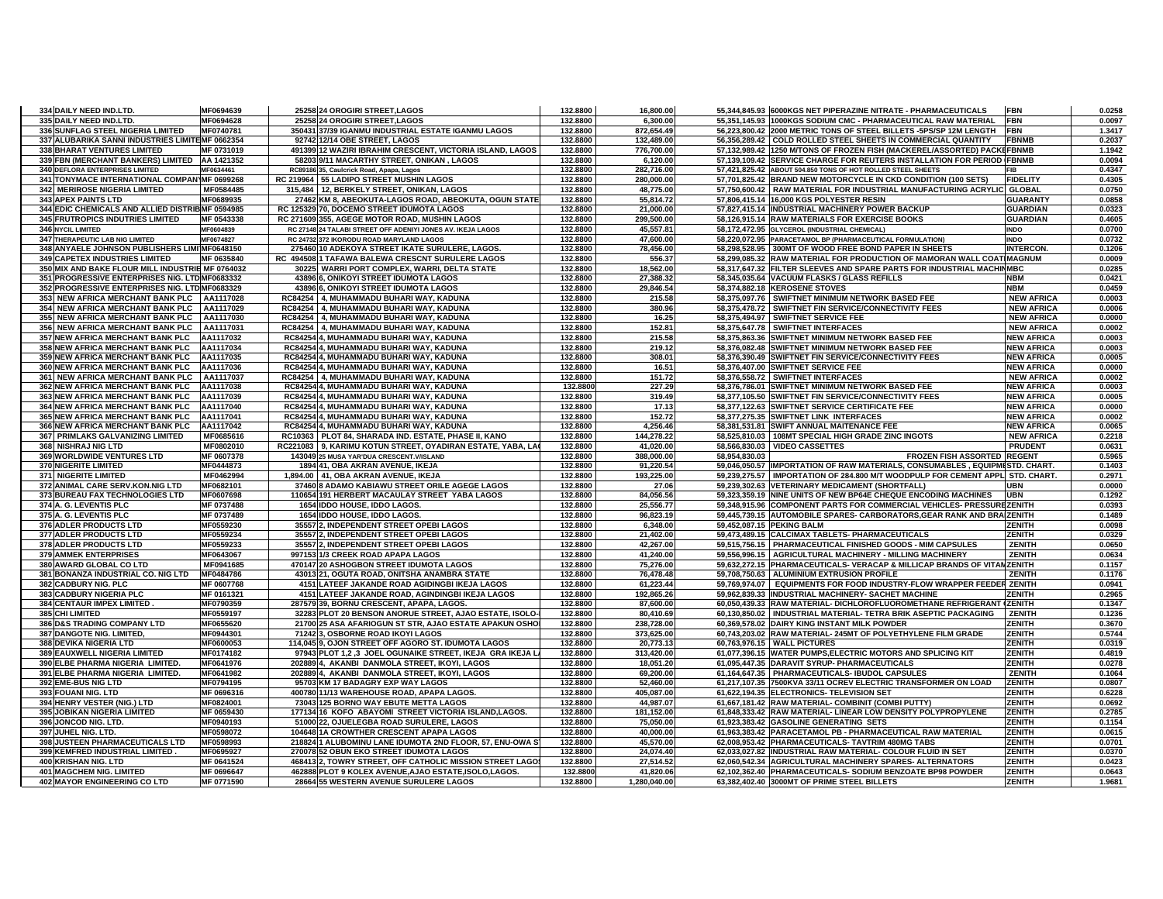| 335 DAILY NEED IND.LTD.                                         | 334 DAILY NEED IND.LTD. | MF0694639                | 25258 24 OROGIRI STREET, LAGOS                                                                   | 132.8800             | 16.800.00                 |               | 55,344,845.93 6000KGS NET PIPERAZINE NITRATE - PHARMACEUTICALS                                            | <b>FBN</b>        | 0.0258           |
|-----------------------------------------------------------------|-------------------------|--------------------------|--------------------------------------------------------------------------------------------------|----------------------|---------------------------|---------------|-----------------------------------------------------------------------------------------------------------|-------------------|------------------|
|                                                                 |                         | MF0694628                | 25258 24 OROGIRI STREET, LAGOS                                                                   | 132.8800             | 6,300.00                  |               | 55,351,145.93 1000KGS SODIUM CMC - PHARMACEUTICAL RAW MATERIAL                                            | FBN               | 0.0097           |
| 336 SUNFLAG STEEL NIGERIA LIMITED                               |                         | MF0740781                | 350431 37/39 IGANMU INDUSTRIAL ESTATE IGANMU LAGOS                                               | 132.8800             | 872,654.49                |               | 56,223,800.42 2000 METRIC TONS OF STEEL BILLETS -5PS/SP 12M LENGTH                                        | <b>FBN</b>        | 1.3417           |
| 337 ALUBARIKA SANNI INDUSTRIES LIMITEMF 0662354                 |                         |                          | 92742 12/14 OBE STREET, LAGOS                                                                    | 132.8800             | 132,489.00                |               | 56,356,289.42 COLD ROLLED STEEL SHEETS IN COMMERCIAL QUANTITY                                             | <b>FBNMB</b>      | 0.2037           |
| 338 BHARAT VENTURES LIMITED                                     |                         | MF 0731019               | 491399 12 WAZIRI IBRAHIM CRESCENT, VICTORIA ISLAND, LAGOS                                        | 132.8800             | 776,700.00                |               | 57,132,989.42 1250 M/TONS OF FROZEN FISH (MACKEREL/ASSORTED) PACKEFBNMB                                   |                   | 1.1942           |
| 339 FBN (MERCHANT BANKERS) LIMITED AA 1421352                   |                         |                          | 58203 9/11 MACARTHY STREET, ONIKAN, LAGOS                                                        | 132.8800             | 6,120.00                  |               | 57,139,109.42 SERVICE CHARGE FOR REUTERS INSTALLATION FOR PERIOD (FBNMB                                   |                   | 0.0094           |
| 340 DEFLORA ENTERPRISES LIMITED                                 |                         | MF0634461                | RC89186 35, Caulcrick Road, Apapa, Lagos                                                         | 132.8800             | 282,716.00                |               | 57,421,825.42 ABOUT 504.850 TONS OF HOT ROLLED STEEL SHEETS                                               | <b>FIR</b>        | 0.4347           |
| 341 TONYMACE INTERNATIONAL COMPAN MF 0699268                    |                         |                          | RC 219964 55 LADIPO STREET MUSHIN LAGOS                                                          | 132.8800             | 280,000.00                |               | 57,701,825.42 BRAND NEW MOTORCYCLE IN CKD CONDITION (100 SETS)                                            | <b>FIDELITY</b>   | 0.4305           |
| 342 MERIROSE NIGERIA LIMITED                                    |                         | MF0584485                | 315,484 12, BERKELY STREET, ONIKAN, LAGOS                                                        | 132.8800             | 48,775.00                 |               | 57,750,600.42   RAW MATERIAL FOR INDUSTRIAL MANUFACTURING ACRYLIC GLOBAL                                  |                   | 0.0750           |
|                                                                 |                         |                          |                                                                                                  |                      |                           |               |                                                                                                           |                   |                  |
| 343 APEX PAINTS LTD                                             |                         | MF0689935                | 27462 KM 8, ABEOKUTA-LAGOS ROAD, ABEOKUTA, OGUN STATE                                            | 132.8800             | 55,814.72                 |               | 57,806,415.14 16,000 KGS POLYESTER RESIN                                                                  | <b>GUARANTY</b>   | 0.0858           |
| 344 EDIC CHEMICALS AND ALLIED DISTRIBMF 0594985                 |                         |                          | RC 125329 70, DOCEMO STREET IDUMOTA LAGOS                                                        | 132.8800             | 21,000.00                 |               | 57,827,415.14 INDUSTRIAL MACHINERY POWER BACKUP                                                           | <b>GUARDIAN</b>   | 0.0323           |
| 345 FRUTROPICS INDUTRIES LIMITED                                |                         | MF 0543338               | RC 271609 355, AGEGE MOTOR ROAD, MUSHIN LAGOS                                                    | 132.8800             | 299.500.00                |               | 58.126.915.14 RAW MATERIALS FOR EXERCISE BOOKS                                                            | <b>GUARDIAN</b>   | 0.4605           |
| 346 NYCIL LIMITED                                               |                         | MF0604839                | RC 27148 24 TALABI STREET OFF ADENIYI JONES AV. IKEJA LAGOS                                      | 132.8800             | 45,557.81                 |               | 58,172,472.95 GLYCEROL (INDUSTRIAL CHEMICAL)                                                              | <b>INDO</b>       | 0.0700           |
| 347 THERAPEUTIC LAB NIG LIMITED                                 |                         | MF0674827                | RC 24732 372 IKORODU ROAD MARYLAND LAGOS                                                         | 132.8800             | 47,600.00                 |               | 58,220,072.95 PARACETAMOL BP (PHARMACEUTICAL FORMULATION)                                                 | <b>INDO</b>       | 0.0732           |
| 348 ANYAELE JOHNSON PUBLISHERS LIMI MF0648150                   |                         |                          | 275460 10 ADEKOYA STREET IKATE SURULERE, LAGOS.                                                  | 132.8800             | 78,456.00                 |               | 58,298,528.95 300MT OF WOOD FREE BOND PAPER IN SHEETS                                                     | <b>INTERCON.</b>  | 0.1206           |
| 349 CAPETEX INDUSTRIES LIMITED                                  |                         | MF 0635840               | RC 494508 1 TAFAWA BALEWA CRESCNT SURULERE LAGOS                                                 | 132.8800             | 556.37                    |               | 58,299,085.32 RAW MATERIAL FOR PRODUCTION OF MAMORAN WALL COATIMAGNUM                                     |                   | 0.0009           |
| 350 MIX AND BAKE FLOUR MILL INDUSTRIE MF 0764032                |                         |                          | 30225 WARRI PORT COMPLEX, WARRI, DELTA STATE                                                     | 132.8800             | 18,562.00                 |               | 58,317,647.32 FILTER SLEEVES AND SPARE PARTS FOR INDUSTRIAL MACHINMBC                                     |                   | 0.0285           |
| 351 PROGRESSIVE ENTERPRISES NIG. LTD MF0683332                  |                         |                          | 43896 6, ONIKOYI STREET IDUMOTA LAGOS                                                            | 132.8800             | 27,388.32                 |               | 58,345,035.64 VACUUM FLASKS / GLASS REFILLS                                                               | <b>NBM</b>        | 0.0421           |
| 352 PROGRESSIVE ENTERPRISES NIG. LTD MF0683329                  |                         |                          | 43896 6, ONIKOYI STREET IDUMOTA LAGOS                                                            | 132.8800             | 29,846.54                 |               | 58,374,882.18 KEROSENE STOVES                                                                             | <b>NBM</b>        | 0.0459           |
| 353 NEW AFRICA MERCHANT BANK PLC AA1117028                      |                         |                          | RC84254 4, MUHAMMADU BUHARI WAY, KADUNA                                                          | 132.8800             | 215.58                    |               | 58,375,097.76 SWIFTNET MINIMUM NETWORK BASED FEE                                                          | <b>NEW AFRICA</b> | 0.0003           |
| 354 NEW AFRICA MERCHANT BANK PLC AA1117029                      |                         |                          | RC84254 4. MUHAMMADU BUHARI WAY. KADUNA                                                          | 132.8800             | 380.96                    |               | 58,375,478.72 SWIFTNET FIN SERVICE/CONNECTIVITY FEES                                                      | <b>NEW AFRICA</b> | 0.0006           |
| 355 NEW AFRICA MERCHANT BANK PLC AA1117030                      |                         |                          | RC84254 4, MUHAMMADU BUHARI WAY, KADUNA                                                          | 132.8800             | 16.25                     |               | 58,375,494.97 SWIFTNET SERVICE FEE                                                                        | <b>NEW AFRICA</b> | 0.0000           |
| 356 NEW AFRICA MERCHANT BANK PLC AA1117031                      |                         |                          | RC84254 4, MUHAMMADU BUHARI WAY, KADUNA                                                          | 132.8800             | 152.81                    |               | 58,375,647.78 SWIFTNET INTERFACES                                                                         | <b>NEW AFRICA</b> | 0.0002           |
| 357 NEW AFRICA MERCHANT BANK PLC                                |                         | AA1117032                | RC84254 4, MUHAMMADU BUHARI WAY, KADUNA                                                          | 132.8800             | 215.58                    |               | 58.375.863.36 SWIFTNET MINIMUM NETWORK BASED FEE                                                          | <b>NEW AFRICA</b> | 0.0003           |
| 358 NEW AFRICA MERCHANT BANK PLC                                |                         | AA1117034                | RC84254 4, MUHAMMADU BUHARI WAY, KADUNA                                                          | 132.8800             | 219.12                    |               | 58,376,082.48 SWIFTNET MINIMUM NETWORK BASED FEE                                                          | <b>NEW AFRICA</b> | 0.0003           |
| 359 NEW AFRICA MERCHANT BANK PLC                                |                         | AA1117035                | RC84254 4, MUHAMMADU BUHARI WAY, KADUNA                                                          | 132.8800             | 308.01                    |               | 58,376,390.49 SWIFTNET FIN SERVICE/CONNECTIVITY FEES                                                      | <b>NEW AFRICA</b> | 0.0005           |
| 360 NEW AFRICA MERCHANT BANK PLC                                |                         | AA1117036                | RC84254 4, MUHAMMADU BUHARI WAY, KADUNA                                                          | 132.8800             | 16.51                     |               | 58,376,407.00 SWIFTNET SERVICE FEE                                                                        | <b>NEW AFRICA</b> | 0.0000           |
|                                                                 |                         |                          |                                                                                                  |                      |                           |               |                                                                                                           |                   |                  |
| 361 NEW AFRICA MERCHANT BANK PLC                                |                         | AA1117037                | RC84254 4, MUHAMMADU BUHARI WAY, KADUNA                                                          | 132.8800             | 151.72                    |               | 58,376,558.72 SWIFTNET INTERFACES                                                                         | <b>NEW AFRICA</b> | 0.0002           |
| 362 NEW AFRICA MERCHANT BANK PLC                                |                         | AA1117038                | RC84254 4, MUHAMMADU BUHARI WAY, KADUNA                                                          | 132.8800             | 227.29                    |               | 58,376,786.01 SWIFTNET MINIMUM NETWORK BASED FEE                                                          | <b>NEW AFRICA</b> | 0.0003           |
| 363 NEW AFRICA MERCHANT BANK PLC                                |                         | AA1117039                | RC84254 4. MUHAMMADU BUHARI WAY. KADUNA                                                          | 132.8800             | 319.49                    |               | 58.377.105.50 SWIFTNET FIN SERVICE/CONNECTIVITY FEES                                                      | <b>NEW AFRICA</b> | 0.0005           |
| 364 NEW AFRICA MERCHANT BANK PLC                                |                         | AA1117040                | RC84254 4, MUHAMMADU BUHARI WAY, KADUNA                                                          | 132.8800             | 17.13                     |               | 58,377,122.63 SWIFTNET SERVICE CERTIFICATE FEE                                                            | <b>NEW AFRICA</b> | 0.0000           |
| <b>365 NEW AFRICA MERCHANT BANK PLC</b>                         |                         | AA1117041                | RC84254 4. MUHAMMADU BUHARI WAY, KADUNA                                                          | 132.8800             | 152.72                    |               | 58.377.275.35 SWIFTNET LINK INTERFACES                                                                    | <b>NEW AFRICA</b> | 0.0002           |
| 366 NEW AFRICA MERCHANT BANK PLC                                |                         | AA1117042                | RC84254 4. MUHAMMADU BUHARI WAY, KADUNA                                                          | 132.8800             | 4,256.46                  |               | 58.381.531.81 SWIFT ANNUAL MAITENANCE FEE                                                                 | <b>NEW AFRICA</b> | 0.0065           |
| 367 PRIMLAKS GALVANIZING LIMITED                                |                         | MF0685616                | RC10363 PLOT 84, SHARADA IND. ESTATE, PHASE II, KANO                                             | 132.8800             | 144,278.22                |               | 58,525,810.03 108MT SPECIAL HIGH GRADE ZINC INGOTS                                                        | <b>NEW AFRICA</b> | 0.2218           |
| 368 NISHRAJ NIG LTD                                             |                         | MF0802010                | RC221083   9, KARIMU KOTUN STREET, OYADIRAN ESTATE, YABA, LA                                     | 132.8800             | 41,020.00                 |               | 58,566,830.03   VIDEO CASSETTES                                                                           | <b>PRUDENT</b>    | 0.0631           |
| 369 WORLDWIDE VENTURES LTD                                      |                         | MF 0607378               | 143049 25 MUSA YAR'DUA CRESCENT. V/ISLAND                                                        | 132.8800             | 388,000.00                | 58.954.830.03 | <b>FROZEN FISH ASSORTED REGENT</b>                                                                        |                   | 0.5965           |
| <b>370 NIGERITE LIMITED</b>                                     |                         | MF0444873                | 1894 41, OBA AKRAN AVENUE, IKEJA                                                                 | 132.8800             | 91,220.54                 |               | 59,046,050.57 IMPORTATION OF RAW MATERIALS, CONSUMABLES, EQUIPMESTD. CHART.                               |                   | 0.1403           |
| 371 NIGERITE LIMITED                                            |                         |                          |                                                                                                  |                      |                           |               | 59,239,275.57 IMPORTATION OF 284.800 M/T WOODPULP FOR CEMENT APPL STD. CHART.                             |                   |                  |
|                                                                 |                         | MF0462994                |                                                                                                  | 132.8800             | 193,225.00                |               |                                                                                                           |                   | 0.2971           |
|                                                                 |                         |                          | 1,894.00   41, OBA AKRAN AVENUE, IKEJA                                                           |                      |                           |               |                                                                                                           |                   |                  |
| 372 ANIMAL CARE SERV.KON.NIG LTD                                |                         | MF0682101                | 37460 8 ADAMO KABIAWU STREET ORILE AGEGE LAGOS                                                   | 132.8800             | 27.06                     |               | 59.239.302.63 VETERINARY MEDICAMENT (SHORTFALL)                                                           | UBN               | 0.0000           |
| 373 BUREAU FAX TECHNOLOGIES LTD                                 |                         | MF0607698                | 110654 191 HERBERT MACAULAY STREET YABA LAGOS                                                    | 132.8800             | 84,056.56                 |               | 59,323,359.19 NINE UNITS OF NEW BP64E CHEQUE ENCODING MACHINES                                            | <b>UBN</b>        | 0.1292           |
| 374 A. G. LEVENTIS PLC                                          |                         | MF 0737488               | 1654 IDDO HOUSE, IDDO LAGOS.                                                                     | 132.8800             | 25,556.77                 |               | 59,348,915.96 COMPONENT PARTS FOR COMMERCIAL VEHICLES- PRESSUREZENITH                                     |                   | 0.0393           |
| 375 A. G. LEVENTIS PLC                                          |                         | MF 0737489               | 1654 IDDO HOUSE, IDDO LAGOS.                                                                     | 132.8800             | 96.823.19                 |               | 59,445,739.15 AUTOMOBILE SPARES- CARBORATORS, GEAR RANK AND BRAIZENITH                                    |                   | 0.1489           |
| 376 ADLER PRODUCTS LTD                                          |                         | MF0559230                | 35557 2, INDEPENDENT STREET OPEBI LAGOS                                                          | 132.8800             | 6,348.00                  |               | 59,452,087.15 PEKING BALM                                                                                 | ZENITH            | 0.0098           |
| 377 ADLER PRODUCTS LTD                                          |                         | MF0559234                | 35557 2. INDEPENDENT STREET OPEBI LAGOS                                                          | 132.8800             | 21,402.00                 |               | 59,473,489.15 CALCIMAX TABLETS- PHARMACEUTICALS                                                           | <b>ZENITH</b>     | 0.0329           |
| 378 ADLER PRODUCTS LTD                                          |                         | MF0559233                | 35557 2, INDEPENDENT STREET OPEBI LAGOS                                                          | 132.8800             | 42,267.00                 |               | 59,515,756.15 PHARMACEUTICAL FINISHED GOODS - MIM CAPSULES                                                | <b>ZENITH</b>     | 0.0650           |
| <b>379 AMMEK ENTERPRISES</b>                                    |                         | MF0643067                | 997153 1/3 CREEK ROAD APAPA LAGOS                                                                | 132.8800             | 41,240.00                 |               | 59,556,996.15 AGRICULTURAL MACHINERY - MILLING MACHINERY                                                  | ZENITH            | 0.0634           |
| 380 AWARD GLOBAL CO LTD                                         |                         | MF0941685                | 470147 20 ASHOGBON STREET IDUMOTA LAGOS                                                          | 132.8800             | 75,276.00                 |               | 59,632,272.15 PHARMACEUTICALS- VERACAP & MILLICAP BRANDS OF VITAMZENITH                                   |                   | 0.1157           |
| 381 BONANZA INDUSTRIAL CO. NIG LTD                              |                         | MF0484786                | 43013 21, OGUTA ROAD, ONITSHA ANAMBRA STATE                                                      | 132.8800             | 76,478.48                 |               | 59,708,750.63 ALUMINIUM EXTRUSION PROFILE                                                                 | ZENITH            | 0.1176           |
| 382 CADBURY NIG. PLC                                            |                         | MF 0607768               | 4151 LATEEF JAKANDE ROAD AGIDINGBI IKEJA LAGOS                                                   | 132.8800             | 61,223.44                 |               | 59,769,974.07 EQUIPMENTS FOR FOOD INDUSTRY-FLOW WRAPPER FEEDER ZENITH                                     |                   | 0.0941           |
| 383 CADBURY NIGERIA PLC                                         |                         | MF 0161321               | 4151 LATEEF JAKANDE ROAD, AGINDINGBI IKEJA LAGOS                                                 | 132.8800             | 192,865.26                |               | 59,962,839.33 INDUSTRIAL MACHINERY- SACHET MACHINE                                                        | ZENITH            | 0.2965           |
| 384 CENTAUR IMPEX LIMITED                                       |                         | MF0790359                | 287579 39, BORNU CRESCENT, APAPA, LAGOS.                                                         | 132.8800             | 87,600.00                 |               | 60.050.439.33 RAW MATERIAL- DICHLOROFLUOROMETHANE REFRIGERANT (ZENITH                                     |                   | 0.1347           |
| 385 CHI LIMITED                                                 |                         | MF0559197                | 32283 PLOT 20 BENSON ANORUE STREET, AJAO ESTATE, ISOLO-                                          | 132.8800             | 80,410.69                 |               | 60,130,850.02 INDUSTRIAL MATERIAL- TETRA BRIK ASEPTIC PACKAGING                                           | <b>ZENITH</b>     | 0.1236           |
| 386 D&S TRADING COMPANY LTD                                     |                         | MF0655620                | 21700 25 ASA AFARIOGUN ST STR, AJAO ESTATE APAKUN OSHO                                           | 132.8800             | 238,728.00                |               | 60,369,578.02 DAIRY KING INSTANT MILK POWDER                                                              | <b>ZENITH</b>     | 0.3670           |
| 387 DANGOTE NIG. LIMITED,                                       |                         | MF0944301                | 71242 3, OSBORNE ROAD IKOYI LAGOS                                                                | 132.8800             | 373,625.00                |               | 60,743,203.02 RAW MATERIAL-245MT OF POLYETHYLENE FILM GRADE                                               | <b>ZENITH</b>     | 0.5744           |
| 388 DEVIKA NIGERIA LTD                                          |                         | MF0600053                | 114,045 9, OJON STREET OFF AGORO ST. IDUMOTA LAGOS                                               | 132.8800             | 20,773.13                 |               | 60,763,976.15 WALL PICTURES                                                                               | ZENITH            | 0.0319           |
| 389 EAUXWELL NIGERIA LIMITED                                    |                         | MF0174182                | 97943 PLOT 1,2,3 JOEL OGUNAIKE STREET, IKEJA GRA IKEJA L.                                        | 132.8800             | 313,420.00                |               | 61,077,396.15 WATER PUMPS,ELECTRIC MOTORS AND SPLICING KIT                                                | <b>ZENITH</b>     | 0.4819           |
| 390 ELBE PHARMA NIGERIA LIMITED.                                |                         |                          |                                                                                                  | 132.8800             |                           |               |                                                                                                           | ZENITH            |                  |
|                                                                 |                         | MF0641976                | 202889 4, AKANBI DANMOLA STREET, IKOYI, LAGOS                                                    |                      | 18,051.20                 |               | 61,095,447.35 DARAVIT SYRUP- PHARMACEUTICALS                                                              |                   | 0.0278           |
| 391 ELBE PHARMA NIGERIA LIMITED.                                |                         | MF0641982                | 202889 4, AKANBI DANMOLA STREET, IKOYI, LAGOS                                                    | 132.8800             | 69,200.00                 |               | 61,164,647.35 PHARMACEUTICALS- IBUDOL CAPSULES                                                            | <b>ZENITH</b>     | 0.1064           |
| 392 EME-BUS NIG LTD                                             |                         | MF0794195                | 95703 KM 17 BADAGRY EXP WAY LAGOS                                                                | 132.8800             | 52,460.00                 |               | 61,217,107.35 7500KVA 33/11 OCREV ELECTRIC TRANSFORMER ON LOAD                                            | <b>ZENITH</b>     | 0.0807           |
| 393 FOUANI NIG. LTD                                             |                         | MF 0696316               | 400780 11/13 WAREHOUSE ROAD, APAPA LAGOS.                                                        | 132.8800             | 405,087.00                |               | 61,622,194.35 ELECTRONICS- TELEVISION SET                                                                 | ZENITH            | 0.6228           |
| 394 HENRY VESTER (NIG.) LTD                                     |                         | MF0824001                | 73043 125 BORNO WAY EBUTE METTA LAGOS                                                            | 132.8800             | 44,987.07                 |               | 61,667,181.42 RAW MATERIAL- COMBINIT (COMBI PUTTY)                                                        | ZENITH            | 0.0692           |
| 395 JOBIKAN NIGERIA LIMITED                                     |                         | MF 0659430               | 177134 16 KOFO ABAYOMI STREET VICTORIA ISLAND.LAGOS.                                             | 132.8800             | 181,152.00                |               | 61.848.333.42 RAW MATERIAL- LINEAR LOW DENSITY POLYPROPYLENE                                              | <b>ZENITH</b>     | 0.2785           |
| 396 JONCOD NIG. LTD.                                            |                         | MF0940193                | 51000 22, OJUELEGBA ROAD SURULERE, LAGOS                                                         | 132.8800             | 75,050.00                 |               | 61,923,383.42 GASOLINE GENERATING SETS                                                                    | <b>ZENITH</b>     | 0.1154           |
| 397 JUHEL NIG. LTD.                                             |                         | MF0598072                | 104648 1A CROWTHER CRESCENT APAPA LAGOS                                                          | 132.8800             | 40,000.00                 |               | 61,963,383.42 PARACETAMOL PB - PHARMACEUTICAL RAW MATERIAL                                                | <b>ZENITH</b>     | 0.0615           |
| 398 JUSTEEN PHARMACEUTICALS LTD                                 |                         | MF0598993                | 218824 1 ALUBOMINU LANE IDUMOTA 2ND FLOOR, 57, ENU-OWA S                                         | 132.8800             | 45,570.00                 |               | 62,008,953.42 PHARMACEUTICALS- TAVTRIM 480MG TABS                                                         | <b>ZENITH</b>     | 0.0701           |
| 399 KEMFRED INDUSTRIAL LIMITED.                                 |                         | MF0695927                | 270078 52 OBUN EKO STREET IDUMOTA LAGOS                                                          | 132.8800             | 24,074.40                 |               | 62,033,027.82 INDUSTRIAL RAW MATERIAL- COLOUR FLUID IN SET                                                | ZENITH            | 0.0370           |
| 400 KRISHAN NIG. LTD                                            |                         | MF 0641524               | 468413 2, TOWRY STREET, OFF CATHOLIC MISSION STREET LAGO                                         | 132.8800             | 27,514.52                 |               | 62,060,542.34 AGRICULTURAL MACHINERY SPARES-ALTERNATORS                                                   | ZENITH            | 0.0423           |
| 401 MAGCHEM NIG. LIMITED<br><b>402 MAYOR ENGINEERING CO LTD</b> |                         | MF 0696647<br>MF 0771590 | 462888 PLOT 9 KOLEX AVENUE, AJAO ESTATE, ISOLO, LAGOS.<br>28664 55 WESTERN AVENUE SURULERE LAGOS | 132.8800<br>132.8800 | 41,820.06<br>1,280,040.00 |               | 62,102,362.40 PHARMACEUTICALS- SODIUM BENZOATE BP98 POWDER<br>63,382,402.40 3000MT OF PRIME STEEL BILLETS | ZENITH<br>ZENITH  | 0.0643<br>1.9681 |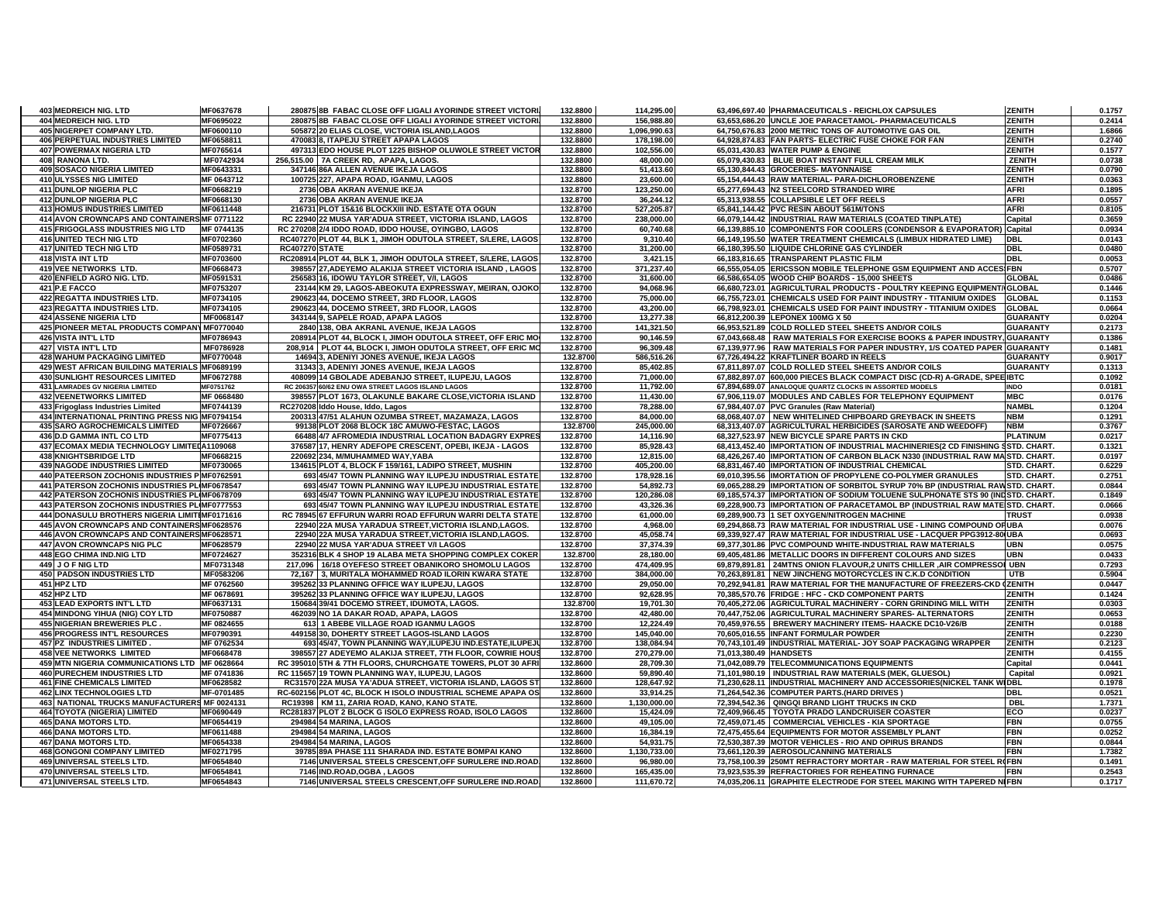| 403 MEDREICH NIG. LTD                                             | MF0637678                          | 280875 8B FABAC CLOSE OFF LIGALI AYORINDE STREET VICTORI                                                      | 132.8800             | 114,295.00               |                        | 63,496,697.40 PHARMACEUTICALS - REICHLOX CAPSULES                                                                                   | <b>ZENITH</b>            | 0.1757           |
|-------------------------------------------------------------------|------------------------------------|---------------------------------------------------------------------------------------------------------------|----------------------|--------------------------|------------------------|-------------------------------------------------------------------------------------------------------------------------------------|--------------------------|------------------|
| 404 MEDREICH NIG. LTD                                             | MF0695022                          | 280875 8B FABAC CLOSE OFF LIGALI AYORINDE STREET VICTORI                                                      | 132.8800             | 156,988.80               |                        | 63,653,686.20 UNCLE JOE PARACETAMOL- PHARMACEUTICALS                                                                                | <b>ZENITH</b>            | 0.2414           |
| 405 NIGERPET COMPANY LTD.                                         | MF0600110                          | 505872 20 ELIAS CLOSE, VICTORIA ISLAND, LAGOS                                                                 | 132.8800             | 1,096,990.63             |                        | 64,750,676.83 2000 METRIC TONS OF AUTOMOTIVE GAS OIL                                                                                | <b>ZENITH</b>            | 1.6866           |
| <b>406 PERPETUAL INDUSTRIES LIMITED</b>                           | MF0658811                          | 470083 8. ITAPEJU STREET APAPA LAGOS                                                                          | 132.8800             | 178.198.00               |                        | 64,928,874.83 FAN PARTS- ELECTRIC FUSE CHOKE FOR FAN                                                                                | <b>ZENITH</b>            | 0.2740           |
| 407 POWERMAX NIGERIA LTD                                          | MF0765614                          | 497313 EDO HOUSE PLOT 1225 BISHOP OLUWOLE STREET VICTOR                                                       | 132.8800             | 102,556.00               |                        | 65,031,430.83 WATER PUMP & ENGINE                                                                                                   | ZENITH                   | 0.1577           |
| 408 RANONA LTD.                                                   | MF0742934                          | 256,515.00 7A CREEK RD, APAPA, LAGOS.                                                                         | 132.8800             | 48,000.00                |                        | 65,079,430.83 BLUE BOAT INSTANT FULL CREAM MILK                                                                                     | <b>ZENITH</b>            | 0.0738           |
| <b>409 SOSACO NIGERIA LIMITED</b>                                 | MF0643331                          | 347146 86A ALLEN AVENUE IKEJA LAGOS                                                                           | 132.8800             | 51,413.60                |                        | 65,130,844.43 GROCERIES- MAYONNAISE                                                                                                 | ZENITH                   | 0.0790           |
| 410 ULYSSES NIG LIMITED                                           | MF 0643712                         | 100725 227, APAPA ROAD, IGANMU, LAGOS                                                                         | 132.8800             | 23,600.00                |                        | 65,154,444.43 RAW MATERIAL- PARA-DICHLOROBENZENE                                                                                    | <b>ZENITH</b>            | 0.0363           |
| 411 DUNLOP NIGERIA PLC                                            | MF0668219                          | 2736 OBA AKRAN AVENUE IKEJA                                                                                   | 132.8700             | 123,250.00               |                        | 65,277,694.43 N2 STEELCORD STRANDED WIRE                                                                                            | <b>AFRI</b>              | 0.1895           |
| 412 DUNLOP NIGERIA PLC                                            | MF0668130                          | 2736 OBA AKRAN AVENUE IKEJA                                                                                   | 132.8700             | 36,244.12                |                        | 65,313,938.55 COLLAPSIBLE LET OFF REELS                                                                                             | <b>AFRI</b>              | 0.0557           |
| 413 HOMUS INDUSTRIES LIMITED                                      | MF0611448                          | 216731 PLOT 15&16 BLOCKXIII IND. ESTATE OTA OGUN                                                              | 132.8700             | 527,205.87               |                        | 65,841,144.42 PVC RESIN ABOUT 561M/TONS                                                                                             | <b>AFRI</b>              | 0.8105           |
| 414 AVON CROWNCAPS AND CONTAINERS MF 0771122                      |                                    | RC 22940 22 MUSA YAR'ADUA STREET, VICTORIA ISLAND, LAGOS                                                      | 132.8700             | 238,000.00               |                        | 66,079,144.42 INDUSTRIAL RAW MATERIALS (COATED TINPLATE)                                                                            | Capita                   | 0.3659           |
| 415 FRIGOGLASS INDUSTRIES NIG LTD                                 | MF 0744135                         | RC 270208 2/4 IDDO ROAD, IDDO HOUSE, OYINGBO, LAGOS                                                           | 132.8700             | 60,740.68                |                        | 66,139,885.10 COMPONENTS FOR COOLERS (CONDENSOR & EVAPORATOR)                                                                       | Capital                  | 0.0934           |
| 416 UNITED TECH NIG LTD                                           | MF0702360                          | RC407270 PLOT 44, BLK 1, JIMOH ODUTOLA STREET, S/LERE, LAGOS                                                  | 132.8700             | 9,310.40                 |                        | 66,149,195.50 WATER TREATMENT CHEMICALS (LIMBUX HIDRATED LIME)                                                                      | <b>DBL</b>               | 0.0143           |
| 417 UNITED TECH NIG LTD                                           | MF0589731<br><b>RC407270 STATE</b> |                                                                                                               | 132.8700             | 31,200.00                |                        | 66,180,395.50 LIQUIDE CHLORINE GAS CYLINDER                                                                                         | DBL                      | 0.0480           |
| <b>418 VISTA INT LTD</b>                                          | MF0703600                          | RC208914 PLOT 44, BLK 1, JIMOH ODUTOLA STREET, S/LERE, LAGOS                                                  | 132.8700             | 3,421.15                 |                        | 66.183.816.65 TRANSPARENT PLASTIC FILM                                                                                              | DBL                      | 0.0053           |
| 419 VEE NETWORKS LTD.                                             | MF0668473                          | 398557 27, ADEYEMO ALAKIJA STREET VICTORIA ISLAND, LAGOS                                                      | 132.8700             | 371,237.40               |                        | 66,555,054.05 ERICSSON MOBILE TELEPHONE GSM EQUIPMENT AND ACCESIFBN                                                                 |                          | 0.5707           |
| 420 ENFIELD AGRO NIG. LTD.                                        | MF0591531                          | 256583 16, IDOWU TAYLOR STREET, V/I, LAGOS                                                                    | 132.8700             | 31,600.00                |                        | 66.586.654.05 WOOD CHIP BOARDS - 15.000 SHEETS                                                                                      | <b>GLOBAL</b>            | 0.0486           |
| 421 P.E FACCO                                                     | MF0753207                          | 23144 KM 29, LAGOS-ABEOKUTA EXPRESSWAY, MEIRAN, OJOKO                                                         | 132.8700             | 94,068.96                |                        | 66,680,723.01 AGRICULTURAL PRODUCTS - POULTRY KEEPING EQUIPMENT/IGLOBAL                                                             |                          | 0.1446           |
| 422 REGATTA INDUSTRIES LTD.                                       | MF0734105                          | 290623 44, DOCEMO STREET, 3RD FLOOR, LAGOS                                                                    | 132.8700             | 75,000.00                |                        | 66,755,723.01 CHEMICALS USED FOR PAINT INDUSTRY - TITANIUM OXIDES                                                                   | <b>GLOBAL</b>            | 0.1153           |
| 423 REGATTA INDUSTRIES LTD.                                       | MF0734105                          | 290623 44, DOCEMO STREET, 3RD FLOOR, LAGOS                                                                    | 132.8700             | 43,200.00                |                        | 66,798,923.01 CHEMICALS USED FOR PAINT INDUSTRY - TITANIUM OXIDES                                                                   | <b>GLOBAL</b>            | 0.0664           |
| 424 ASSENE NIGERIA LTD                                            | MF0068147                          | 343144 9, SAPELE ROAD, APAPA LAGOS                                                                            | 132.8700             | 13,277.38                |                        | 66,812,200.39 LEPONEX 100MG X 50                                                                                                    | <b>GUARANTY</b>          | 0.0204           |
| 425 PIONEER METAL PRODUCTS COMPANY MF0770040                      |                                    | 2840 138, OBA AKRANL AVENUE, IKEJA LAGOS                                                                      | 132.8700             | 141,321.50               |                        | 66,953,521.89 COLD ROLLED STEEL SHEETS AND/OR COILS                                                                                 | <b>GUARANTY</b>          | 0.2173           |
| <b>426 VISTA INT'L LTD</b>                                        | MF0786943                          | 208914 PLOT 44, BLOCK I, JIMOH ODUTOLA STREET, OFF ERIC MO                                                    | 132.8700             | 90,146.59                |                        | 67,043,668.48   RAW MATERIALS FOR EXERCISE BOOKS & PAPER INDUSTRY GUARANTY                                                          |                          | 0.1386           |
| 427 VISTA INT'L LTD                                               | MF0786928                          | 208,914 PLOT 44, BLOCK I, JIMOH ODUTOLA STREET, OFF ERIC MO                                                   | 132.8700             | 96,309.48                |                        | 67,139,977.96   RAW MATERIALS FOR PAPER INDUSTRY, 1/S COATED PAPER GUARANTY                                                         |                          | 0.1481           |
| <b>428 WAHUM PACKAGING LIMITED</b>                                | MF0770048                          | 14694 3, ADENIYI JONES AVENUE, IKEJA LAGOS                                                                    | 132.8700             | 586,516.26               |                        | 67,726,494.22 KRAFTLINER BOARD IN REELS                                                                                             | <b>GUARANTY</b>          | 0.9017<br>0.1313 |
| 429 WEST AFRICAN BUILDING MATERIALS MF0689199                     |                                    | 31343 3, ADENIYI JONES AVENUE, IKEJA LAGOS                                                                    | 132.8700             | 85,402.85                |                        | 67,811,897.07 COLD ROLLED STEEL SHEETS AND/OR COILS                                                                                 | <b>GUARANTY</b>          |                  |
| 430 SUNLIGHT RESOURCES LIMITED<br>431 LAMRADES GV NIGERIA LIMITED | MF0672788                          | 408099 14 GBOLADE ADEBANJO STREET, ILUPEJU, LAGOS                                                             | 132.8700<br>132.8700 | 71,000.00<br>11,792.00   |                        | 67,882,897.07 600,000 PIECES BLACK COMPACT DISC (CD-R) A-GRADE, SPEE IBTC                                                           | <b>INDO</b>              | 0.1092<br>0.0181 |
| <b>432 VEENETWORKS LIMITED</b>                                    | MF0751762<br>MF 0668480            | RC 206357 60/62 ENU OWA STREET LAGOS ISLAND LAGOS<br>398557 PLOT 1673, OLAKUNLE BAKARE CLOSE, VICTORIA ISLAND | 132.8700             | 11,430.00                |                        | 67,894,689.07 ANALOQUE QUARTZ CLOCKS IN ASSORTED MODELS<br>67,906,119.07 MODULES AND CABLES FOR TELEPHONY EQUIPMENT                 | <b>MBC</b>               | 0.0176           |
| 433 Frigoglass Industries Limited                                 | MF0744139                          | RC270208 Iddo House, Iddo, Lagos                                                                              | 132.8700             | 78,288.00                |                        | 67,984,407.07 PVC Granules (Raw Material)                                                                                           | <b>NAMBL</b>             | 0.1204           |
| 434 INTERNATIONAL PRINTING PRESS NIG MF0794154                    |                                    | 200313 47/51 ALAHUN OZUMBA STREET, MAZAMAZA, LAGOS                                                            | 132.8700             |                          |                        | 68,068,407.07 NEW WHITELINED CHIPBOARD GREYBACK IN SHEETS                                                                           | <b>NBM</b>               | 0.1291           |
| <b>435 SARO AGROCHEMICALS LIMITED</b>                             | MF0726667                          | 99138 PLOT 2068 BLOCK 18C AMUWO-FESTAC, LAGOS                                                                 | 132.8700             | 84,000.00<br>245,000.00  |                        | 68,313,407.07 AGRICULTURAL HERBICIDES (SAROSATE AND WEEDOFF)                                                                        | <b>NBM</b>               | 0.3767           |
| <b>436 D.D GAMMA INTL CO LTD</b>                                  | MF0775413                          | 66488 4/7 AFROMEDIA INDUSTRIAL LOCATION BADAGRY EXPRES                                                        | 132.8700             | 14.116.90                |                        | 68.327.523.97 NEW BICYCLE SPARE PARTS IN CKD                                                                                        | <b>PLATINUM</b>          | 0.0217           |
|                                                                   |                                    |                                                                                                               |                      |                          |                        |                                                                                                                                     |                          |                  |
|                                                                   |                                    |                                                                                                               |                      |                          |                        |                                                                                                                                     |                          |                  |
| 437 ECOMAX MEDIA TECHNOLOGY LIMITEDA1109068                       |                                    | 376587 17, HENRY ADEFOPE CRESCENT, OPEBI, IKEJA - LAGOS                                                       | 132.8700             | 85,928.43                |                        | 68,413,452.40 IMPORTATION OF INDUSTRIAL MACHINERIES(2 CD FINISHING SSTD. CHART                                                      |                          | 0.1321           |
| <b>438 KNIGHTSBRIDGE LTD</b>                                      | MF0668215                          | 220692 234. M/MUHAMMED WAY YABA                                                                               | 132.8700             | 12,815.00                |                        | 68,426,267.40 IMPORTATION OF CARBON BLACK N330 (INDUSTRIAL RAW MA STD. CHART.                                                       |                          | 0.0197           |
| <b>439 NAGODE INDUSTRIES LIMITED</b>                              | MF0730065                          | 134615 PLOT 4, BLOCK F 159/161, LADIPO STREET, MUSHIN                                                         | 132.8700             | 405,200.00               |                        | 68.831.467.40 IMPORTATION OF INDUSTRIAL CHEMICAL                                                                                    | STD. CHART.              | 0.6229           |
| 440 PATEERSON ZOCHONIS INDUSTRIES P MF0762591                     |                                    | 693 45/47 TOWN PLANNING WAY ILUPEJU INDUSTRIAL ESTATE                                                         | 132.8700             | 178,928.16               |                        | 69,010,395.56 IMORTATION OF PROPYLENE CO-POLYMER GRANULES                                                                           | STD. CHART.              | 0.2751           |
| 441 PATERSON ZOCHONIS INDUSTRIES PLIMF0678547                     |                                    | 693 45/47 TOWN PLANNING WAY ILUPEJU INDUSTRIAL ESTATE                                                         | 132.8700             | 54,892.73                |                        | 69,065,288.29 IMPORTATION OF SORBITOL SYRUP 70% BP (INDUSTRIAL RAWSTD. CHART.                                                       |                          | 0.0844           |
| 442 PATERSON ZOCHONIS INDUSTRIES PLIMF0678709                     |                                    | 693 45/47 TOWN PLANNING WAY ILUPEJU INDUSTRIAL ESTATE                                                         | 132.8700             | 120,286.08               |                        | 69,185,574.37 IMPORTATION OF SODIUM TOLUENE SULPHONATE STS 90 (INDSTD. CHART.                                                       |                          | 0.1849           |
| 443 PATERSON ZOCHONIS INDUSTRIES PLIMF0777553                     |                                    | 693 45/47 TOWN PLANNING WAY ILUPEJU INDUSTRIAL ESTATE                                                         | 132.8700             | 43,326.36                |                        | 69,228,900.73 IMPORTATION OF PARACETAMOL BP (INDUSTRIAL RAW MATE STD. CHART.                                                        |                          | 0.0666           |
| 444 DONASULU BROTHERS NIGERIA LIMITIMF0171616                     |                                    | RC 78945 67 EFFURUN WARRI ROAD EFFURUN WARRI DELTA STATE                                                      | 132.8700             | 61,000.00                |                        | 69,289,900.73 1 SET OXYGEN/NITROGEN MACHINE                                                                                         | <b>TRUST</b>             | 0.0938           |
| 445 AVON CROWNCAPS AND CONTAINERS MF0628576                       |                                    | 22940 22A MUSA YARADUA STREET, VICTORIA ISLAND, LAGOS.                                                        | 132.8700             | 4,968.00                 |                        | 69,294,868.73 RAW MATERIAL FOR INDUSTRIAL USE - LINING COMPOUND OF UBA                                                              |                          | 0.0076           |
| 446 AVON CROWNCAPS AND CONTAINERS MF0628571                       |                                    | 22940 22A MUSA YARADUA STREET, VICTORIA ISLAND, LAGOS.                                                        | 132.8700             | 45,058.74                |                        | 69,339,927.47 RAW MATERIAL FOR INDUSTRIAL USE - LACQUER PPG3912-80 UBA                                                              |                          | 0.0693           |
| 447 AVON CROWNCAPS NIG PLC                                        | MF0628579                          | 22940 22 MUSA YAR'ADUA STREET V/I LAGOS                                                                       | 132.8700             | 37,374.39                |                        | 69,377,301.86 PVC COMPOUND WHITE-INDUSTRIAL RAW MATERIALS                                                                           | <b>UBN</b><br><b>UBN</b> | 0.0575           |
| 448 EGO CHIMA IND.NIG LTD                                         | MF0724627                          | 352316 BLK 4 SHOP 19 ALABA META SHOPPING COMPLEX COKER                                                        | 132.8700             | 28,180.00                |                        | 69.405.481.86 METALLIC DOORS IN DIFFERENT COLOURS AND SIZES                                                                         |                          | 0.0433           |
| 449 J O F NIG LTD                                                 | MF0731348                          | 217,096 16/18 OYEFESO STREET OBANIKORO SHOMOLU LAGOS                                                          | 132.8700             | 474,409.95               |                        | 69,879,891.81 24MTNS ONION FLAVOUR,2 UNITS CHILLER ,AIR COMPRESSOI UBN                                                              |                          | 0.7293           |
| 450 PADSON INDUSTRIES LTD<br>451 HPZ LTD                          | MF0583206                          | 72,167 3, MURITALA MOHAMMED ROAD ILORIN KWARA STATE<br>395262 33 PLANNING OFFICE WAY ILUPEJU. LAGOS           | 132.8700             | 384,000.00               |                        | 70,263,891.81 NEW JINCHENG MOTORCYCLES IN C.K.D CONDITION<br>70.292.941.81 RAW MATERIAL FOR THE MANUFACTURE OF FREEZERS-CKD (ZENITH | <b>UTB</b>               | 0.5904<br>0.0447 |
| 452 HPZ LTD                                                       | MF 0762560<br>MF 0678691           |                                                                                                               | 132.8700<br>132.8700 | 29,050.00                |                        | 70,385,570.76 FRIDGE : HFC - CKD COMPONENT PARTS                                                                                    | ZENITH                   | 0.1424           |
| 453 LEAD EXPORTS INT'L LTD                                        | MF0637131                          | 395262 33 PLANNING OFFICE WAY ILUPEJU, LAGOS<br>150684 39/41 DOCEMO STREET, IDUMOTA, LAGOS.                   | 132.8700             | 92,628.95<br>19,701.30   |                        | 70,405,272.06 AGRICULTURAL MACHINERY - CORN GRINDING MILL WITH                                                                      | <b>ZENITH</b>            | 0.0303           |
| 454 MINDONG YIHUA (NIG) COY LTD                                   | MF0750887                          | 462039 NO 1A DAKAR ROAD, APAPA, LAGOS                                                                         | 132.8700             | 42,480.00                |                        | 70,447,752.06 AGRICULTURAL MACHINERY SPARES-ALTERNATORS                                                                             | <b>ZENITH</b>            | 0.0653           |
| 455 NIGERIAN BREWERIES PLC.                                       | MF 0824655                         | 613 1 ABEBE VILLAGE ROAD IGANMU LAGOS                                                                         | 132.8700             | 12,224.49                |                        | 70,459,976.55 BREWERY MACHINERY ITEMS- HAACKE DC10-V26/B                                                                            | ZENITH                   | 0.0188           |
| <b>456 PROGRESS INT'L RESOURCES</b>                               | MF0790391                          | 449158 30, DOHERTY STREET LAGOS-ISLAND LAGOS                                                                  | 132.8700             | 145,040.00               |                        | 70,605,016.55 INFANT FORMULAR POWDER                                                                                                | <b>ZENITH</b>            | 0.2230           |
| 457 PZ INDUSTRIES LIMITED                                         | MF 0762534                         | 693 45/47, TOWN PLANNING WAY, ILUPEJU IND.ESTATE, ILUPEJ                                                      | 132.8700             | 138,084.94               |                        | 70,743,101.49 INDUSTRIAL MATERIAL- JOY SOAP PACKAGING WRAPPER                                                                       | <b>ZENITH</b>            | 0.2123           |
| <b>458 VEE NETWORKS LIMITED</b>                                   | MF0668478                          | 398557 27 ADEYEMO ALAKIJA STREET, 7TH FLOOR, COWRIE HOUS                                                      | 132.8700             | 270,279.00               | 71,013,380.49 HANDSETS |                                                                                                                                     | ZENITH                   | 0.4155           |
| 459 MTN NIGERIA COMMUNICATIONS LTD MF 0628664                     |                                    | RC 395010 5TH & 7TH FLOORS, CHURCHGATE TOWERS, PLOT 30 AFRI                                                   | 132.8600             | 28,709.30                |                        | 71,042,089.79 TELECOMMUNICATIONS EQUIPMENTS                                                                                         | Capital                  | 0.0441           |
| 460 PURECHEM INDUSTRIES LTD                                       | MF 0741836                         | RC 115657 19 TOWN PLANNING WAY, ILUPEJU, LAGOS                                                                | 132.8600             | 59,890.40                |                        | 71,101,980.19   INDUSTRIAL RAW MATERIALS (MEK, GLUESOL)                                                                             | Capital                  | 0.0921           |
| <b>461 FINE CHEMICALS LIMITED</b>                                 | MF0628582                          | RC31570 22A MUSA YA'ADUA STREET, VICTORIA ISLAND, LAGOS ST                                                    | 132.8600             | 128,647.92               |                        | 71,230,628.11 INDUSTRIAL MACHINERY AND ACCESSORIES(NICKEL TANK WIDBL                                                                |                          | 0.1978           |
| <b>462 LINX TECHNOLOGIES LTD</b>                                  | MF-0701485                         | RC-602156 PLOT 4C, BLOCK H ISOLO INDUSTRIAL SCHEME APAPA OS                                                   | 132.8600             | 33,914.25                |                        | 71,264,542.36 COMPUTER PARTS (HARD DRIVES)                                                                                          | DBL                      | 0.0521           |
| 463 NATIONAL TRUCKS MANUFACTURERS MF 0024131                      |                                    | RC19398   KM 11, ZARIA ROAD, KANO, KANO STATE.                                                                | 132.8600             | 1,130,000.00             |                        | 72,394,542.36   QINGQI BRAND LIGHT TRUCKS IN CKD                                                                                    | <b>DBL</b>               | 1.7371           |
| 464 TOYOTA (NIGERIA) LIMITED                                      | MF0690449                          | RC281837 PLOT 2 BLOCK G ISOLO EXPRESS ROAD, ISOLO LAGOS                                                       | 132.8600             | 15,424.09                |                        | 72,409,966.45   TOYOTA PRADO LANDCRUISER COASTER                                                                                    | ECO                      | 0.0237           |
| 465 DANA MOTORS LTD.                                              | MF0654419                          | 294984 54 MARINA, LAGOS                                                                                       | 132.8600             | 49,105.00                |                        | 72,459,071.45 COMMERCIAL VEHICLES - KIA SPORTAGE                                                                                    | <b>FBN</b>               | 0.0755           |
| <b>466 DANA MOTORS LTD.</b>                                       | MF0611488                          | 294984 54 MARINA, LAGOS                                                                                       | 132.8600             | 16,384.19                |                        | 72,475,455.64 EQUIPMENTS FOR MOTOR ASSEMBLY PLANT                                                                                   | <b>FBN</b>               | 0.0252           |
| 467 DANA MOTORS LTD.                                              | MF0654338                          | 294984 54 MARINA, LAGOS                                                                                       | 132.8600             | 54,931.75                |                        | 72,530,387.39 MOTOR VEHICLES - RIO AND OPIRUS BRANDS                                                                                | <b>FBN</b>               | 0.0844           |
| <b>468 GONGONI COMPANY LIMITED</b>                                | MF0271795                          | 39785 89A PHASE 111 SHARADA IND. ESTATE BOMPAI KANO                                                           | 132.8600             | 1,130,733.00             |                        | 73,661,120.39 AEROSOL/CANNING MATERIALS                                                                                             | FBN                      | 1.7382           |
| 469 UNIVERSAL STEELS LTD.                                         | MF0654840                          | 7146 UNIVERSAL STEELS CRESCENT, OFF SURULERE IND.ROAD                                                         | 132.8600             | 96,980.00                |                        | 73,758,100.39 250MT REFRACTORY MORTAR - RAW MATERIAL FOR STEEL R(FBN                                                                |                          | 0.1491           |
| 470 UNIVERSAL STEELS LTD.<br>471 UNIVERSAL STEELS LTD.            | MF0654841<br>MF0654843             | 7146 IND.ROAD, OGBA, LAGOS<br>7146 UNIVERSAL STEELS CRESCENT, OFF SURULERE IND.ROAD,                          | 132.8600<br>132.8600 | 165,435.00<br>111,670.72 |                        | 73,923,535.39 REFRACTORIES FOR REHEATING FURNACE<br>74,035,206.11 GRAPHITE ELECTRODE FOR STEEL MAKING WITH TAPERED NIFBN            | <b>FBN</b>               | 0.2543<br>0.1717 |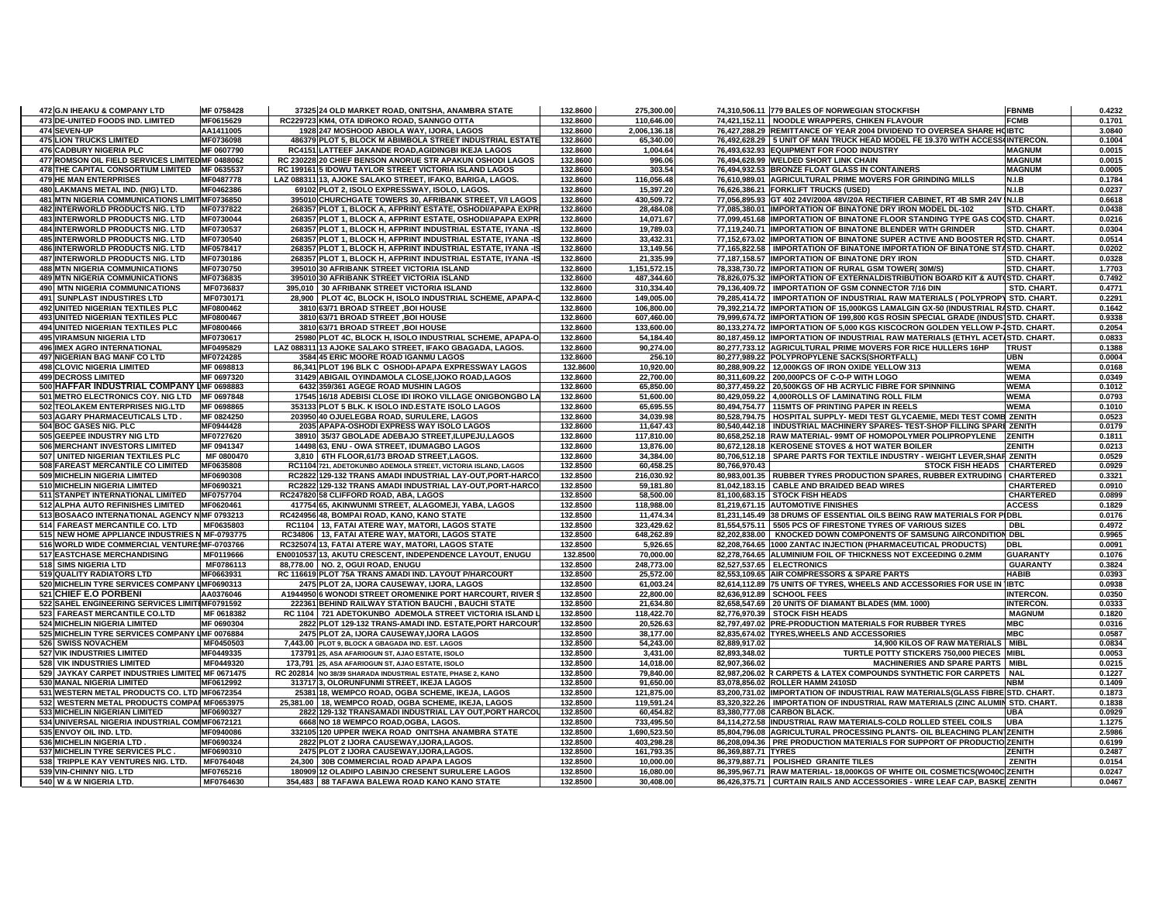| 472 G.N IHEAKU & COMPANY LTD                                       | MF 0758428             | 37325 24 OLD MARKET ROAD, ONITSHA, ANAMBRA STATE                                                 | 132.8600             | 275,300.00             |                     | 74,310,506.11 779 BALES OF NORWEGIAN STOCKFISH                                                                                                 | <b>FBNMB</b>        | 0.4232           |
|--------------------------------------------------------------------|------------------------|--------------------------------------------------------------------------------------------------|----------------------|------------------------|---------------------|------------------------------------------------------------------------------------------------------------------------------------------------|---------------------|------------------|
| 473 DE-UNITED FOODS IND. LIMITED                                   | MF0615629              | RC229723 KM4, OTA IDIROKO ROAD, SANNGO OTTA                                                      | 132.8600             | 110,646.00             |                     | 74,421,152.11   NOODLE WRAPPERS, CHIKEN FLAVOUR                                                                                                | <b>FCMB</b>         | 0.1701           |
| 474 SEVEN-UP                                                       | AA1411005              | 1928 247 MOSHOOD ABIOLA WAY, IJORA, LAGOS                                                        | 132.8600             | 2,006,136.18           |                     | 76,427,288.29 REMITTANCE OF YEAR 2004 DIVIDEND TO OVERSEA SHARE HOIBTC                                                                         |                     | 3.0840           |
| <b>475 LION TRUCKS LIMITED</b>                                     | MF0736098              | 486379 PLOT 5, BLOCK M ABIMBOLA STREET INDUSTRIAL ESTATE                                         | 132.8600             | 65,340.00              |                     | 76,492,628.29   5 UNIT OF MAN TRUCK HEAD MODEL FE 19.370 WITH ACCESS(INTERCON.                                                                 |                     | 0.1004           |
| <b>476 CADBURY NIGERIA PLC</b>                                     | MF 0607790             | RC4151 LATTEEF JAKANDE ROAD.AGIDINGBI IKEJA LAGOS                                                | 132.8600             | 1.004.64               |                     | 76.493.632.93 EQUIPMENT FOR FOOD INDUSTRY                                                                                                      | <b>MAGNUM</b>       | 0.0015           |
| 477 ROMSON OIL FIELD SERVICES LIMITED MF 0488062                   |                        | RC 230228 20 CHIEF BENSON ANORUE STR APAKUN OSHODI LAGOS                                         | 132.8600             | 996.06                 |                     | 76,494,628.99 WELDED SHORT LINK CHAIN                                                                                                          | <b>MAGNUM</b>       | 0.0015           |
| 478 THE CAPITAL CONSORTIUM LIMITED MF 0635537                      |                        | RC 199161 5 IDOWU TAYLOR STREET VICTORIA ISLAND LAGOS                                            | 132.8600             | 303.54                 |                     | 76,494,932.53 BRONZE FLOAT GLASS IN CONTAINERS                                                                                                 | <b>MAGNUM</b>       | 0.0005           |
| <b>479 HE MAN ENTERPRISES</b>                                      | MF0487778              | LAZ 088311 13, AJOKE SALAKO STREET, IFAKO, BARIGA, LAGOS.                                        | 132.8600             | 116.056.48             |                     | 76,610,989.01 AGRICULTURAL PRIME MOVERS FOR GRINDING MILLS                                                                                     | N.I.B               | 0.1784           |
| 480 LAKMANS METAL IND. (NIG) LTD.                                  | MF0462386              | 69102 PLOT 2, ISOLO EXPRESSWAY, ISOLO, LAGOS.                                                    | 132.8600             | 15,397.20              |                     | 76,626,386.21 FORKLIFT TRUCKS (USED)                                                                                                           | N.I.B               | 0.0237           |
| 481 MTN NIGERIA COMMUNICATIONS LIMIT MF0736850                     |                        | 395010 CHURCHGATE TOWERS 30, AFRIBANK STREET, V/I LAGOS                                          | 132.8600             | 430,509.72             |                     | 77,056,895.93 GT 402 24V/200A 48V/20A RECTIFIER CABINET, RT 4B SMR 24V IN I.B                                                                  |                     | 0.6618           |
| 482 INTERWORLD PRODUCTS NIG. LTD                                   | MF0737822              | 268357 PLOT 1, BLOCK A, AFPRINT ESTATE, OSHODI/APAPA EXPRI                                       | 132.8600             | 28,484.08              |                     | 77,085,380.01 IMPORTATION OF BINATONE DRY IRON MODEL DL-102                                                                                    | STD. CHART.         | 0.0438           |
| 483 INTERWORLD PRODUCTS NIG. LTD                                   | MF0730044              | 268357 PLOT 1, BLOCK A, AFPRINT ESTATE, OSHODI/APAPA EXPRI                                       | 132.8600             | 14,071.67              |                     | 77,099,451.68 IMPORTATION OF BINATONE FLOOR STANDING TYPE GAS COOSTD. CHART                                                                    |                     | 0.0216           |
| <b>484 INTERWORLD PRODUCTS NIG. LTD</b>                            | MF0730537              | 268357 PLOT 1, BLOCK H, AFPRINT INDUSTRIAL ESTATE, IYANA - IS                                    | 132.8600             | 19,789.03              |                     | 77,119,240.71 IMPORTATION OF BINATONE BLENDER WITH GRINDER                                                                                     | <b>STD. CHART</b>   | 0.0304           |
| 485 INTERWORLD PRODUCTS NIG. LTD                                   | MF0730540              | 268357 PLOT 1, BLOCK H, AFPRINT INDUSTRIAL ESTATE, IYANA -IS                                     | 132.8600             | 33,432.31              |                     | 77,152,673.02 IMPORTATION OF BINATONE SUPER ACTIVE AND BOOSTER ROSTD. CHART.                                                                   |                     | 0.0514           |
| 486 INTERWORLD PRODUCTS NIG. LTD                                   | MF0578417              | 268357 PLOT 1, BLOCK H, AFPRINT INDUSTRIAL ESTATE, IYANA -IS                                     | 132.8600             | 13,149.56              |                     | 77,165,822.58   IMPORTATION OF BINATONE IMPORTATION OF BINATONE STASTD. CHART                                                                  |                     | 0.0202           |
| 487 INTERWORLD PRODUCTS NIG. LTD                                   | MF0730186              | 268357 PLOT 1, BLOCK H, AFPRINT INDUSTRIAL ESTATE, IYANA -IS                                     | 132.8600             | 21,335.99              |                     | 77,187,158.57 IMPORTATION OF BINATONE DRY IRON                                                                                                 | <b>STD. CHART</b>   | 0.0328           |
| <b>488 MTN NIGERIA COMMUNICATIONS</b>                              | MF0730750              | 395010 30 AFRIBANK STREET VICTORIA ISLAND                                                        | 132.8600             | 1,151,572.15           |                     | 78.338.730.72 IMPORTATION OF RURAL GSM TOWER(30M/S)                                                                                            | STD. CHART.         | 1.7703           |
| <b>489 MTN NIGERIA COMMUNICATIONS</b>                              | MF0736835              | 395010 30 AFRIBANK STREET VICTORIA ISLAND                                                        | 132.8600             | 487,344.60             |                     | 78,826,075.32 IMPORTATION OF EXTERNALDISTRIBUTION BOARD KIT & AUT(STD. CHART.                                                                  |                     | 0.7492           |
| <b>490 MTN NIGERIA COMMUNICATIONS</b>                              | MF0736837              | 395.010 30 AFRIBANK STREET VICTORIA ISLAND                                                       | 132.8600             | 310,334.40             |                     | 79.136.409.72   IMPORTATION OF GSM CONNECTOR 7/16 DIN                                                                                          | <b>STD. CHART</b>   | 0.4771           |
| <b>491 SUNPLAST INDUSTIRES LTD</b>                                 | MF0730171              | 28,900 PLOT 4C, BLOCK H, ISOLO INDUSTRIAL SCHEME, APAPA-C                                        | 132.8600             | 149,005.00             |                     | 79,285,414.72   IMPORTATION OF INDUSTRIAL RAW MATERIALS ( POLYPROPY STD. CHART.                                                                |                     | 0.2291           |
| 492 UNITED NIGERIAN TEXTILES PLC                                   | MF0800462              | 3810 63/71 BROAD STREET, BOI HOUSE                                                               | 132.8600             | 106,800.00             |                     | 79,392,214.72 IMPORTATION OF 15,000KGS LAMALGIN GX-50 (INDUSTRIAL RASTD. CHART.                                                                |                     | 0.1642           |
| <b>493 UNITED NIGERIAN TEXTILES PLC</b>                            | MF0800467              | 3810 63/71 BROAD STREET, BOI HOUSE                                                               | 132.8600             | 607,460.00             |                     | 79,999,674.72 IMPORTATION OF 199,800 KGS ROSIN SPECIAL GRADE (INDUS STD. CHART.                                                                |                     | 0.9338           |
| 494 UNITED NIGERIAN TEXTILES PLC                                   | MF0800466              | 3810 63/71 BROAD STREET, BOI HOUSE                                                               | 132.8600             | 133,600.00             |                     | 80,133,274.72 IMPORTATION OF 5,000 KGS KISCOCRON GOLDEN YELLOW P-1STD. CHART.                                                                  |                     | 0.2054           |
| 495 VIRAMSUN NIGERIA LTD                                           | MF0730617              | 25980 PLOT 4C, BLOCK H, ISOLO INDUSTRIAL SCHEME, APAPA-O                                         | 132.8600<br>132.8600 | 54,184.40<br>90,274.00 |                     | 80,187,459.12 IMPORTATION OF INDUSTRIAL RAW MATERIALS (ETHYL ACETISTD. CHART.<br>80,277,733.12 AGRICULTURAL PRIME MOVERS FOR RICE HULLERS 16HP |                     | 0.0833<br>0.1388 |
| <b>496 IMEX AGRO INTERNATIONAL</b><br>497 NIGERIAN BAG MANF CO LTD | MF0495829<br>MF0724285 | LAZ 088311 13 AJOKE SALAKO STREET, IFAKO GBAGADA, LAGOS.<br>3584 45 ERIC MOORE ROAD IGANMU LAGOS | 132.8600             |                        |                     | 80,277,989.22 POLYPROPYLENE SACKS(SHORTFALL)                                                                                                   | <b>TRUST</b><br>UBN | 0.0004           |
| <b>498 CLOVIC NIGERIA LIMITED</b>                                  | MF 0698813             | 86,341 PLOT 196 BLK C OSHODI-APAPA EXPRESSWAY LAGOS                                              | 132.8600             | 256.10                 |                     | 80,288,909.22 12,000KGS OF IRON OXIDE YELLOW 313                                                                                               | <b>WEMA</b>         | 0.0168           |
| <b>499 DECROSS LIMITED</b>                                         | MF 0697320             | 31429 ABIGAIL OYINDAMOLA CLOSE,IJOKO ROAD,LAGOS                                                  | 132.8600             | 10,920.00<br>22,700.00 |                     | 80,311,609.22   200,000PCS OF C-O-P WITH LOGO                                                                                                  | <b>WEMA</b>         | 0.0349           |
| 500 HAFFAR INDUSTRIAL COMPANY LMF 0698883                          |                        | 6432 359/361 AGEGE ROAD MUSHIN LAGOS                                                             | 132.8600             | 65.850.00              |                     | 80.377.459.22 20.500KGS OF HB ACRYLIC FIBRE FOR SPINNING                                                                                       | <b>WEMA</b>         | 0.1012           |
| 501 METRO ELECTRONICS COY. NIG LTD MF 0697848                      |                        | 17545 16/18 ADEBISI CLOSE IDI IROKO VILLAGE ONIGBONGBO LA                                        | 132.8600             | 51,600.00              |                     | 80,429,059.22 4,000ROLLS OF LAMINATING ROLL FILM                                                                                               | <b>WEMA</b>         | 0.0793           |
| 502 TEOLAKEM ENTERPRISES NIG.LTD                                   | MF 0698865             | 353133 PLOT 5 BLK. K ISOLO IND ESTATE ISOLO LAGOS                                                | 132.8600             | 65,695.55              |                     | 80.494.754.77 115MTS OF PRINTING PAPER IN REELS                                                                                                | <b>WEMA</b>         | 0.1010           |
| 503 AGARY PHARMACEUTICALS LTD.                                     | MF 0824250             | 203950 40 OJUELEGBA ROAD, SURULERE, LAGOS                                                        | 132.8600             | 34,039.98              |                     | 80,528,794.75   HOSPITAL SUPPLY- MEDI TEST GLYCAEMIE, MEDI TEST COMB ZENITH                                                                    |                     | 0.0523           |
| 504 BOC GASES NIG. PLC                                             | MF0944428              | 2035 APAPA-OSHODI EXPRESS WAY ISOLO LAGOS                                                        | 132.8600             | 11,647.43              |                     | 80,540,442.18   INDUSTRIAL MACHINERY SPARES- TEST-SHOP FILLING SPARE ZENITH                                                                    |                     | 0.0179           |
| 505 GEEPEE INDUSTRY NIG LTD                                        | MF0727620              | 38910 35/37 GBOLADE ADEBAJO STREET, ILUPEJU, LAGOS                                               | 132.8600             | 117,810.00             |                     | 80,658,252.18 RAW MATERIAL-99MT OF HOMOPOLYMER POLIPROPYLENE                                                                                   | <b>ZENITH</b>       | 0.1811           |
| 506 MERCHANT INVESTORS LIMITED                                     | MF 0941347             | 14498 63, ENU - OWA STREET, IDUMAGBO LAGOS                                                       | 132.8600             | 13,876.00              |                     | 80,672,128.18 KEROSENE STOVES & HOT WATER BOILER                                                                                               | <b>ZENITH</b>       | 0.0213           |
| 507 UNITED NIGERIAN TEXTILES PLC                                   | MF 0800470             | 3,810   6TH FLOOR,61/73 BROAD STREET,LAGOS.                                                      | 132.8600             | 34,384.00              |                     | 80,706,512.18 SPARE PARTS FOR TEXTILE INDUSTRY - WEIGHT LEVER, SHAF ZENITH                                                                     |                     | 0.0529           |
| 508 FAREAST MERCANTILE CO LIMITED                                  | MF0635808              | RC1104 721, ADETOKUNBO ADEMOLA STREET, VICTORIA ISLAND, LAGOS                                    | 132.8500             | 60,458.25              | 80.766.970.43       | STOCK FISH HEADS   CHARTERED                                                                                                                   |                     | 0.0929           |
| 509 MICHELIN NIGERIA LIMITED                                       | MF0690308              | RC2822 129-132 TRANS AMADI INDUSTRIAL LAY-OUT, PORT-HARCO                                        | 132.8500             | 216,030.92             |                     | 80,983,001.35 RUBBER TYRES PRODUCTION SPARES, RUBBER EXTRUDING   CHARTERED                                                                     |                     | 0.3321           |
| 510 MICHELIN NIGERIA LIMITED                                       | MF0690321              | RC2822 129-132 TRANS AMADI INDUSTRIAL LAY-OUT, PORT-HARCO                                        | 132.8500             | 59,181.80              |                     | 81,042,183.15 CABLE AND BRAIDED BEAD WIRES                                                                                                     | <b>CHARTERED</b>    | 0.0910           |
| 511 STANPET INTERNATIONAL LIMITED                                  | MF0757704              | RC247820 58 CLIFFORD ROAD, ABA, LAGOS                                                            | 132.8500             | 58,500.00              |                     | 81,100,683.15 STOCK FISH HEADS                                                                                                                 | <b>CHARTERED</b>    | 0.0899           |
| 512 ALPHA AUTO REFINISHES LIMITED                                  | MF0620461              | 417754 65, AKINWUNMI STREET, ALAGOMEJI, YABA, LAGOS                                              | 132.8500             | 118.988.00             |                     | 81.219.671.15 AUTOMOTIVE FINISHES                                                                                                              | <b>ACCESS</b>       | 0.1829           |
| 513 BOSAACO INTERNATIONAL AGENCY NMF 0793213                       |                        | RC424956 48, BOMPAI ROAD, KANO, KANO STATE                                                       | 132.8500             | 11,474.34              |                     | 81,231,145.49 38 DRUMS OF ESSENTIAL OILS BEING RAW MATERIALS FOR PIDBL                                                                         |                     | 0.0176           |
| 514 FAREAST MERCANTILE CO. LTD                                     | MF0635803              | RC1104   13, FATAI ATERE WAY, MATORI, LAGOS STATE                                                | 132.8500             | 323,429.62             |                     | 81.554.575.11 5505 PCS OF FIRESTONE TYRES OF VARIOUS SIZES                                                                                     | DBL                 | 0.4972           |
| 515 NEW HOME APPLIANCE INDUSTRIES N MF-0793775                     |                        | RC34806   13, FATAI ATERE WAY, MATORI, LAGOS STATE                                               | 132.8500             | 648,262.89             |                     | 82,202,838.00   KNOCKED DOWN COMPONENTS OF SAMSUNG AIRCONDITION DBL                                                                            |                     | 0.9965           |
| 516 WORLD WIDE COMMERCIAL VENTURESMF-0703766                       |                        | RC325074 13, FATAI ATERE WAY, MATORI, LAGOS STATE                                                | 132.8500             | 5,926.65               |                     | 82,208,764.65 1000 ZANTAC INJECTION (PHARMACEUTICAL PRODUCTS)                                                                                  | DBL                 | 0.0091           |
| 517 EASTCHASE MERCHANDISING                                        | MF0119666              | EN0010537 13, AKUTU CRESCENT, INDEPENDENCE LAYOUT, ENUGU                                         | 132.8500             | 70,000.00              |                     | 82,278,764.65 ALUMINIUM FOIL OF THICKNESS NOT EXCEEDING 0.2MM                                                                                  | <b>GUARANTY</b>     | 0.1076           |
| 518 SIMS NIGERIA LTD                                               | MF0786113              | 88,778.00 NO. 2, OGUI ROAD, ENUGU                                                                | 132.8500             | 248,773.00             |                     | 82,527,537.65 ELECTRONICS                                                                                                                      | <b>GUARANTY</b>     | 0.3824           |
| 519 QUALITY RADIATORS LTD                                          | MF0663931              | RC 116619 PLOT 75A TRANS AMADI IND. LAYOUT P/HARCOURT                                            | 132.8500             | 25,572.00              |                     | 82,553,109.65 AIR COMPRESSORS & SPARE PARTS                                                                                                    | HABIB               | 0.0393           |
| 520 MICHELIN TYRE SERVICES COMPANY LMF0690313                      |                        | 2475 PLOT 2A, IJORA CAUSEWAY, IJORA, LAGOS                                                       | 132.8500             | 61,003.24              |                     | 82,614,112.89 75 UNITS OF TYRES, WHEELS AND ACCESSORIES FOR USE IN IBTC                                                                        |                     | 0.0938           |
| 521 CHIEF E.O PORBENI                                              | AA0376046              | A1944950 6 WONODI STREET OROMENIKE PORT HARCOURT, RIVER 9                                        | 132.8500             | 22,800.00              |                     | 82.636.912.89 SCHOOL FEES                                                                                                                      | <b>INTERCON.</b>    | 0.0350           |
| 522 SAHEL ENGINEERING SERVICES LIMITIMF0791592                     |                        | 222361 BEHIND RAILWAY STATION BAUCHI, BAUCHI STATE                                               | 132.8500             | 21,634.80              |                     | 82,658,547.69 20 UNITS OF DIAMANT BLADES (MM. 1000)                                                                                            | <b>INTERCON.</b>    | 0.0333           |
| 523 FAREAST MERCANTILE CO.LTD                                      | MF 0618382             | RC 1104   721 ADETOKUNBO ADEMOLA STREET VICTORIA ISLAND I                                        | 132.8500             | 118,422.70             |                     | 82,776,970.39 STOCK FISH HEADS                                                                                                                 | <b>MAGNUM</b>       | 0.1820           |
| <b>524 MICHELIN NIGERIA LIMITED</b>                                | MF 0690304             | 2822 PLOT 129-132 TRANS-AMADI IND. ESTATE PORT HARCOUR                                           | 132.8500             | 20,526.63              |                     | 82,797,497.02 PRE-PRODUCTION MATERIALS FOR RUBBER TYRES                                                                                        | <b>MBC</b>          | 0.0316           |
| 525 MICHELIN TYRE SERVICES COMPANY LMF 0076884                     |                        | 2475 PLOT 2A, IJORA CAUSEWAY, IJORA LAGOS                                                        | 132.8500             | 38,177.00              |                     | 82,835,674.02 TYRES, WHEELS AND ACCESSORIES                                                                                                    | <b>MBC</b>          | 0.0587           |
| <b>526 SWISS NOVACHEM</b>                                          | MF0450503              | 7,443.00 PLOT 9, BLOCK A GBAGADA IND. EST. LAGOS                                                 | 132.8500             | 54,243.00              | 82.889.917.02       | 14,900 KILOS OF RAW MATERIALS                                                                                                                  | <b>MIBL</b>         | 0.0834           |
| 527 VIK INDUSTRIES LIMITED                                         | MF0449335              | 173791 25, ASA AFARIOGUN ST, AJAO ESTATE, ISOLO                                                  | 132.8500             | 3,431.00               | 82,893,348.02       | TURTLE POTTY STICKERS 750,000 PIECES MIBL                                                                                                      |                     | 0.0053           |
| 528 VIK INDUSTRIES LIMITED                                         | MF0449320              | 173,791 25, ASA AFARIOGUN ST, AJAO ESTATE, ISOLO                                                 | 132.8500             | 14,018.00              | 82,907,366.02       | <b>MACHINERIES AND SPARE PARTS   MIBL</b>                                                                                                      |                     | 0.0215           |
| 529 JAYKAY CARPET INDUSTRIES LIMITED MF 0671475                    |                        | RC 202814 NO 38/39 SHARADA INDUSTRIAL ESTATE, PHASE 2, KANO                                      | 132.8500             | 79,840.00              |                     | 82,987,206.02 R CARPETS & LATEX COMPOUNDS SYNTHETIC FOR CARPETS   NAL                                                                          |                     | 0.1227           |
| 530 MANAL NIGERIA LIMITED                                          | MF0612992              | 313717 3, OLORUNFUNMI STREET, IKEJA LAGOS                                                        | 132.8500             | 91,650.00              |                     | 83,078,856.02 ROLLER HAMM 2410SD                                                                                                               | <b>NBM</b>          | 0.1409           |
| 531 WESTERN METAL PRODUCTS CO. LTD MF0672354                       |                        | 25381 18, WEMPCO ROAD, OGBA SCHEME, IKEJA, LAGOS                                                 | 132.8500             | 121,875.00             |                     | 83,200,731.02 IMPORTATION OF INDUSTRIAL RAW MATERIALS(GLASS FIBRE STD. CHART.                                                                  |                     | 0.1873           |
| 532 WESTERN METAL PRODUCTS COMPAI MF0653975                        |                        | 25,381.00   18, WEMPCO ROAD, OGBA SCHEME, IKEJA, LAGOS                                           | 132.8500             | 119,591.24             |                     | 83,320,322.26   IMPORTATION OF INDUSTRIAL RAW MATERIALS (ZINC ALUMIN STD. CHART                                                                |                     | 0.1838           |
| 533 MICHELIN NIGERIAN LIMITED                                      | MF0690327              | 2822 129-132 TRANSAMADI INDUSTRIAL LAY OUT, PORT HARCOL                                          | 132.8500             | 60,454.82              |                     | 83.380.777.08 CARBON BLACK.                                                                                                                    | UBA                 | 0.0929           |
| 534 UNIVERSAL NIGERIA INDUSTRIAL COMMF0672121                      |                        | 6668 NO 18 WEMPCO ROAD, OGBA, LAGOS.                                                             | 132.8500             | 733,495.50             |                     | 84,114,272.58 INDUSTRIAL RAW MATERIALS-COLD ROLLED STEEL COILS                                                                                 | <b>UBA</b>          | 1.1275           |
| 535 ENVOY OIL IND. LTD.                                            | MF0940086              | 332105 120 UPPER IWEKA ROAD ONITSHA ANAMBRA STATE                                                | 132.8500             | 1,690,523.50           |                     | 85,804,796.08 AGRICULTURAL PROCESSING PLANTS- OIL BLEACHING PLANTZENITH                                                                        |                     | 2.5986           |
| 536 MICHELIN NIGERIA LTD                                           | MF0690324              | 2822 PLOT 2 IJORA CAUSEWAY, IJORA, LAGOS.                                                        | 132.8500             | 403,298.28             |                     | 86,208,094.36 PRE PRODUCTION MATERIALS FOR SUPPORT OF PRODUCTIO ZENITH                                                                         |                     | 0.6199           |
| 537 MICHELIN TYRE SERVICES PLC.                                    | MF0690310              | 2475 PLOT 2 IJORA CAUSEWAY, IJORA, LAGOS.                                                        | 132.8500             | 161,793.35             | 86,369,887.71 TYRES |                                                                                                                                                | ZENITH              | 0.2487           |
| 538 TRIPPLE KAY VENTURES NIG. LTD.                                 | MF0764048              | 24.300 30B COMMERCIAL ROAD APAPA LAGOS                                                           | 132.8500             | 10,000.00              |                     | 86,379,887.71   POLISHED GRANITE TILES                                                                                                         | <b>ZENITH</b>       | 0.0154           |
| 539 VIN-CHINNY NIG. LTD                                            | MF0765216              | 180909 12 OLADIPO LABINJO CRESENT SURULERE LAGOS                                                 | 132.8500             | 16,080.00              |                     | 86,395,967.71 RAW MATERIAL- 18,000KGS OF WHITE OIL COSMETICS(WO40C ZENITH                                                                      |                     | 0.0247           |
| 540 W & W NIGERIA LTD.                                             | MF0764630              | 354,483 88 TAFAWA BALEWA ROAD KANO KANO STATE                                                    | 132.8500             | 30,408.00              |                     | 86,426,375.71 CURTAIN RAILS AND ACCESSORIES - WIRE LEAF CAP, BASKE ZENITH                                                                      |                     | 0.0467           |